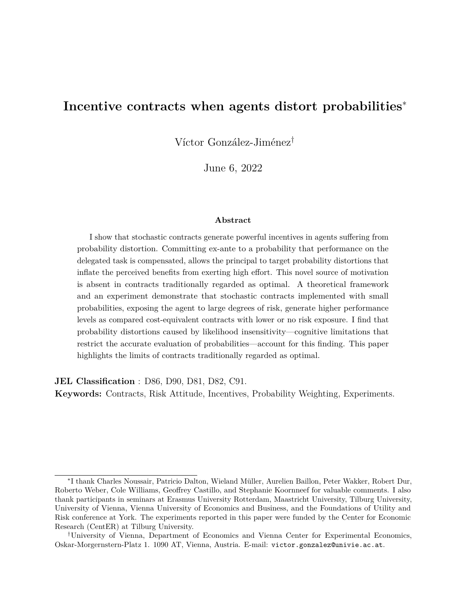# <span id="page-0-0"></span>**Incentive contracts when agents distort probabilities**<sup>∗</sup>

Víctor González-Jiménez†

June 6, 2022

### **Abstract**

I show that stochastic contracts generate powerful incentives in agents suffering from probability distortion. Committing ex-ante to a probability that performance on the delegated task is compensated, allows the principal to target probability distortions that inflate the perceived benefits from exerting high effort. This novel source of motivation is absent in contracts traditionally regarded as optimal. A theoretical framework and an experiment demonstrate that stochastic contracts implemented with small probabilities, exposing the agent to large degrees of risk, generate higher performance levels as compared cost-equivalent contracts with lower or no risk exposure. I find that probability distortions caused by likelihood insensitivity—cognitive limitations that restrict the accurate evaluation of probabilities—account for this finding. This paper highlights the limits of contracts traditionally regarded as optimal.

**JEL Classification** : D86, D90, D81, D82, C91.

**Keywords:** Contracts, Risk Attitude, Incentives, Probability Weighting, Experiments.

<sup>∗</sup> I thank Charles Noussair, Patricio Dalton, Wieland Müller, Aurelien Baillon, Peter Wakker, Robert Dur, Roberto Weber, Cole Williams, Geoffrey Castillo, and Stephanie Koornneef for valuable comments. I also thank participants in seminars at Erasmus University Rotterdam, Maastricht University, Tilburg University, University of Vienna, Vienna University of Economics and Business, and the Foundations of Utility and Risk conference at York. The experiments reported in this paper were funded by the Center for Economic Research (CentER) at Tilburg University.

<sup>†</sup>University of Vienna, Department of Economics and Vienna Center for Experimental Economics, Oskar-Morgernstern-Platz 1. 1090 AT, Vienna, Austria. E-mail: victor.gonzalez@univie.ac.at.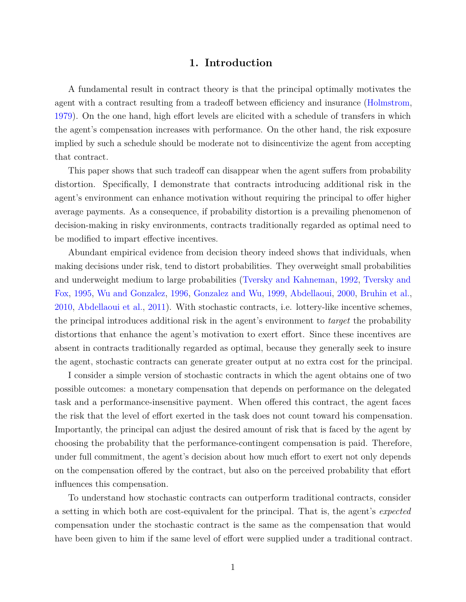### **1. Introduction**

A fundamental result in contract theory is that the principal optimally motivates the agent with a contract resulting from a tradeoff between efficiency and insurance [\(Holmstrom,](#page-33-0) [1979\)](#page-33-0). On the one hand, high effort levels are elicited with a schedule of transfers in which the agent's compensation increases with performance. On the other hand, the risk exposure implied by such a schedule should be moderate not to disincentivize the agent from accepting that contract.

This paper shows that such tradeoff can disappear when the agent suffers from probability distortion. Specifically, I demonstrate that contracts introducing additional risk in the agent's environment can enhance motivation without requiring the principal to offer higher average payments. As a consequence, if probability distortion is a prevailing phenomenon of decision-making in risky environments, contracts traditionally regarded as optimal need to be modified to impart effective incentives.

Abundant empirical evidence from decision theory indeed shows that individuals, when making decisions under risk, tend to distort probabilities. They overweight small probabilities and underweight medium to large probabilities [\(Tversky and Kahneman,](#page-34-0) [1992,](#page-34-0) [Tversky and](#page-33-1) [Fox,](#page-33-1) [1995,](#page-33-1) [Wu and Gonzalez,](#page-34-1) [1996,](#page-34-1) [Gonzalez and Wu,](#page-33-2) [1999,](#page-33-2) [Abdellaoui,](#page-31-0) [2000,](#page-31-0) [Bruhin et al.,](#page-32-0) [2010,](#page-32-0) [Abdellaoui et al.,](#page-32-1) [2011\)](#page-32-1). With stochastic contracts, i.e. lottery-like incentive schemes, the principal introduces additional risk in the agent's environment to *target* the probability distortions that enhance the agent's motivation to exert effort. Since these incentives are absent in contracts traditionally regarded as optimal, because they generally seek to insure the agent, stochastic contracts can generate greater output at no extra cost for the principal.

I consider a simple version of stochastic contracts in which the agent obtains one of two possible outcomes: a monetary compensation that depends on performance on the delegated task and a performance-insensitive payment. When offered this contract, the agent faces the risk that the level of effort exerted in the task does not count toward his compensation. Importantly, the principal can adjust the desired amount of risk that is faced by the agent by choosing the probability that the performance-contingent compensation is paid. Therefore, under full commitment, the agent's decision about how much effort to exert not only depends on the compensation offered by the contract, but also on the perceived probability that effort influences this compensation.

To understand how stochastic contracts can outperform traditional contracts, consider a setting in which both are cost-equivalent for the principal. That is, the agent's *expected* compensation under the stochastic contract is the same as the compensation that would have been given to him if the same level of effort were supplied under a traditional contract.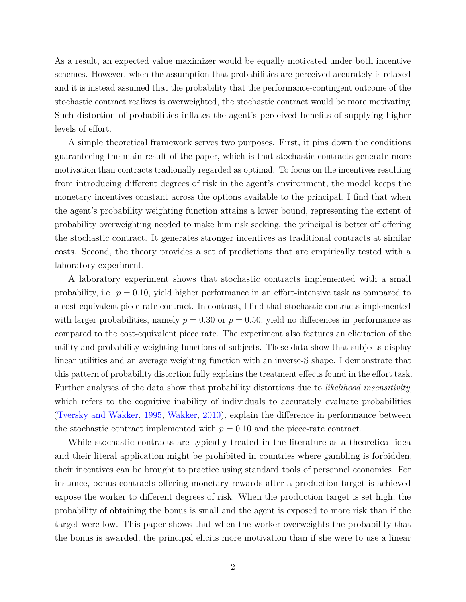As a result, an expected value maximizer would be equally motivated under both incentive schemes. However, when the assumption that probabilities are perceived accurately is relaxed and it is instead assumed that the probability that the performance-contingent outcome of the stochastic contract realizes is overweighted, the stochastic contract would be more motivating. Such distortion of probabilities inflates the agent's perceived benefits of supplying higher levels of effort.

A simple theoretical framework serves two purposes. First, it pins down the conditions guaranteeing the main result of the paper, which is that stochastic contracts generate more motivation than contracts tradionally regarded as optimal. To focus on the incentives resulting from introducing different degrees of risk in the agent's environment, the model keeps the monetary incentives constant across the options available to the principal. I find that when the agent's probability weighting function attains a lower bound, representing the extent of probability overweighting needed to make him risk seeking, the principal is better off offering the stochastic contract. It generates stronger incentives as traditional contracts at similar costs. Second, the theory provides a set of predictions that are empirically tested with a laboratory experiment.

A laboratory experiment shows that stochastic contracts implemented with a small probability, i.e.  $p = 0.10$ , yield higher performance in an effort-intensive task as compared to a cost-equivalent piece-rate contract. In contrast, I find that stochastic contracts implemented with larger probabilities, namely  $p = 0.30$  or  $p = 0.50$ , yield no differences in performance as compared to the cost-equivalent piece rate. The experiment also features an elicitation of the utility and probability weighting functions of subjects. These data show that subjects display linear utilities and an average weighting function with an inverse-S shape. I demonstrate that this pattern of probability distortion fully explains the treatment effects found in the effort task. Further analyses of the data show that probability distortions due to *likelihood insensitivity*, which refers to the cognitive inability of individuals to accurately evaluate probabilities [\(Tversky and Wakker,](#page-34-2) [1995,](#page-34-2) [Wakker,](#page-34-3) [2010\)](#page-34-3), explain the difference in performance between the stochastic contract implemented with  $p = 0.10$  and the piece-rate contract.

While stochastic contracts are typically treated in the literature as a theoretical idea and their literal application might be prohibited in countries where gambling is forbidden, their incentives can be brought to practice using standard tools of personnel economics. For instance, bonus contracts offering monetary rewards after a production target is achieved expose the worker to different degrees of risk. When the production target is set high, the probability of obtaining the bonus is small and the agent is exposed to more risk than if the target were low. This paper shows that when the worker overweights the probability that the bonus is awarded, the principal elicits more motivation than if she were to use a linear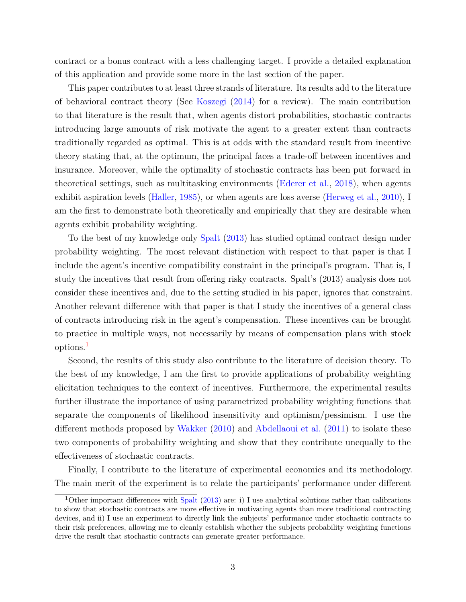contract or a bonus contract with a less challenging target. I provide a detailed explanation of this application and provide some more in the last section of the paper.

This paper contributes to at least three strands of literature. Its results add to the literature of behavioral contract theory (See [Koszegi](#page-33-3) [\(2014\)](#page-33-3) for a review). The main contribution to that literature is the result that, when agents distort probabilities, stochastic contracts introducing large amounts of risk motivate the agent to a greater extent than contracts traditionally regarded as optimal. This is at odds with the standard result from incentive theory stating that, at the optimum, the principal faces a trade-off between incentives and insurance. Moreover, while the optimality of stochastic contracts has been put forward in theoretical settings, such as multitasking environments [\(Ederer et al.,](#page-32-2) [2018\)](#page-32-2), when agents exhibit aspiration levels [\(Haller,](#page-33-4) [1985\)](#page-33-4), or when agents are loss averse [\(Herweg et al.,](#page-33-5) [2010\)](#page-33-5), I am the first to demonstrate both theoretically and empirically that they are desirable when agents exhibit probability weighting.

To the best of my knowledge only [Spalt](#page-33-6) [\(2013\)](#page-33-6) has studied optimal contract design under probability weighting. The most relevant distinction with respect to that paper is that I include the agent's incentive compatibility constraint in the principal's program. That is, I study the incentives that result from offering risky contracts. Spalt's (2013) analysis does not consider these incentives and, due to the setting studied in his paper, ignores that constraint. Another relevant difference with that paper is that I study the incentives of a general class of contracts introducing risk in the agent's compensation. These incentives can be brought to practice in multiple ways, not necessarily by means of compensation plans with stock options.[1](#page-3-0)

Second, the results of this study also contribute to the literature of decision theory. To the best of my knowledge, I am the first to provide applications of probability weighting elicitation techniques to the context of incentives. Furthermore, the experimental results further illustrate the importance of using parametrized probability weighting functions that separate the components of likelihood insensitivity and optimism/pessimism. I use the different methods proposed by [Wakker](#page-34-3) [\(2010\)](#page-34-3) and [Abdellaoui et al.](#page-32-1) [\(2011\)](#page-32-1) to isolate these two components of probability weighting and show that they contribute unequally to the effectiveness of stochastic contracts.

Finally, I contribute to the literature of experimental economics and its methodology. The main merit of the experiment is to relate the participants' performance under different

<span id="page-3-0"></span><sup>&</sup>lt;sup>1</sup>Other important differences with [Spalt](#page-33-6) [\(2013\)](#page-33-6) are: i) I use analytical solutions rather than calibrations to show that stochastic contracts are more effective in motivating agents than more traditional contracting devices, and ii) I use an experiment to directly link the subjects' performance under stochastic contracts to their risk preferences, allowing me to cleanly establish whether the subjects probability weighting functions drive the result that stochastic contracts can generate greater performance.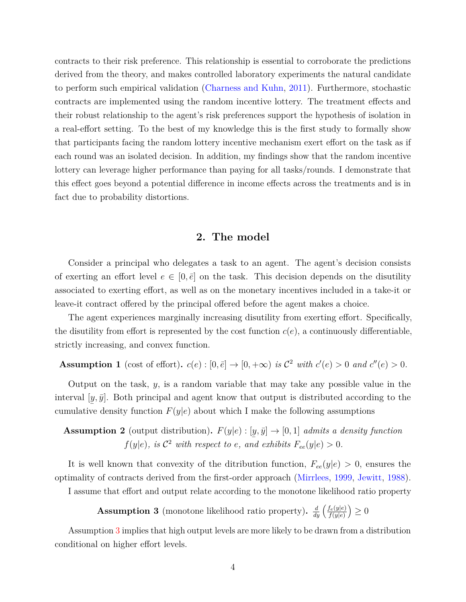contracts to their risk preference. This relationship is essential to corroborate the predictions derived from the theory, and makes controlled laboratory experiments the natural candidate to perform such empirical validation [\(Charness and Kuhn,](#page-32-3) [2011\)](#page-32-3). Furthermore, stochastic contracts are implemented using the random incentive lottery. The treatment effects and their robust relationship to the agent's risk preferences support the hypothesis of isolation in a real-effort setting. To the best of my knowledge this is the first study to formally show that participants facing the random lottery incentive mechanism exert effort on the task as if each round was an isolated decision. In addition, my findings show that the random incentive lottery can leverage higher performance than paying for all tasks/rounds. I demonstrate that this effect goes beyond a potential difference in income effects across the treatments and is in fact due to probability distortions.

### **2. The model**

Consider a principal who delegates a task to an agent. The agent's decision consists of exerting an effort level  $e \in [0, \bar{e}]$  on the task. This decision depends on the disutility associated to exerting effort, as well as on the monetary incentives included in a take-it or leave-it contract offered by the principal offered before the agent makes a choice.

The agent experiences marginally increasing disutility from exerting effort. Specifically, the disutility from effort is represented by the cost function  $c(e)$ , a continuously differentiable, strictly increasing, and convex function.

## <span id="page-4-1"></span>**Assumption 1** (cost of effort).  $c(e): [0, \bar{e}] \rightarrow [0, +\infty)$  *is*  $\mathcal{C}^2$  *with*  $c'(e) > 0$  *and*  $c''(e) > 0$ .

Output on the task, *y*, is a random variable that may take any possible value in the interval  $[y, \bar{y}]$ . Both principal and agent know that output is distributed according to the cumulative density function  $F(y|e)$  about which I make the following assumptions

<span id="page-4-2"></span>**Assumption 2** (output distribution).  $F(y|e): [y, \bar{y}] \rightarrow [0, 1]$  *admits a density function*  $f(y|e)$ *, is*  $C^2$  *with respect to e, and exhibits*  $F_{ee}(y|e) > 0$ *.* 

It is well known that convexity of the ditribution function,  $F_{ee}(y|e) > 0$ , ensures the optimality of contracts derived from the first-order approach [\(Mirrlees,](#page-33-7) [1999,](#page-33-7) [Jewitt,](#page-33-8) [1988\)](#page-33-8).

I assume that effort and output relate according to the monotone likelihood ratio property

<span id="page-4-0"></span>**Assumption 3** (monotone likelihood ratio property).  $\frac{d}{dy} \left( \frac{f_e(y|e)}{f(y|e)} \right)$ *f*(*y*|*e*)  $\big)\geq 0$ 

Assumption [3](#page-4-0) implies that high output levels are more likely to be drawn from a distribution conditional on higher effort levels.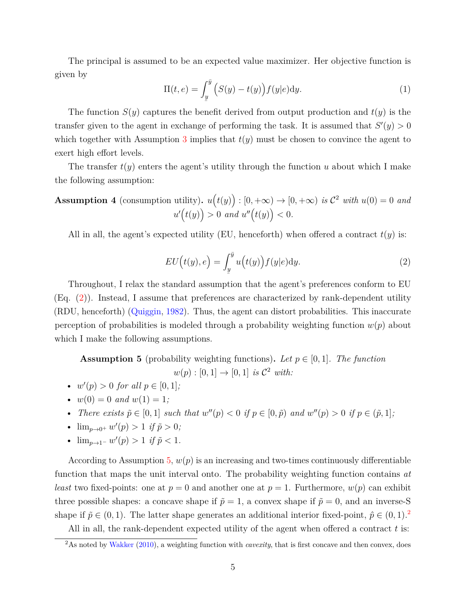The principal is assumed to be an expected value maximizer. Her objective function is given by

$$
\Pi(t, e) = \int_{\underline{y}}^{\overline{y}} \left( S(y) - t(y) \right) f(y|e) dy.
$$
 (1)

The function *S*(*y*) captures the benefit derived from output production and *t*(*y*) is the transfer given to the agent in exchange of performing the task. It is assumed that  $S'(y) > 0$ which together with Assumption [3](#page-4-0) implies that  $t(y)$  must be chosen to convince the agent to exert high effort levels.

The transfer  $t(y)$  enters the agent's utility through the function  $u$  about which I make the following assumption:

<span id="page-5-3"></span>**Assumption 4** (consumption utility). 
$$
u(t(y)) : [0, +\infty) \to [0, +\infty)
$$
 is  $\mathcal{C}^2$  with  $u(0) = 0$  and  $u'(t(y)) > 0$  and  $u''(t(y)) < 0$ .

All in all, the agent's expected utility (EU, henceforth) when offered a contract  $t(y)$  is:

<span id="page-5-0"></span>
$$
EU(t(y), e) = \int_{\underline{y}}^{\overline{y}} u(t(y)) f(y|e) dy.
$$
 (2)

Throughout, I relax the standard assumption that the agent's preferences conform to EU (Eq. [\(2\)](#page-5-0)). Instead, I assume that preferences are characterized by rank-dependent utility (RDU, henceforth) [\(Quiggin,](#page-33-9) [1982\)](#page-33-9). Thus, the agent can distort probabilities. This inaccurate perception of probabilities is modeled through a probability weighting function  $w(p)$  about which I make the following assumptions.

<span id="page-5-1"></span>**Assumption 5** (probability weighting functions). Let  $p \in [0, 1]$ . The function

 $w(p) : [0, 1] \to [0, 1]$  *is*  $C^2$  *with:* 

- $w'(p) > 0$  *for all*  $p \in [0, 1]$ *;*
- $w(0) = 0$  *and*  $w(1) = 1$ ;
- There exists  $\tilde{p} \in [0,1]$  such that  $w''(p) < 0$  if  $p \in [0,\tilde{p})$  and  $w''(p) > 0$  if  $p \in (\tilde{p},1]$ ;
- $\lim_{p\to 0^+} w'(p) > 1$  *if*  $\tilde{p} > 0$ *;*
- $\lim_{p \to 1^{-}} w'(p) > 1$  *if*  $\tilde{p} < 1$ *.*

According to Assumption [5,](#page-5-1)  $w(p)$  is an increasing and two-times continuously differentiable function that maps the unit interval onto. The probability weighting function contains *at least* two fixed-points: one at  $p = 0$  and another one at  $p = 1$ . Furthermore,  $w(p)$  can exhibit three possible shapes: a concave shape if  $\tilde{p} = 1$ , a convex shape if  $\tilde{p} = 0$ , and an inverse-S shape if  $\tilde{p} \in (0,1)$ . The latter shape generates an additional interior fixed-point,  $\hat{p} \in (0,1)$ .<sup>[2](#page-5-2)</sup>

All in all, the rank-dependent expected utility of the agent when offered a contract *t* is:

<span id="page-5-2"></span><sup>&</sup>lt;sup>2</sup>As noted by [Wakker](#page-34-3) [\(2010\)](#page-34-3), a weighting function with *cavexity*, that is first concave and then convex, does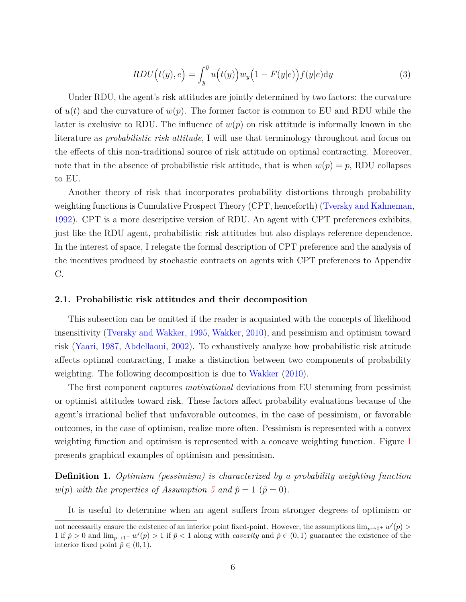<span id="page-6-1"></span>
$$
RDU(t(y), e) = \int_{y}^{\bar{y}} u(t(y)) w_y \left(1 - F(y|e)\right) f(y|e) dy \tag{3}
$$

Under RDU, the agent's risk attitudes are jointly determined by two factors: the curvature of  $u(t)$  and the curvature of  $w(p)$ . The former factor is common to EU and RDU while the latter is exclusive to RDU. The influence of  $w(p)$  on risk attitude is informally known in the literature as *probabilistic risk attitude*, I will use that terminology throughout and focus on the effects of this non-traditional source of risk attitude on optimal contracting. Moreover, note that in the absence of probabilistic risk attitude, that is when  $w(p) = p$ , RDU collapses to EU.

Another theory of risk that incorporates probability distortions through probability weighting functions is Cumulative Prospect Theory (CPT, henceforth) [\(Tversky and Kahneman,](#page-34-0) [1992\)](#page-34-0). CPT is a more descriptive version of RDU. An agent with CPT preferences exhibits, just like the RDU agent, probabilistic risk attitudes but also displays reference dependence. In the interest of space, I relegate the formal description of CPT preference and the analysis of the incentives produced by stochastic contracts on agents with CPT preferences to Appendix C.

### **2.1. Probabilistic risk attitudes and their decomposition**

This subsection can be omitted if the reader is acquainted with the concepts of likelihood insensitivity [\(Tversky and Wakker,](#page-34-2) [1995,](#page-34-2) [Wakker,](#page-34-3) [2010\)](#page-34-3), and pessimism and optimism toward risk [\(Yaari,](#page-34-4) [1987,](#page-34-4) [Abdellaoui,](#page-31-1) [2002\)](#page-31-1). To exhaustively analyze how probabilistic risk attitude affects optimal contracting, I make a distinction between two components of probability weighting. The following decomposition is due to [Wakker](#page-34-3) [\(2010\)](#page-34-3).

The first component captures *motivational* deviations from EU stemming from pessimist or optimist attitudes toward risk. These factors affect probability evaluations because of the agent's irrational belief that unfavorable outcomes, in the case of pessimism, or favorable outcomes, in the case of optimism, realize more often. Pessimism is represented with a convex weighting function and optimism is represented with a concave weighting function. Figure [1](#page-7-0) presents graphical examples of optimism and pessimism.

<span id="page-6-0"></span>**Definition 1.** *Optimism (pessimism) is characterized by a probability weighting function w*(*p*) *with the properties of Assumption* [5](#page-5-1) *and*  $\tilde{p} = 1$  ( $\tilde{p} = 0$ )*.* 

It is useful to determine when an agent suffers from stronger degrees of optimism or

not necessarily ensure the existence of an interior point fixed-point. However, the assumptions  $\lim_{p\to 0^+} w'(p)$ 1 if  $\tilde{p} > 0$  and  $\lim_{p\to 1^-} w'(p) > 1$  if  $\tilde{p} < 1$  along with *cavexity* and  $\tilde{p} \in (0,1)$  guarantee the existence of the interior fixed point  $\hat{p} \in (0, 1)$ .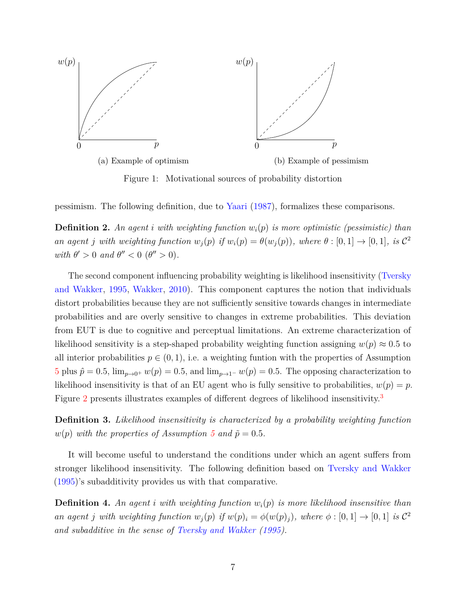<span id="page-7-0"></span>

Figure 1: Motivational sources of probability distortion

pessimism. The following definition, due to [Yaari](#page-34-4) [\(1987\)](#page-34-4), formalizes these comparisons.

<span id="page-7-2"></span>**Definition 2.** An agent *i* with weighting function  $w_i(p)$  is more optimistic (pessimistic) than an agent j with weighting function  $w_j(p)$  if  $w_i(p) = \theta(w_j(p))$ , where  $\theta : [0,1] \to [0,1]$ , is  $\mathcal{C}^2$ *with*  $\theta' > 0$  *and*  $\theta'' < 0$  ( $\theta'' > 0$ )*.* 

The second component influencing probability weighting is likelihood insensitivity [\(Tversky](#page-34-2) [and Wakker,](#page-34-2) [1995,](#page-34-2) [Wakker,](#page-34-3) [2010\)](#page-34-3). This component captures the notion that individuals distort probabilities because they are not sufficiently sensitive towards changes in intermediate probabilities and are overly sensitive to changes in extreme probabilities. This deviation from EUT is due to cognitive and perceptual limitations. An extreme characterization of likelihood sensitivity is a step-shaped probability weighting function assigning  $w(p) \approx 0.5$  to all interior probabilities  $p \in (0, 1)$ , i.e. a weighting funtion with the properties of Assumption [5](#page-5-1) plus  $\hat{p} = 0.5$ ,  $\lim_{p\to 0^+} w(p) = 0.5$ , and  $\lim_{p\to 1^-} w(p) = 0.5$ . The opposing characterization to likelihood insensitivity is that of an EU agent who is fully sensitive to probabilities,  $w(p) = p$ . Figure [2](#page-8-0) presents illustrates examples of different degrees of likelihood insensitivity.<sup>[3](#page-8-1)</sup>

<span id="page-7-1"></span>**Definition 3.** *Likelihood insensitivity is characterized by a probability weighting function w*(*p*) *with the properties of Assumption* [5](#page-5-1) *and*  $\tilde{p} = 0.5$ *.* 

It will become useful to understand the conditions under which an agent suffers from stronger likelihood insensitivity. The following definition based on [Tversky and Wakker](#page-34-2) [\(1995\)](#page-34-2)'s subadditivity provides us with that comparative.

**Definition 4.** *An agent i with weighting function wi*(*p*) *is more likelihood insensitive than* an agent j with weighting function  $w_j(p)$  if  $w(p)_i = \phi(w(p)_j)$ , where  $\phi : [0,1] \to [0,1]$  is  $\mathcal{C}^2$ *and subadditive in the sense of [Tversky and Wakker](#page-34-2) [\(1995\)](#page-34-2).*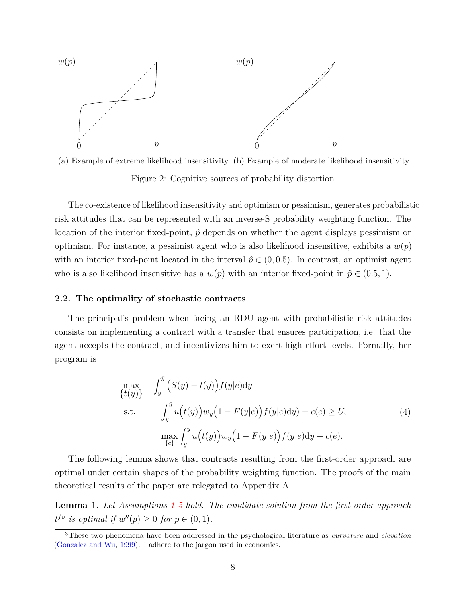<span id="page-8-0"></span>



The co-existence of likelihood insensitivity and optimism or pessimism, generates probabilistic risk attitudes that can be represented with an inverse-S probability weighting function. The location of the interior fixed-point,  $\hat{p}$  depends on whether the agent displays pessimism or optimism. For instance, a pessimist agent who is also likelihood insensitive, exhibits a  $w(p)$ with an interior fixed-point located in the interval  $\hat{p} \in (0, 0.5)$ . In contrast, an optimist agent who is also likelihood insensitive has a  $w(p)$  with an interior fixed-point in  $\hat{p} \in (0.5, 1)$ .

### **2.2. The optimality of stochastic contracts**

The principal's problem when facing an RDU agent with probabilistic risk attitudes consists on implementing a contract with a transfer that ensures participation, i.e. that the agent accepts the contract, and incentivizes him to exert high effort levels. Formally, her program is

<span id="page-8-2"></span>
$$
\max_{\{t(y)\}} \int_{\underline{y}}^{\overline{y}} \left( S(y) - t(y) \right) f(y|e) dy
$$
\ns.t. 
$$
\int_{\underline{y}}^{\overline{y}} u(t(y)) w_y \left( 1 - F(y|e) \right) f(y|e) dy - c(e) \ge \overline{U},
$$
\n
$$
\max_{\{e\}} \int_{\underline{y}}^{\overline{y}} u(t(y)) w_y \left( 1 - F(y|e) \right) f(y|e) dy - c(e).
$$
\n(4)

The following lemma shows that contracts resulting from the first-order approach are optimal under certain shapes of the probability weighting function. The proofs of the main theoretical results of the paper are relegated to Appendix A.

**Lemma 1.** *Let Assumptions [1-](#page-4-1)[5](#page-5-1) hold. The candidate solution from the first-order approach*  $t^{fo}$  *is optimal if*  $w''(p) \ge 0$  *for*  $p \in (0, 1)$ *.* 

<span id="page-8-1"></span><sup>3</sup>These two phenomena have been addressed in the psychological literature as *curvature* and *elevation* [\(Gonzalez and Wu,](#page-33-2) [1999\)](#page-33-2). I adhere to the jargon used in economics.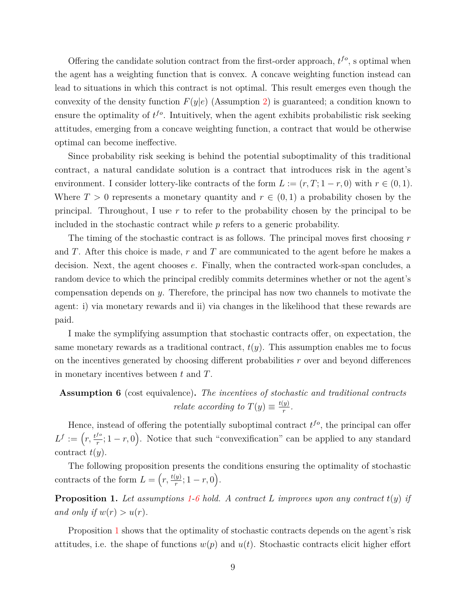Offering the candidate solution contract from the first-order approach,  $t^{fo}$ , s optimal when the agent has a weighting function that is convex. A concave weighting function instead can lead to situations in which this contract is not optimal. This result emerges even though the convexity of the density function  $F(y|e)$  (Assumption [2\)](#page-4-2) is guaranteed; a condition known to ensure the optimality of  $t^{fo}$ . Intuitively, when the agent exhibits probabilistic risk seeking attitudes, emerging from a concave weighting function, a contract that would be otherwise optimal can become ineffective.

Since probability risk seeking is behind the potential suboptimality of this traditional contract, a natural candidate solution is a contract that introduces risk in the agent's environment. I consider lottery-like contracts of the form  $L := (r, T; 1 - r, 0)$  with  $r \in (0, 1)$ . Where  $T > 0$  represents a monetary quantity and  $r \in (0,1)$  a probability chosen by the principal. Throughout, I use *r* to refer to the probability chosen by the principal to be included in the stochastic contract while *p* refers to a generic probability.

The timing of the stochastic contract is as follows. The principal moves first choosing *r* and *T*. After this choice is made, *r* and *T* are communicated to the agent before he makes a decision. Next, the agent chooses *e*. Finally, when the contracted work-span concludes, a random device to which the principal credibly commits determines whether or not the agent's compensation depends on *y*. Therefore, the principal has now two channels to motivate the agent: i) via monetary rewards and ii) via changes in the likelihood that these rewards are paid.

I make the symplifying assumption that stochastic contracts offer, on expectation, the same monetary rewards as a traditional contract, *t*(*y*). This assumption enables me to focus on the incentives generated by choosing different probabilities *r* over and beyond differences in monetary incentives between *t* and *T*.

### <span id="page-9-0"></span>**Assumption 6** (cost equivalence)**.** *The incentives of stochastic and traditional contracts relate according to*  $T(y) \equiv \frac{t(y)}{r}$  $\frac{y}{r}$ .

Hence, instead of offering the potentially suboptimal contract  $t^{fo}$ , the principal can offer  $L^f := \left(r, \frac{t^{fo}}{r}\right)$  $\left( \frac{f^o}{r}; 1-r,0 \right)$ . Notice that such "convexification" can be applied to any standard contract  $t(y)$ .

The following proposition presents the conditions ensuring the optimality of stochastic contracts of the form  $L = \left(r, \frac{t(y)}{r}\right)$  $(\frac{y}{r}; 1-r, 0).$ 

<span id="page-9-1"></span>**Proposition 1.** Let assumptions [1-](#page-4-1)[6](#page-9-0) hold. A contract L improves upon any contract  $t(y)$  if *and only if*  $w(r) > u(r)$ .

Proposition [1](#page-9-1) shows that the optimality of stochastic contracts depends on the agent's risk attitudes, i.e. the shape of functions  $w(p)$  and  $u(t)$ . Stochastic contracts elicit higher effort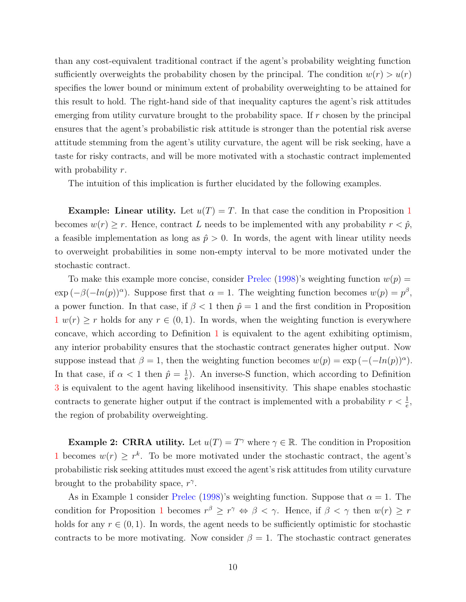than any cost-equivalent traditional contract if the agent's probability weighting function sufficiently overweights the probability chosen by the principal. The condition  $w(r) > u(r)$ specifies the lower bound or minimum extent of probability overweighting to be attained for this result to hold. The right-hand side of that inequality captures the agent's risk attitudes emerging from utility curvature brought to the probability space. If *r* chosen by the principal ensures that the agent's probabilistic risk attitude is stronger than the potential risk averse attitude stemming from the agent's utility curvature, the agent will be risk seeking, have a taste for risky contracts, and will be more motivated with a stochastic contract implemented with probability *r*.

The intuition of this implication is further elucidated by the following examples.

**Example: Linear utility.** Let  $u(T) = T$ . In that case the condition in Proposition [1](#page-9-1) becomes  $w(r) \geq r$ . Hence, contract *L* needs to be implemented with any probability  $r < \hat{p}$ , a feasible implementation as long as  $\hat{p} > 0$ . In words, the agent with linear utility needs to overweight probabilities in some non-empty interval to be more motivated under the stochastic contract.

To make this example more concise, consider [Prelec](#page-33-10)  $(1998)$ 's weighting function  $w(p)$  =  $\exp(-\beta(-\ln(p))^{\alpha})$ . Suppose first that  $\alpha = 1$ . The weighting function becomes  $w(p) = p^{\beta}$ , a power function. In that case, if  $\beta < 1$  then  $\hat{p} = 1$  and the first condition in Proposition  $1 w(r) \geq r$  $1 w(r) \geq r$  holds for any  $r \in (0,1)$ . In words, when the weighting function is everywhere concave, which according to Definition [1](#page-6-0) is equivalent to the agent exhibiting optimism, any interior probability ensures that the stochastic contract generates higher output. Now suppose instead that  $\beta = 1$ , then the weighting function becomes  $w(p) = \exp(-(h(p))^{\alpha})$ . In that case, if  $\alpha < 1$  then  $\hat{p} = \frac{1}{\hat{p}}$  $\frac{1}{e}$ ). An inverse-S function, which according to Definition [3](#page-7-1) is equivalent to the agent having likelihood insensitivity. This shape enables stochastic contracts to generate higher output if the contract is implemented with a probability  $r < \frac{1}{e}$ , the region of probability overweighting.

**Example 2: CRRA utility.** Let  $u(T) = T^{\gamma}$  where  $\gamma \in \mathbb{R}$ . The condition in Proposition [1](#page-9-1) becomes  $w(r) \geq r^k$ . To be more motivated under the stochastic contract, the agent's probabilistic risk seeking attitudes must exceed the agent's risk attitudes from utility curvature brought to the probability space,  $r^{\gamma}$ .

As in Example 1 consider [Prelec](#page-33-10) [\(1998\)](#page-33-10)'s weighting function. Suppose that  $\alpha = 1$ . The condition for Proposition [1](#page-9-1) becomes  $r^{\beta} \geq r^{\gamma} \Leftrightarrow \beta < \gamma$ . Hence, if  $\beta < \gamma$  then  $w(r) \geq r$ holds for any  $r \in (0,1)$ . In words, the agent needs to be sufficiently optimistic for stochastic contracts to be more motivating. Now consider  $\beta = 1$ . The stochastic contract generates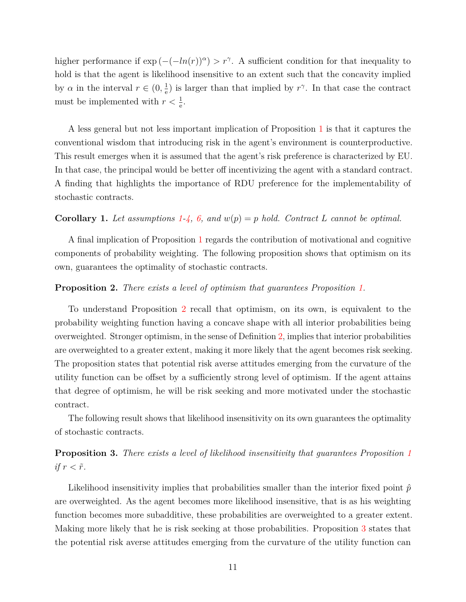higher performance if  $\exp(-(ln(r))^{\alpha}) > r^{\gamma}$ . A sufficient condition for that inequality to hold is that the agent is likelihood insensitive to an extent such that the concavity implied by  $\alpha$  in the interval  $r \in (0, \frac{1}{\alpha})$  $\frac{1}{e}$ ) is larger than that implied by  $r^{\gamma}$ . In that case the contract must be implemented with  $r < \frac{1}{e}$ .

A less general but not less important implication of Proposition [1](#page-9-1) is that it captures the conventional wisdom that introducing risk in the agent's environment is counterproductive. This result emerges when it is assumed that the agent's risk preference is characterized by EU. In that case, the principal would be better off incentivizing the agent with a standard contract. A finding that highlights the importance of RDU preference for the implementability of stochastic contracts.

### <span id="page-11-2"></span>**Corollary 1.** Let assumptions [1-](#page-4-1)[4,](#page-5-3) [6,](#page-9-0) and  $w(p) = p$  hold. Contract L cannot be optimal.

A final implication of Proposition [1](#page-9-1) regards the contribution of motivational and cognitive components of probability weighting. The following proposition shows that optimism on its own, guarantees the optimality of stochastic contracts.

### <span id="page-11-0"></span>**Proposition 2.** *There exists a level of optimism that guarantees Proposition [1.](#page-9-1)*

To understand Proposition [2](#page-11-0) recall that optimism, on its own, is equivalent to the probability weighting function having a concave shape with all interior probabilities being overweighted. Stronger optimism, in the sense of Definition [2,](#page-7-2) implies that interior probabilities are overweighted to a greater extent, making it more likely that the agent becomes risk seeking. The proposition states that potential risk averse attitudes emerging from the curvature of the utility function can be offset by a sufficiently strong level of optimism. If the agent attains that degree of optimism, he will be risk seeking and more motivated under the stochastic contract.

The following result shows that likelihood insensitivity on its own guarantees the optimality of stochastic contracts.

## <span id="page-11-1"></span>**Proposition 3.** *There exists a level of likelihood insensitivity that guarantees Proposition [1](#page-9-1) if*  $r < \tilde{r}$ .

Likelihood insensitivity implies that probabilities smaller than the interior fixed point  $\hat{p}$ are overweighted. As the agent becomes more likelihood insensitive, that is as his weighting function becomes more subadditive, these probabilities are overweighted to a greater extent. Making more likely that he is risk seeking at those probabilities. Proposition [3](#page-11-1) states that the potential risk averse attitudes emerging from the curvature of the utility function can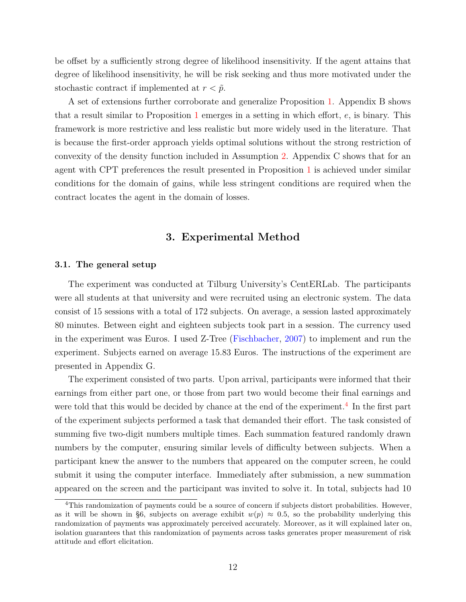be offset by a sufficiently strong degree of likelihood insensitivity. If the agent attains that degree of likelihood insensitivity, he will be risk seeking and thus more motivated under the stochastic contract if implemented at  $r < \tilde{p}$ .

A set of extensions further corroborate and generalize Proposition [1.](#page-9-1) Appendix B shows that a result similar to Proposition [1](#page-9-1) emerges in a setting in which effort, *e*, is binary. This framework is more restrictive and less realistic but more widely used in the literature. That is because the first-order approach yields optimal solutions without the strong restriction of convexity of the density function included in Assumption [2.](#page-4-2) Appendix C shows that for an agent with CPT preferences the result presented in Proposition [1](#page-9-1) is achieved under similar conditions for the domain of gains, while less stringent conditions are required when the contract locates the agent in the domain of losses.

## **3. Experimental Method**

#### **3.1. The general setup**

The experiment was conducted at Tilburg University's CentERLab. The participants were all students at that university and were recruited using an electronic system. The data consist of 15 sessions with a total of 172 subjects. On average, a session lasted approximately 80 minutes. Between eight and eighteen subjects took part in a session. The currency used in the experiment was Euros. I used Z-Tree [\(Fischbacher,](#page-32-4) [2007\)](#page-32-4) to implement and run the experiment. Subjects earned on average 15.83 Euros. The instructions of the experiment are presented in Appendix G.

The experiment consisted of two parts. Upon arrival, participants were informed that their earnings from either part one, or those from part two would become their final earnings and were told that this would be decided by chance at the end of the experiment.<sup>[4](#page-12-0)</sup> In the first part of the experiment subjects performed a task that demanded their effort. The task consisted of summing five two-digit numbers multiple times. Each summation featured randomly drawn numbers by the computer, ensuring similar levels of difficulty between subjects. When a participant knew the answer to the numbers that appeared on the computer screen, he could submit it using the computer interface. Immediately after submission, a new summation appeared on the screen and the participant was invited to solve it. In total, subjects had 10

<span id="page-12-0"></span><sup>4</sup>This randomization of payments could be a source of concern if subjects distort probabilities. However, as it will be shown in §6, subjects on average exhibit  $w(p) \approx 0.5$ , so the probability underlying this randomization of payments was approximately perceived accurately. Moreover, as it will explained later on, isolation guarantees that this randomization of payments across tasks generates proper measurement of risk attitude and effort elicitation.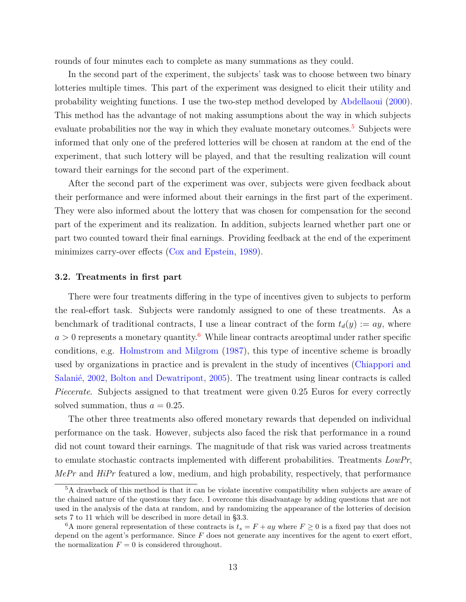rounds of four minutes each to complete as many summations as they could.

In the second part of the experiment, the subjects' task was to choose between two binary lotteries multiple times. This part of the experiment was designed to elicit their utility and probability weighting functions. I use the two-step method developed by [Abdellaoui](#page-31-0) [\(2000\)](#page-31-0). This method has the advantage of not making assumptions about the way in which subjects evaluate probabilities nor the way in which they evaluate monetary outcomes.<sup>[5](#page-13-0)</sup> Subjects were informed that only one of the prefered lotteries will be chosen at random at the end of the experiment, that such lottery will be played, and that the resulting realization will count toward their earnings for the second part of the experiment.

After the second part of the experiment was over, subjects were given feedback about their performance and were informed about their earnings in the first part of the experiment. They were also informed about the lottery that was chosen for compensation for the second part of the experiment and its realization. In addition, subjects learned whether part one or part two counted toward their final earnings. Providing feedback at the end of the experiment minimizes carry-over effects [\(Cox and Epstein,](#page-32-5) [1989\)](#page-32-5).

### **3.2. Treatments in first part**

There were four treatments differing in the type of incentives given to subjects to perform the real-effort task. Subjects were randomly assigned to one of these treatments. As a benchmark of traditional contracts, I use a linear contract of the form  $t_d(y) := ay$ , where  $a > 0$  represents a monetary quantity.<sup>[6](#page-13-1)</sup> While linear contracts are optimal under rather specific conditions, e.g. [Holmstrom and Milgrom](#page-33-11) [\(1987\)](#page-33-11), this type of incentive scheme is broadly used by organizations in practice and is prevalent in the study of incentives [\(Chiappori and](#page-32-6) [Salanié,](#page-32-6) [2002,](#page-32-6) [Bolton and Dewatripont,](#page-32-7) [2005\)](#page-32-7). The treatment using linear contracts is called *Piecerate*. Subjects assigned to that treatment were given 0.25 Euros for every correctly solved summation, thus  $a = 0.25$ .

The other three treatments also offered monetary rewards that depended on individual performance on the task. However, subjects also faced the risk that performance in a round did not count toward their earnings. The magnitude of that risk was varied across treatments to emulate stochastic contracts implemented with different probabilities. Treatments *LowPr*, *MePr* and *HiPr* featured a low, medium, and high probability, respectively, that performance

<span id="page-13-0"></span><sup>5</sup>A drawback of this method is that it can be violate incentive compatibility when subjects are aware of the chained nature of the questions they face. I overcome this disadvantage by adding questions that are not used in the analysis of the data at random, and by randomizing the appearance of the lotteries of decision sets 7 to 11 which will be described in more detail in §3.3.

<span id="page-13-1"></span><sup>&</sup>lt;sup>6</sup>A more general representation of these contracts is  $t_s = F + ay$  where  $F \ge 0$  is a fixed pay that does not depend on the agent's performance. Since *F* does not generate any incentives for the agent to exert effort, the normalization  $F = 0$  is considered throughout.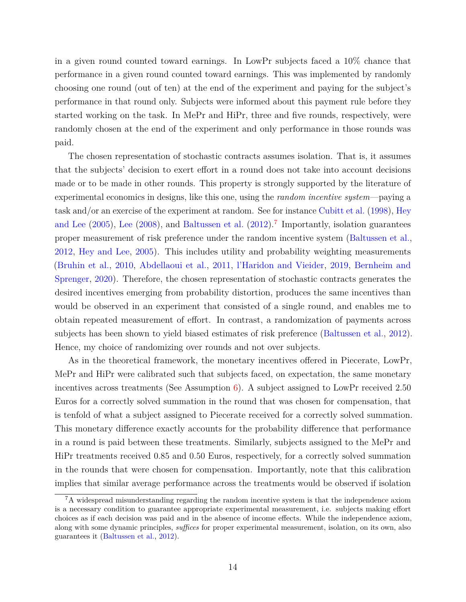in a given round counted toward earnings. In LowPr subjects faced a 10% chance that performance in a given round counted toward earnings. This was implemented by randomly choosing one round (out of ten) at the end of the experiment and paying for the subject's performance in that round only. Subjects were informed about this payment rule before they started working on the task. In MePr and HiPr, three and five rounds, respectively, were randomly chosen at the end of the experiment and only performance in those rounds was paid.

The chosen representation of stochastic contracts assumes isolation. That is, it assumes that the subjects' decision to exert effort in a round does not take into account decisions made or to be made in other rounds. This property is strongly supported by the literature of experimental economics in designs, like this one, using the *random incentive system*—paying a task and/or an exercise of the experiment at random. See for instance [Cubitt et al.](#page-32-8) [\(1998\)](#page-32-8), [Hey](#page-33-12) [and Lee](#page-33-12)  $(2005)$ , [Lee](#page-33-13)  $(2008)$ , and [Baltussen et al.](#page-32-9)  $(2012)$ .<sup>[7](#page-14-0)</sup> Importantly, isolation guarantees proper measurement of risk preference under the random incentive system [\(Baltussen et al.,](#page-32-9) [2012,](#page-32-9) [Hey and Lee,](#page-33-12) [2005\)](#page-33-12). This includes utility and probability weighting measurements [\(Bruhin et al.,](#page-32-0) [2010,](#page-32-0) [Abdellaoui et al.,](#page-32-1) [2011,](#page-32-1) [l'Haridon and Vieider,](#page-33-14) [2019,](#page-33-14) [Bernheim and](#page-32-10) [Sprenger,](#page-32-10) [2020\)](#page-32-10). Therefore, the chosen representation of stochastic contracts generates the desired incentives emerging from probability distortion, produces the same incentives than would be observed in an experiment that consisted of a single round, and enables me to obtain repeated measurement of effort. In contrast, a randomization of payments across subjects has been shown to yield biased estimates of risk preference [\(Baltussen et al.,](#page-32-9) [2012\)](#page-32-9). Hence, my choice of randomizing over rounds and not over subjects.

As in the theoretical framework, the monetary incentives offered in Piecerate, LowPr, MePr and HiPr were calibrated such that subjects faced, on expectation, the same monetary incentives across treatments (See Assumption [6\)](#page-9-0). A subject assigned to LowPr received 2.50 Euros for a correctly solved summation in the round that was chosen for compensation, that is tenfold of what a subject assigned to Piecerate received for a correctly solved summation. This monetary difference exactly accounts for the probability difference that performance in a round is paid between these treatments. Similarly, subjects assigned to the MePr and HiPr treatments received 0.85 and 0.50 Euros, respectively, for a correctly solved summation in the rounds that were chosen for compensation. Importantly, note that this calibration implies that similar average performance across the treatments would be observed if isolation

<span id="page-14-0"></span><sup>7</sup>A widespread misunderstanding regarding the random incentive system is that the independence axiom is a necessary condition to guarantee appropriate experimental measurement, i.e. subjects making effort choices as if each decision was paid and in the absence of income effects. While the independence axiom, along with some dynamic principles, *suffices* for proper experimental measurement, isolation, on its own, also guarantees it [\(Baltussen et al.,](#page-32-9) [2012\)](#page-32-9).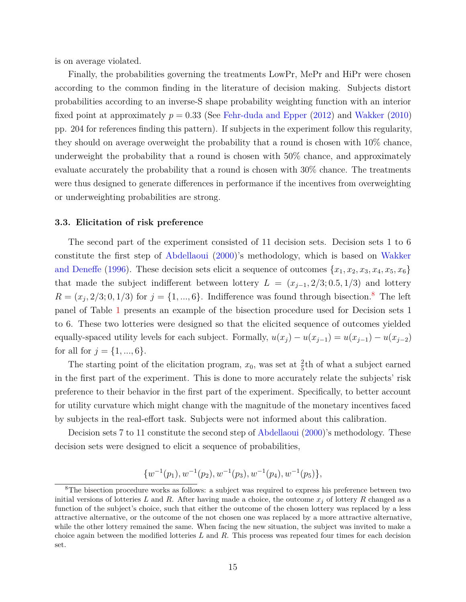is on average violated.

Finally, the probabilities governing the treatments LowPr, MePr and HiPr were chosen according to the common finding in the literature of decision making. Subjects distort probabilities according to an inverse-S shape probability weighting function with an interior fixed point at approximately *p* = 0*.*33 (See [Fehr-duda and Epper](#page-32-11) [\(2012\)](#page-32-11) and [Wakker](#page-34-3) [\(2010\)](#page-34-3) pp. 204 for references finding this pattern). If subjects in the experiment follow this regularity, they should on average overweight the probability that a round is chosen with 10% chance, underweight the probability that a round is chosen with 50% chance, and approximately evaluate accurately the probability that a round is chosen with 30% chance. The treatments were thus designed to generate differences in performance if the incentives from overweighting or underweighting probabilities are strong.

### **3.3. Elicitation of risk preference**

The second part of the experiment consisted of 11 decision sets. Decision sets 1 to 6 constitute the first step of [Abdellaoui](#page-31-0) [\(2000\)](#page-31-0)'s methodology, which is based on [Wakker](#page-34-5) [and Deneffe](#page-34-5) [\(1996\)](#page-34-5). These decision sets elicit a sequence of outcomes  $\{x_1, x_2, x_3, x_4, x_5, x_6\}$ that made the subject indifferent between lottery  $L = (x_{j-1}, 2/3; 0.5, 1/3)$  and lottery  $R = (x_j, 2/3; 0, 1/3)$  for  $j = \{1, ..., 6\}$ . Indifference was found through bisection.<sup>[8](#page-15-0)</sup> The left panel of Table [1](#page-16-0) presents an example of the bisection procedure used for Decision sets 1 to 6. These two lotteries were designed so that the elicited sequence of outcomes yielded equally-spaced utility levels for each subject. Formally,  $u(x_j) - u(x_{j-1}) = u(x_{j-1}) - u(x_{j-2})$ for all for  $j = \{1, ..., 6\}$ .

The starting point of the elicitation program,  $x_0$ , was set at  $\frac{2}{5}$ th of what a subject earned in the first part of the experiment. This is done to more accurately relate the subjects' risk preference to their behavior in the first part of the experiment. Specifically, to better account for utility curvature which might change with the magnitude of the monetary incentives faced by subjects in the real-effort task. Subjects were not informed about this calibration.

Decision sets 7 to 11 constitute the second step of [Abdellaoui](#page-31-0) [\(2000\)](#page-31-0)'s methodology. These decision sets were designed to elicit a sequence of probabilities,

$$
\{w^{-1}(p_1), w^{-1}(p_2), w^{-1}(p_3), w^{-1}(p_4), w^{-1}(p_5)\},\
$$

<span id="page-15-0"></span><sup>&</sup>lt;sup>8</sup>The bisection procedure works as follows: a subject was required to express his preference between two initial versions of lotteries L and R. After having made a choice, the outcome  $x_j$  of lottery R changed as a function of the subject's choice, such that either the outcome of the chosen lottery was replaced by a less attractive alternative, or the outcome of the not chosen one was replaced by a more attractive alternative, while the other lottery remained the same. When facing the new situation, the subject was invited to make a choice again between the modified lotteries *L* and *R*. This process was repeated four times for each decision set.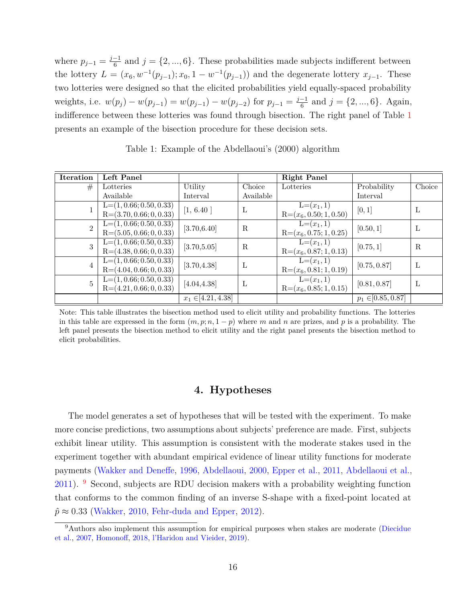where  $p_{j-1} = \frac{j-1}{6}$  $\frac{1}{6}$  and  $j = \{2, ..., 6\}$ . These probabilities made subjects indifferent between the lottery  $L = (x_6, w^{-1}(p_{j-1}); x_0, 1 - w^{-1}(p_{j-1}))$  and the degenerate lottery  $x_{j-1}$ . These two lotteries were designed so that the elicited probabilities yield equally-spaced probability *weights, i.e.*  $w(p_j) - w(p_{j-1}) = w(p_{j-1}) - w(p_{j-2})$  for  $p_{j-1} = \frac{j-1}{6}$  $\frac{1}{6}$  and  $j = \{2, ..., 6\}$ . Again, indifference between these lotteries was found through bisection. The right panel of Table [1](#page-16-0) presents an example of the bisection procedure for these decision sets.

<span id="page-16-0"></span>

| <b>Iteration</b> | Left Panel                |                        |              | <b>Right Panel</b>       |                        |              |
|------------------|---------------------------|------------------------|--------------|--------------------------|------------------------|--------------|
| #                | Lotteries                 | Utility                | Choice       | Lotteries                | Probability            | Choice       |
|                  | Available                 | Interval               | Available    |                          | Interval               |              |
|                  | $L=(1, 0.66; 0.50, 0.33)$ | [1, 6.40]              | $\mathbf{L}$ | $L=(x_1,1)$              | [0,1]                  | L            |
|                  | $R=(3.70, 0.66; 0, 0.33)$ |                        |              | $R=(x_6, 0.50; 1, 0.50)$ |                        |              |
| $\overline{2}$   | $L=(1, 0.66; 0.50, 0.33)$ | [3.70, 6.40]           | $\mathbf R$  | $L=(x_1,1)$              | [0.50, 1]              | $\mathbf{L}$ |
|                  | $R=(5.05, 0.66; 0, 0.33)$ |                        |              | $R=(x_6, 0.75; 1, 0.25)$ |                        |              |
| 3                | $L=(1, 0.66; 0.50, 0.33)$ | [3.70, 5.05]           | $\mathbf R$  | $L=(x_1,1)$              | [0.75, 1]              | $\mathbf R$  |
|                  | $R=(4.38, 0.66; 0, 0.33)$ |                        |              | $R=(x_6, 0.87; 1, 0.13)$ |                        |              |
| $\overline{4}$   | $L=(1, 0.66; 0.50, 0.33)$ | [3.70, 4.38]           | $\mathbf{L}$ | $L=(x_1,1)$              | [0.75, 0.87]           | L            |
|                  | $R=(4.04, 0.66; 0, 0.33)$ |                        |              | $R=(x_6, 0.81; 1, 0.19)$ |                        |              |
| $\overline{5}$   | $L=(1, 0.66; 0.50, 0.33)$ | [4.04, 4.38]           | $\mathbf{L}$ | $L=(x_1,1)$              | [0.81, 0.87]           | $\mathbf{L}$ |
|                  | $R=(4.21, 0.66; 0, 0.33)$ |                        |              | $R=(x_6, 0.85; 1, 0.15)$ |                        |              |
|                  |                           | $x_1 \in [4.21, 4.38]$ |              |                          | $p_1 \in [0.85, 0.87]$ |              |

Table 1: Example of the Abdellaoui's (2000) algorithm

Note: This table illustrates the bisection method used to elicit utility and probability functions. The lotteries in this table are expressed in the form  $(m, p; n, 1 - p)$  where m and n are prizes, and p is a probability. The left panel presents the bisection method to elicit utility and the right panel presents the bisection method to elicit probabilities.

## **4. Hypotheses**

The model generates a set of hypotheses that will be tested with the experiment. To make more concise predictions, two assumptions about subjects' preference are made. First, subjects exhibit linear utility. This assumption is consistent with the moderate stakes used in the experiment together with abundant empirical evidence of linear utility functions for moderate payments [\(Wakker and Deneffe,](#page-34-5) [1996,](#page-34-5) [Abdellaoui,](#page-31-0) [2000,](#page-31-0) [Epper et al.,](#page-32-12) [2011,](#page-32-12) [Abdellaoui et al.,](#page-32-1) [2011\)](#page-32-1). [9](#page-16-1) Second, subjects are RDU decision makers with a probability weighting function that conforms to the common finding of an inverse S-shape with a fixed-point located at  $\hat{p} \approx 0.33$  [\(Wakker,](#page-34-3) [2010,](#page-34-3) [Fehr-duda and Epper,](#page-32-11) [2012\)](#page-32-11).

<span id="page-16-1"></span><sup>&</sup>lt;sup>9</sup>Authors also implement this assumption for empirical purposes when stakes are moderate [\(Diecidue](#page-32-13) [et al.,](#page-32-13) [2007,](#page-32-13) [Homonoff,](#page-33-15) [2018,](#page-33-15) [l'Haridon and Vieider,](#page-33-14) [2019\)](#page-33-14).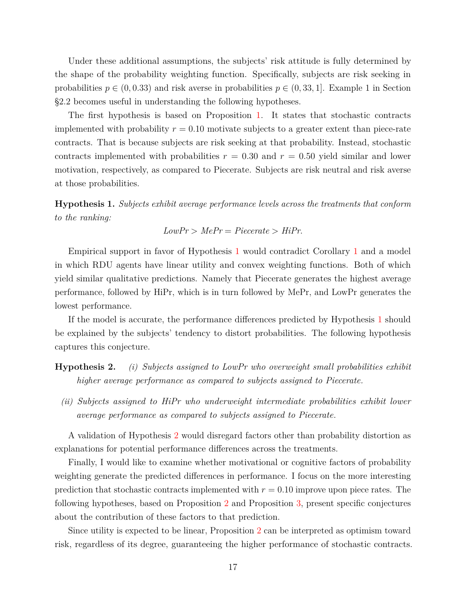Under these additional assumptions, the subjects' risk attitude is fully determined by the shape of the probability weighting function. Specifically, subjects are risk seeking in probabilities  $p \in (0, 0.33)$  and risk averse in probabilities  $p \in (0, 33, 1]$ . Example 1 in Section §2.2 becomes useful in understanding the following hypotheses.

The first hypothesis is based on Proposition [1.](#page-9-1) It states that stochastic contracts implemented with probability  $r = 0.10$  motivate subjects to a greater extent than piece-rate contracts. That is because subjects are risk seeking at that probability. Instead, stochastic contracts implemented with probabilities  $r = 0.30$  and  $r = 0.50$  yield similar and lower motivation, respectively, as compared to Piecerate. Subjects are risk neutral and risk averse at those probabilities.

<span id="page-17-0"></span>**Hypothesis 1.** *Subjects exhibit average performance levels across the treatments that conform to the ranking:*

$$
LowPr > MePr = Piccerate > HiPr.
$$

Empirical support in favor of Hypothesis [1](#page-17-0) would contradict Corollary [1](#page-11-2) and a model in which RDU agents have linear utility and convex weighting functions. Both of which yield similar qualitative predictions. Namely that Piecerate generates the highest average performance, followed by HiPr, which is in turn followed by MePr, and LowPr generates the lowest performance.

If the model is accurate, the performance differences predicted by Hypothesis [1](#page-17-0) should be explained by the subjects' tendency to distort probabilities. The following hypothesis captures this conjecture.

**Hypothesis 2.** *(i) Subjects assigned to LowPr who overweight small probabilities exhibit higher average performance as compared to subjects assigned to Piecerate.*

*(ii) Subjects assigned to HiPr who underweight intermediate probabilities exhibit lower average performance as compared to subjects assigned to Piecerate.*

A validation of Hypothesis [2](#page-0-0) would disregard factors other than probability distortion as explanations for potential performance differences across the treatments.

Finally, I would like to examine whether motivational or cognitive factors of probability weighting generate the predicted differences in performance. I focus on the more interesting prediction that stochastic contracts implemented with  $r = 0.10$  improve upon piece rates. The following hypotheses, based on Proposition [2](#page-11-0) and Proposition [3,](#page-11-1) present specific conjectures about the contribution of these factors to that prediction.

Since utility is expected to be linear, Proposition [2](#page-11-0) can be interpreted as optimism toward risk, regardless of its degree, guaranteeing the higher performance of stochastic contracts.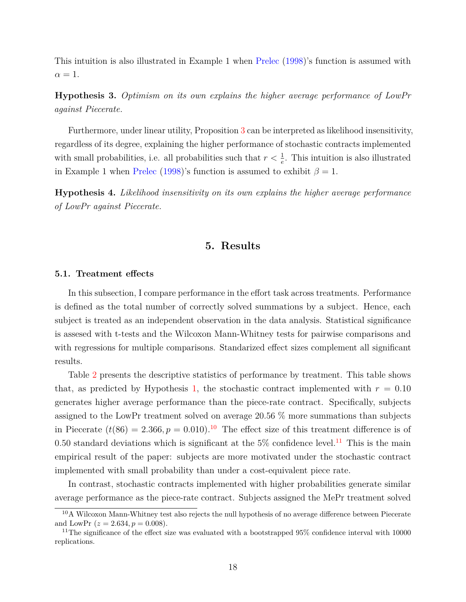This intuition is also illustrated in Example 1 when [Prelec](#page-33-10) [\(1998\)](#page-33-10)'s function is assumed with  $\alpha = 1$ .

**Hypothesis 3.** *Optimism on its own explains the higher average performance of LowPr against Piecerate.*

Furthermore, under linear utility, Proposition [3](#page-11-1) can be interpreted as likelihood insensitivity, regardless of its degree, explaining the higher performance of stochastic contracts implemented with small probabilities, i.e. all probabilities such that  $r < \frac{1}{e}$ . This intuition is also illustrated in Example 1 when [Prelec](#page-33-10) [\(1998\)](#page-33-10)'s function is assumed to exhibit  $\beta = 1$ .

<span id="page-18-2"></span>**Hypothesis 4.** *Likelihood insensitivity on its own explains the higher average performance of LowPr against Piecerate.*

### **5. Results**

### **5.1. Treatment effects**

In this subsection, I compare performance in the effort task across treatments. Performance is defined as the total number of correctly solved summations by a subject. Hence, each subject is treated as an independent observation in the data analysis. Statistical significance is assesed with t-tests and the Wilcoxon Mann-Whitney tests for pairwise comparisons and with regressions for multiple comparisons. Standarized effect sizes complement all significant results.

Table [2](#page-19-0) presents the descriptive statistics of performance by treatment. This table shows that, as predicted by Hypothesis [1,](#page-17-0) the stochastic contract implemented with  $r = 0.10$ generates higher average performance than the piece-rate contract. Specifically, subjects assigned to the LowPr treatment solved on average 20.56 % more summations than subjects in Piecerate  $(t(86) = 2.366, p = 0.010)$  $(t(86) = 2.366, p = 0.010)$  $(t(86) = 2.366, p = 0.010)$ .<sup>10</sup> The effect size of this treatment difference is of 0.50 standard deviations which is significant at the  $5\%$  confidence level.<sup>[11](#page-18-1)</sup> This is the main empirical result of the paper: subjects are more motivated under the stochastic contract implemented with small probability than under a cost-equivalent piece rate.

In contrast, stochastic contracts implemented with higher probabilities generate similar average performance as the piece-rate contract. Subjects assigned the MePr treatment solved

<span id="page-18-0"></span><sup>10</sup>A Wilcoxon Mann-Whitney test also rejects the null hypothesis of no average difference between Piecerate and LowPr  $(z = 2.634, p = 0.008)$ .

<span id="page-18-1"></span><sup>&</sup>lt;sup>11</sup>The significance of the effect size was evaluated with a bootstrapped 95% confidence interval with 10000 replications.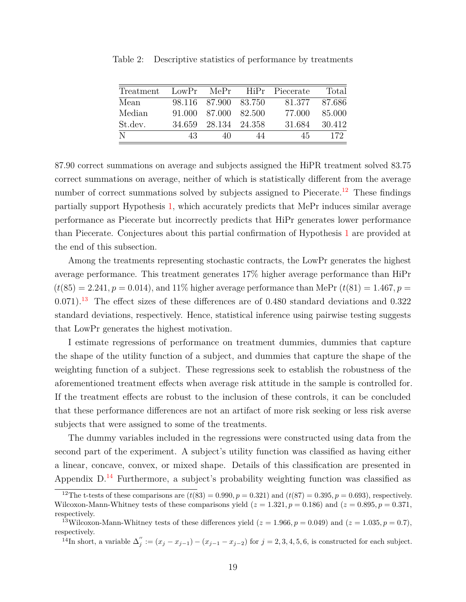| Treatment | LowPr  |                      |    | MePr HiPr Piecerate | Total  |
|-----------|--------|----------------------|----|---------------------|--------|
| Mean      |        | 98.116 87.900 83.750 |    | 81.377              | 87.686 |
| Median    |        | 91.000 87.000 82.500 |    | 77.000              | 85.000 |
| St.dev.   | 34.659 | 28.134 24.358        |    | 31.684              | 30.412 |
|           | 43     | 40                   | 44 | 45                  | 172    |

<span id="page-19-0"></span>Table 2: Descriptive statistics of performance by treatments

87.90 correct summations on average and subjects assigned the HiPR treatment solved 83.75 correct summations on average, neither of which is statistically different from the average number of correct summations solved by subjects assigned to Piecerate.<sup>[12](#page-19-1)</sup> These findings partially support Hypothesis [1,](#page-17-0) which accurately predicts that MePr induces similar average performance as Piecerate but incorrectly predicts that HiPr generates lower performance than Piecerate. Conjectures about this partial confirmation of Hypothesis [1](#page-17-0) are provided at the end of this subsection.

Among the treatments representing stochastic contracts, the LowPr generates the highest average performance. This treatment generates 17% higher average performance than HiPr  $(t(85) = 2.241, p = 0.014)$ , and 11% higher average performance than MePr  $(t(81) = 1.467, p = 0.014)$ 0*.*071). [13](#page-19-2) The effect sizes of these differences are of 0*.*480 standard deviations and 0*.*322 standard deviations, respectively. Hence, statistical inference using pairwise testing suggests that LowPr generates the highest motivation.

I estimate regressions of performance on treatment dummies, dummies that capture the shape of the utility function of a subject, and dummies that capture the shape of the weighting function of a subject. These regressions seek to establish the robustness of the aforementioned treatment effects when average risk attitude in the sample is controlled for. If the treatment effects are robust to the inclusion of these controls, it can be concluded that these performance differences are not an artifact of more risk seeking or less risk averse subjects that were assigned to some of the treatments.

The dummy variables included in the regressions were constructed using data from the second part of the experiment. A subject's utility function was classified as having either a linear, concave, convex, or mixed shape. Details of this classification are presented in Appendix  $D^{14}$  $D^{14}$  $D^{14}$  Furthermore, a subject's probability weighting function was classified as

<span id="page-19-1"></span><sup>&</sup>lt;sup>12</sup>The t-tests of these comparisons are  $(t(83) = 0.990, p = 0.321)$  and  $(t(87) = 0.395, p = 0.693)$ , respectively. Wilcoxon-Mann-Whitney tests of these comparisons yield  $(z = 1.321, p = 0.186)$  and  $(z = 0.895, p = 0.371,$ respectively.

<span id="page-19-2"></span><sup>&</sup>lt;sup>13</sup>Wilcoxon-Mann-Whitney tests of these differences yield ( $z = 1.966$ ,  $p = 0.049$ ) and ( $z = 1.035$ ,  $p = 0.7$ ), respectively.

<span id="page-19-3"></span><sup>&</sup>lt;sup>14</sup>In short, a variable  $\Delta_j'':=(x_j-x_{j-1})-(x_{j-1}-x_{j-2})$  for  $j=2,3,4,5,6$ , is constructed for each subject.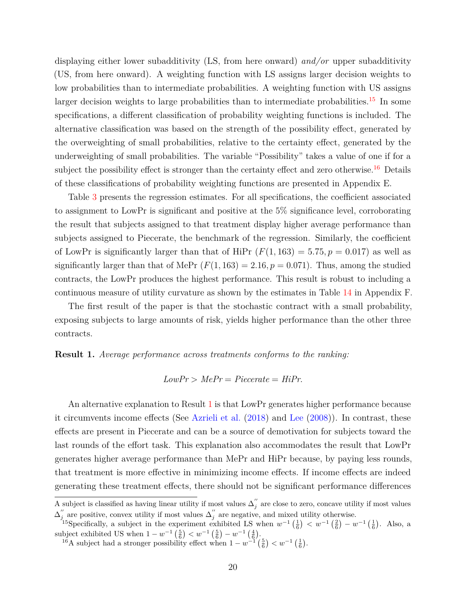displaying either lower subadditivity (LS, from here onward) *and/or* upper subadditivity (US, from here onward). A weighting function with LS assigns larger decision weights to low probabilities than to intermediate probabilities. A weighting function with US assigns larger decision weights to large probabilities than to intermediate probabilities.<sup>[15](#page-20-0)</sup> In some specifications, a different classification of probability weighting functions is included. The alternative classification was based on the strength of the possibility effect, generated by the overweighting of small probabilities, relative to the certainty effect, generated by the underweighting of small probabilities. The variable "Possibility" takes a value of one if for a subject the possibility effect is stronger than the certainty effect and zero otherwise.<sup>[16](#page-20-1)</sup> Details of these classifications of probability weighting functions are presented in Appendix E.

Table [3](#page-21-0) presents the regression estimates. For all specifications, the coefficient associated to assignment to LowPr is significant and positive at the 5% significance level, corroborating the result that subjects assigned to that treatment display higher average performance than subjects assigned to Piecerate, the benchmark of the regression. Similarly, the coefficient of LowPr is significantly larger than that of HiPr  $(F(1, 163) = 5.75, p = 0.017)$  as well as significantly larger than that of MePr  $(F(1, 163) = 2.16, p = 0.071)$ . Thus, among the studied contracts, the LowPr produces the highest performance. This result is robust to including a continuous measure of utility curvature as shown by the estimates in Table [14](#page-57-0) in Appendix F.

The first result of the paper is that the stochastic contract with a small probability, exposing subjects to large amounts of risk, yields higher performance than the other three contracts.

#### <span id="page-20-2"></span>**Result 1.** *Average performance across treatments conforms to the ranking:*

$$
LowPr > MePr = Piccerate = HiPr.
$$

An alternative explanation to Result [1](#page-20-2) is that LowPr generates higher performance because it circumvents income effects (See [Azrieli et al.](#page-32-14) [\(2018\)](#page-32-14) and [Lee](#page-33-13) [\(2008\)](#page-33-13)). In contrast, these effects are present in Piecerate and can be a source of demotivation for subjects toward the last rounds of the effort task. This explanation also accommodates the result that LowPr generates higher average performance than MePr and HiPr because, by paying less rounds, that treatment is more effective in minimizing income effects. If income effects are indeed generating these treatment effects, there should not be significant performance differences

A subject is classified as having linear utility if most values  $\Delta''_j$  are close to zero, concave utility if most values  $\Delta_j''$  are positive, convex utility if most values  $\Delta_j''$  are negative, and mixed utility otherwise.

<span id="page-20-0"></span><sup>&</sup>lt;sup>15</sup>Specifically, a subject in the experiment exhibited LS when  $w^{-1}(\frac{1}{6}) < w^{-1}(\frac{2}{6}) - w^{-1}(\frac{1}{6})$ . Also, a subject exhibited US when  $1 - w^{-1} \left( \frac{5}{6} \right) < w^{-1} \left( \frac{5}{6} \right) - w^{-1} \left( \frac{4}{6} \right)$ .

<span id="page-20-1"></span><sup>&</sup>lt;sup>16</sup>A subject had a stronger possibility effect when  $1 - w^{-1}\left(\frac{5}{6}\right) < w^{-1}\left(\frac{1}{6}\right)$ .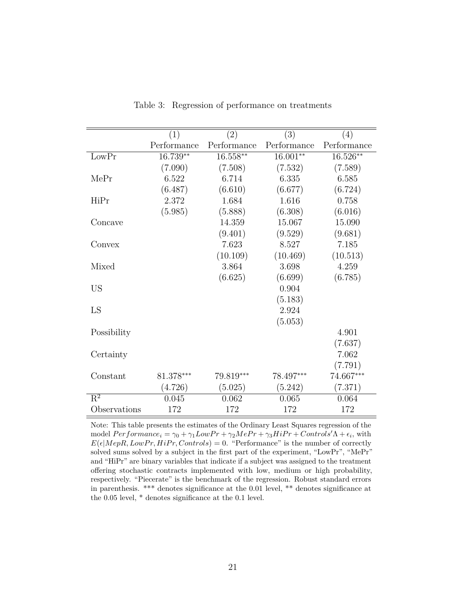<span id="page-21-0"></span>

|                           | (1)         | (2)         | (3)         | (4)         |
|---------------------------|-------------|-------------|-------------|-------------|
|                           | Performance | Performance | Performance | Performance |
| LowPr                     | 16.739**    | $16.558**$  | $16.001**$  | 16.526**    |
|                           | (7.090)     | (7.508)     | (7.532)     | (7.589)     |
| MePr                      | 6.522       | 6.714       | 6.335       | 6.585       |
|                           | (6.487)     | (6.610)     | (6.677)     | (6.724)     |
| HiPr                      | 2.372       | 1.684       | 1.616       | 0.758       |
|                           | (5.985)     | (5.888)     | (6.308)     | (6.016)     |
| Concave                   |             | 14.359      | 15.067      | 15.090      |
|                           |             | (9.401)     | (9.529)     | (9.681)     |
| Convex                    |             | 7.623       | 8.527       | 7.185       |
|                           |             | (10.109)    | (10.469)    | (10.513)    |
| Mixed                     |             | 3.864       | 3.698       | 4.259       |
|                           |             | (6.625)     | (6.699)     | (6.785)     |
| <b>US</b>                 |             |             | 0.904       |             |
|                           |             |             | (5.183)     |             |
| LS                        |             |             | 2.924       |             |
|                           |             |             | (5.053)     |             |
| Possibility               |             |             |             | 4.901       |
|                           |             |             |             | (7.637)     |
| Certainty                 |             |             |             | 7.062       |
|                           |             |             |             | (7.791)     |
| Constant                  | 81.378***   | 79.819***   | 78.497***   | 74.667***   |
|                           | (4.726)     | (5.025)     | (5.242)     | (7.371)     |
| $\overline{\mathrm{R}^2}$ | 0.045       | 0.062       | 0.065       | 0.064       |
| Observations              | 172         | 172         | 172         | 172         |

Table 3: Regression of performance on treatments

Note: This table presents the estimates of the Ordinary Least Squares regression of the model  $Performance_i = \gamma_0 + \gamma_1 Low Pr + \gamma_2 MePr + \gamma_3 High Pr + Controls'\Lambda + \epsilon_i$ , with  $E(\epsilon | \text{MepR}, \text{LowPr}, \text{HiPr}, \text{Controls}) = 0$ . "Performance" is the number of correctly solved sums solved by a subject in the first part of the experiment, "LowPr", "MePr" and "HiPr" are binary variables that indicate if a subject was assigned to the treatment offering stochastic contracts implemented with low, medium or high probability, respectively. "Piecerate" is the benchmark of the regression. Robust standard errors in parenthesis. \*\*\* denotes significance at the 0.01 level, \*\* denotes significance at the 0.05 level, \* denotes significance at the 0.1 level.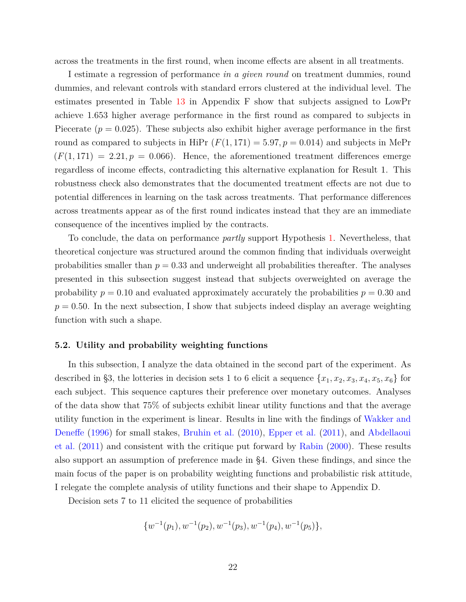across the treatments in the first round, when income effects are absent in all treatments.

I estimate a regression of performance *in a given round* on treatment dummies, round dummies, and relevant controls with standard errors clustered at the individual level. The estimates presented in Table [13](#page-56-0) in Appendix F show that subjects assigned to LowPr achieve 1*.*653 higher average performance in the first round as compared to subjects in Piecerate  $(p = 0.025)$ . These subjects also exhibit higher average performance in the first round as compared to subjects in HiPr  $(F(1, 171) = 5.97, p = 0.014)$  and subjects in MePr  $(F(1, 171) = 2.21, p = 0.066)$ . Hence, the aforementioned treatment differences emerge regardless of income effects, contradicting this alternative explanation for Result 1. This robustness check also demonstrates that the documented treatment effects are not due to potential differences in learning on the task across treatments. That performance differences across treatments appear as of the first round indicates instead that they are an immediate consequence of the incentives implied by the contracts.

To conclude, the data on performance *partly* support Hypothesis [1.](#page-17-0) Nevertheless, that theoretical conjecture was structured around the common finding that individuals overweight probabilities smaller than  $p = 0.33$  and underweight all probabilities thereafter. The analyses presented in this subsection suggest instead that subjects overweighted on average the probability  $p = 0.10$  and evaluated approximately accurately the probabilities  $p = 0.30$  and  $p = 0.50$ . In the next subsection, I show that subjects indeed display an average weighting function with such a shape.

### **5.2. Utility and probability weighting functions**

In this subsection, I analyze the data obtained in the second part of the experiment. As described in §3, the lotteries in decision sets 1 to 6 elicit a sequence  $\{x_1, x_2, x_3, x_4, x_5, x_6\}$  for each subject. This sequence captures their preference over monetary outcomes. Analyses of the data show that 75% of subjects exhibit linear utility functions and that the average utility function in the experiment is linear. Results in line with the findings of [Wakker and](#page-34-5) [Deneffe](#page-34-5) [\(1996\)](#page-34-5) for small stakes, [Bruhin et al.](#page-32-0) [\(2010\)](#page-32-0), [Epper et al.](#page-32-12) [\(2011\)](#page-32-12), and [Abdellaoui](#page-32-1) [et al.](#page-32-1) [\(2011\)](#page-32-1) and consistent with the critique put forward by [Rabin](#page-33-16) [\(2000\)](#page-33-16). These results also support an assumption of preference made in §4. Given these findings, and since the main focus of the paper is on probability weighting functions and probabilistic risk attitude, I relegate the complete analysis of utility functions and their shape to Appendix D.

Decision sets 7 to 11 elicited the sequence of probabilities

$$
\{w^{-1}(p_1), w^{-1}(p_2), w^{-1}(p_3), w^{-1}(p_4), w^{-1}(p_5)\},\
$$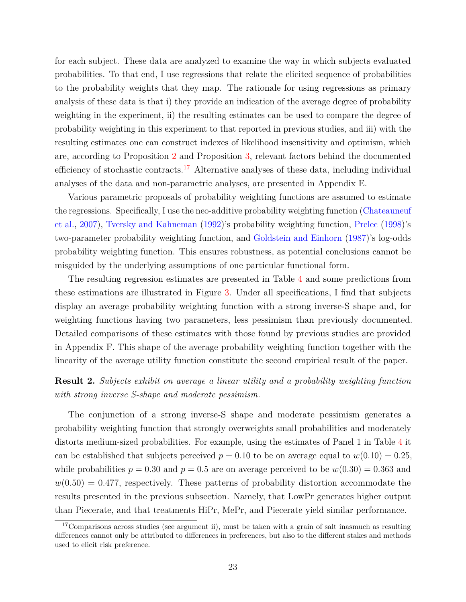for each subject. These data are analyzed to examine the way in which subjects evaluated probabilities. To that end, I use regressions that relate the elicited sequence of probabilities to the probability weights that they map. The rationale for using regressions as primary analysis of these data is that i) they provide an indication of the average degree of probability weighting in the experiment, ii) the resulting estimates can be used to compare the degree of probability weighting in this experiment to that reported in previous studies, and iii) with the resulting estimates one can construct indexes of likelihood insensitivity and optimism, which are, according to Proposition [2](#page-11-0) and Proposition [3,](#page-11-1) relevant factors behind the documented efficiency of stochastic contracts.<sup>[17](#page-23-0)</sup> Alternative analyses of these data, including individual analyses of the data and non-parametric analyses, are presented in Appendix E.

Various parametric proposals of probability weighting functions are assumed to estimate the regressions. Specifically, I use the neo-additive probability weighting function [\(Chateauneuf](#page-32-15) [et al.,](#page-32-15) [2007\)](#page-32-15), [Tversky and Kahneman](#page-34-0) [\(1992\)](#page-34-0)'s probability weighting function, [Prelec](#page-33-10) [\(1998\)](#page-33-10)'s two-parameter probability weighting function, and [Goldstein and Einhorn](#page-32-16) [\(1987\)](#page-32-16)'s log-odds probability weighting function. This ensures robustness, as potential conclusions cannot be misguided by the underlying assumptions of one particular functional form.

The resulting regression estimates are presented in Table [4](#page-24-0) and some predictions from these estimations are illustrated in Figure [3.](#page-25-0) Under all specifications, I find that subjects display an average probability weighting function with a strong inverse-S shape and, for weighting functions having two parameters, less pessimism than previously documented. Detailed comparisons of these estimates with those found by previous studies are provided in Appendix F. This shape of the average probability weighting function together with the linearity of the average utility function constitute the second empirical result of the paper.

## **Result 2.** *Subjects exhibit on average a linear utility and a probability weighting function with strong inverse S-shape and moderate pessimism.*

The conjunction of a strong inverse-S shape and moderate pessimism generates a probability weighting function that strongly overweights small probabilities and moderately distorts medium-sized probabilities. For example, using the estimates of Panel 1 in Table [4](#page-24-0) it can be established that subjects perceived  $p = 0.10$  to be on average equal to  $w(0.10) = 0.25$ , while probabilities  $p = 0.30$  and  $p = 0.5$  are on average perceived to be  $w(0.30) = 0.363$  and  $w(0.50) = 0.477$ , respectively. These patterns of probability distortion accommodate the results presented in the previous subsection. Namely, that LowPr generates higher output than Piecerate, and that treatments HiPr, MePr, and Piecerate yield similar performance.

<span id="page-23-0"></span><sup>&</sup>lt;sup>17</sup>Comparisons across studies (see argument ii), must be taken with a grain of salt inasmuch as resulting differences cannot only be attributed to differences in preferences, but also to the different stakes and methods used to elicit risk preference.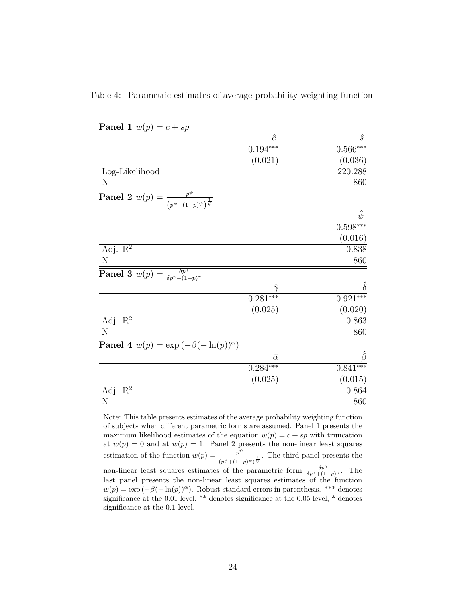| <b>Panel 1</b> $w(p) = c + sp$                                                       |                |            |
|--------------------------------------------------------------------------------------|----------------|------------|
|                                                                                      | $\hat{c}$      | $\hat{s}$  |
|                                                                                      | $0.194***$     | $0.566***$ |
|                                                                                      | (0.021)        | (0.036)    |
| Log-Likelihood                                                                       |                | 220.288    |
| N                                                                                    |                | 860        |
| <b>Panel 2</b> $w(p) = \frac{p^{\psi}}{(p^{\psi} + (1-p)^{\psi})^{\frac{1}{\psi}}}$  |                |            |
|                                                                                      |                |            |
|                                                                                      |                | $0.598***$ |
|                                                                                      |                | (0.016)    |
| Adj. $\mathbb{R}^2$                                                                  |                | 0.838      |
| N                                                                                    |                | 860        |
| <b>Panel 3</b> $w(p) = \frac{\delta p^{\gamma}}{\delta p^{\gamma} + (1-p)^{\gamma}}$ |                |            |
|                                                                                      |                |            |
|                                                                                      | $0.281***$     | $0.921***$ |
|                                                                                      | (0.025)        | (0.020)    |
| Adj. $\mathbb{R}^2$                                                                  |                | 0.863      |
| N                                                                                    |                | 860        |
| <b>Panel 4</b> $w(p) = \exp(-\beta(-\ln(p))^{\alpha})$                               |                |            |
|                                                                                      | $\hat{\alpha}$ |            |
|                                                                                      | $0.284***$     | 0.841      |
|                                                                                      | (0.025)        | (0.015)    |
| Adj. $\mathbb{R}^2$                                                                  |                | 0.864      |
| N                                                                                    |                | 860        |
|                                                                                      |                |            |

<span id="page-24-0"></span>Table 4: Parametric estimates of average probability weighting function

Note: This table presents estimates of the average probability weighting function of subjects when different parametric forms are assumed. Panel 1 presents the maximum likelihood estimates of the equation  $w(p) = c + sp$  with truncation at  $w(p) = 0$  and at  $w(p) = 1$ . Panel 2 presents the non-linear least squares estimation of the function  $w(p) = \frac{p^{\psi}}{p^{\psi}}$  $\frac{p^{\psi}}{(p^{\psi}+(1-p)^{\psi})^{\frac{1}{\psi}}}$ . The third panel presents the non-linear least squares estimates of the parametric form  $\frac{\delta p^{\gamma}}{\delta p^{\gamma}+(1-p)^{\gamma}}$ . The last panel presents the non-linear least squares estimates of the function  $w(p) = \exp(-\beta(-\ln(p))^{\alpha})$ . Robust standard errors in parenthesis. \*\*\* denotes significance at the 0.01 level, \*\* denotes significance at the 0.05 level, \* denotes significance at the 0.1 level.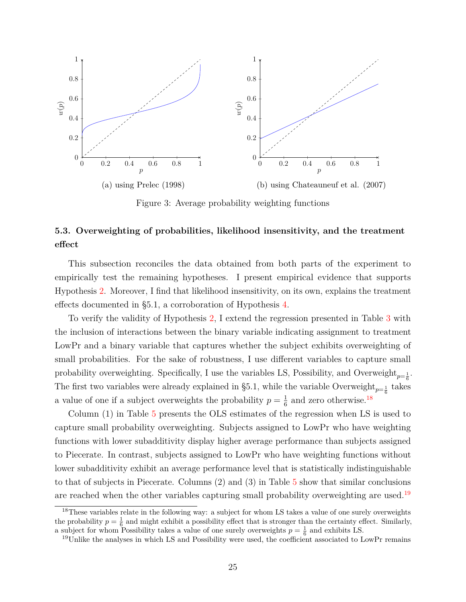<span id="page-25-0"></span>

Figure 3: Average probability weighting functions

## **5.3. Overweighting of probabilities, likelihood insensitivity, and the treatment effect**

This subsection reconciles the data obtained from both parts of the experiment to empirically test the remaining hypotheses. I present empirical evidence that supports Hypothesis [2.](#page-0-0) Moreover, I find that likelihood insensitivity, on its own, explains the treatment effects documented in §5.1, a corroboration of Hypothesis [4.](#page-18-2)

To verify the validity of Hypothesis [2,](#page-0-0) I extend the regression presented in Table [3](#page-21-0) with the inclusion of interactions between the binary variable indicating assignment to treatment LowPr and a binary variable that captures whether the subject exhibits overweighting of small probabilities. For the sake of robustness, I use different variables to capture small probability overweighting. Specifically, I use the variables LS, Possibility, and Overweight<sub> $p=\frac{1}{6}$ </sub>. The first two variables were already explained in §5.1, while the variable Overweight<sub> $p=\frac{1}{6}$ </sub> takes a value of one if a subject overweights the probability  $p = \frac{1}{6}$  $\frac{1}{6}$  and zero otherwise.<sup>[18](#page-25-1)</sup>

Column (1) in Table [5](#page-27-0) presents the OLS estimates of the regression when LS is used to capture small probability overweighting. Subjects assigned to LowPr who have weighting functions with lower subadditivity display higher average performance than subjects assigned to Piecerate. In contrast, subjects assigned to LowPr who have weighting functions without lower subadditivity exhibit an average performance level that is statistically indistinguishable to that of subjects in Piecerate. Columns (2) and (3) in Table [5](#page-27-0) show that similar conclusions are reached when the other variables capturing small probability overweighting are used.<sup>[19](#page-25-2)</sup>

<span id="page-25-1"></span><sup>&</sup>lt;sup>18</sup>These variables relate in the following way: a subject for whom LS takes a value of one surely overweights the probability  $p = \frac{1}{6}$  and might exhibit a possibility effect that is stronger than the certainty effect. Similarly, a subject for whom Possibility takes a value of one surely overweights  $p = \frac{1}{6}$  and exhibits LS.

<span id="page-25-2"></span><sup>&</sup>lt;sup>19</sup>Unlike the analyses in which LS and Possibility were used, the coefficient associated to LowPr remains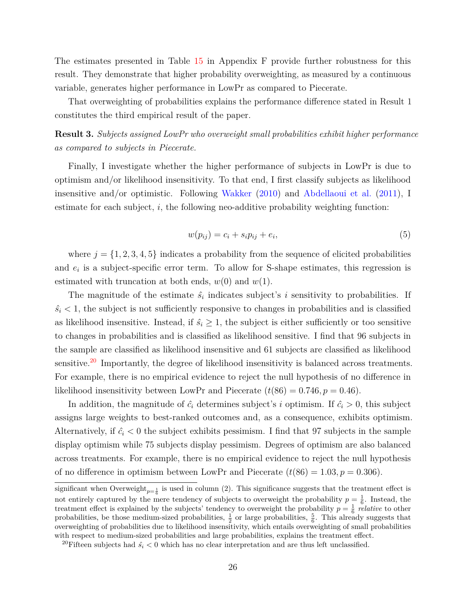The estimates presented in Table [15](#page-58-0) in Appendix F provide further robustness for this result. They demonstrate that higher probability overweighting, as measured by a continuous variable, generates higher performance in LowPr as compared to Piecerate.

That overweighting of probabilities explains the performance difference stated in Result 1 constitutes the third empirical result of the paper.

**Result 3.** *Subjects assigned LowPr who overweight small probabilities exhibit higher performance as compared to subjects in Piecerate.*

Finally, I investigate whether the higher performance of subjects in LowPr is due to optimism and/or likelihood insensitivity. To that end, I first classify subjects as likelihood insensitive and/or optimistic. Following [Wakker](#page-34-3) [\(2010\)](#page-34-3) and [Abdellaoui et al.](#page-32-1) [\(2011\)](#page-32-1), I estimate for each subject, *i*, the following neo-additive probability weighting function:

$$
w(p_{ij}) = c_i + s_i p_{ij} + e_i,\tag{5}
$$

where  $j = \{1, 2, 3, 4, 5\}$  indicates a probability from the sequence of elicited probabilities and  $e_i$  is a subject-specific error term. To allow for S-shape estimates, this regression is estimated with truncation at both ends,  $w(0)$  and  $w(1)$ .

The magnitude of the estimate  $\hat{s}_i$  indicates subject's *i* sensitivity to probabilities. If  $\hat{s}_i$  < 1, the subject is not sufficiently responsive to changes in probabilities and is classified as likelihood insensitive. Instead, if  $\hat{s_i} \geq 1$ , the subject is either sufficiently or too sensitive to changes in probabilities and is classified as likelihood sensitive. I find that 96 subjects in the sample are classified as likelihood insensitive and 61 subjects are classified as likelihood sensitive.<sup>[20](#page-26-0)</sup> Importantly, the degree of likelihood insensitivity is balanced across treatments. For example, there is no empirical evidence to reject the null hypothesis of no difference in likelihood insensitivity between LowPr and Piecerate  $(t(86) = 0.746, p = 0.46)$ .

In addition, the magnitude of  $\hat{c}_i$  determines subject's *i* optimism. If  $\hat{c}_i > 0$ , this subject assigns large weights to best-ranked outcomes and, as a consequence, exhibits optimism. Alternatively, if  $\hat{c}_i < 0$  the subject exhibits pessimism. I find that 97 subjects in the sample display optimism while 75 subjects display pessimism. Degrees of optimism are also balanced across treatments. For example, there is no empirical evidence to reject the null hypothesis of no difference in optimism between LowPr and Piecerate  $(t(86) = 1.03, p = 0.306)$ .

significant when Overweight<sub> $p=\frac{1}{6}$ </sub> is used in column (2). This significance suggests that the treatment effect is not entirely captured by the mere tendency of subjects to overweight the probability  $p = \frac{1}{6}$ . Instead, the treatment effect is explained by the subjects' tendency to overweight the probability  $p = \frac{1}{6}$  *relative* to other probabilities, be those medium-sized probabilities,  $\frac{1}{2}$  or large probabilities,  $\frac{5}{6}$ . This already suggests that overweighting of probabilities due to likelihood insensitivity, which entails overweighting of small probabilities with respect to medium-sized probabilities and large probabilities, explains the treatment effect.

<span id="page-26-0"></span><sup>&</sup>lt;sup>20</sup>Fifteen subjects had  $\hat{s_i}$  < 0 which has no clear interpretation and are thus left unclassified.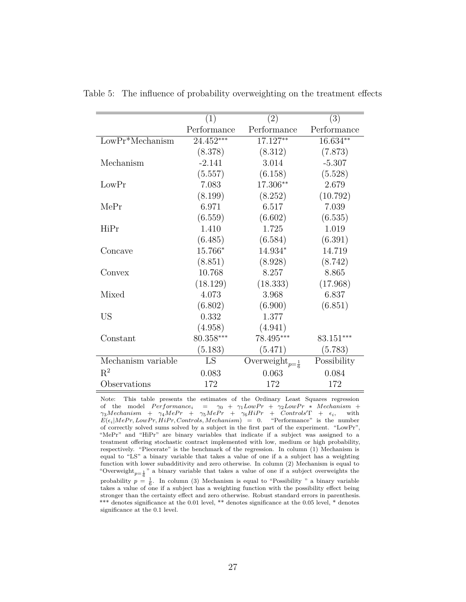|                    | (1)         | (2)                                              | (3)         |
|--------------------|-------------|--------------------------------------------------|-------------|
|                    | Performance | Performance                                      | Performance |
| $LowPr^*Mechanism$ | 24.452***   | 17.127**                                         | $16.634**$  |
|                    | (8.378)     | (8.312)                                          | (7.873)     |
| Mechanism          | $-2.141$    | 3.014                                            | $-5.307$    |
|                    | (5.557)     | (6.158)                                          | (5.528)     |
| LowPr              | 7.083       | 17.306**                                         | 2.679       |
|                    | (8.199)     | (8.252)                                          | (10.792)    |
| MePr               | 6.971       | 6.517                                            | 7.039       |
|                    | (6.559)     | (6.602)                                          | (6.535)     |
| HiPr               | 1.410       | 1.725                                            | 1.019       |
|                    | (6.485)     | (6.584)                                          | (6.391)     |
| Concave            | 15.766*     | 14.934*                                          | 14.719      |
|                    | (8.851)     | (8.928)                                          | (8.742)     |
| Convex             | 10.768      | 8.257                                            | 8.865       |
|                    | (18.129)    | (18.333)                                         | (17.968)    |
| Mixed              | 4.073       | 3.968                                            | 6.837       |
|                    | (6.802)     | (6.900)                                          | (6.851)     |
| US                 | 0.332       | 1.377                                            |             |
|                    | (4.958)     | (4.941)                                          |             |
| Constant           | 80.358***   | 78.495***                                        | 83.151***   |
|                    | (5.183)     | (5.471)                                          | (5.783)     |
| Mechanism variable | LS          | Overweight <sub><math>p=\frac{1}{6}</math></sub> | Possibility |
| $R^2$              | 0.083       | 0.063                                            | 0.084       |
| Observations       | 172         | 172                                              | 172         |

<span id="page-27-0"></span>Table 5: The influence of probability overweighting on the treatment effects

Note: This table presents the estimates of the Ordinary Least Squares regression of the model  $Performance_i = \gamma_0 + \gamma_1 Low Pr + \gamma_2 Low Pr * Mechanism +$  $\gamma_3 Mechanism$  +  $\gamma_4 M e Pr$  +  $\gamma_5 M e Pr$  +  $\gamma_6 H i Pr$  +  $Controls' \Gamma$  +  $\epsilon_i$ , with  $E(\epsilon_i|MePr, LowPr, HiPr, Controls, Mechanism) = 0.$  "Performance" is the number of correctly solved sums solved by a subject in the first part of the experiment. "LowPr", "MePr" and "HiPr" are binary variables that indicate if a subject was assigned to a treatment offering stochastic contract implemented with low, medium or high probability, respectively. "Piecerate" is the benchmark of the regression. In column (1) Mechanism is equal to "LS" a binary variable that takes a value of one if a a subject has a weighting function with lower subadditivity and zero otherwise. In column (2) Mechanism is equal to "Overweight<sub>p= $\frac{1}{6}$ </sub>" a binary variable that takes a value of one if a subject overweights the probability  $p = \frac{1}{6}$ . In column (3) Mechanism is equal to "Possibility " a binary variable takes a value of one if a subject has a weighting function with the possibility effect being stronger than the certainty effect and zero otherwise. Robust standard errors in parenthesis. \*\*\* denotes significance at the 0.01 level, \*\* denotes significance at the 0.05 level, \* denotes significance at the 0.1 level.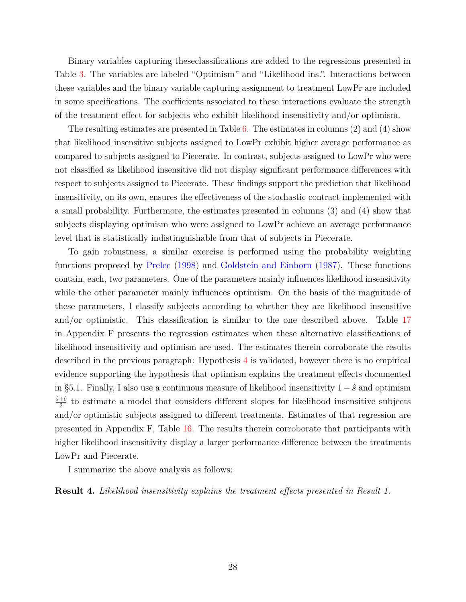Binary variables capturing theseclassifications are added to the regressions presented in Table [3.](#page-21-0) The variables are labeled "Optimism" and "Likelihood ins.". Interactions between these variables and the binary variable capturing assignment to treatment LowPr are included in some specifications. The coefficients associated to these interactions evaluate the strength of the treatment effect for subjects who exhibit likelihood insensitivity and/or optimism.

The resulting estimates are presented in Table [6.](#page-29-0) The estimates in columns  $(2)$  and  $(4)$  show that likelihood insensitive subjects assigned to LowPr exhibit higher average performance as compared to subjects assigned to Piecerate. In contrast, subjects assigned to LowPr who were not classified as likelihood insensitive did not display significant performance differences with respect to subjects assigned to Piecerate. These findings support the prediction that likelihood insensitivity, on its own, ensures the effectiveness of the stochastic contract implemented with a small probability. Furthermore, the estimates presented in columns (3) and (4) show that subjects displaying optimism who were assigned to LowPr achieve an average performance level that is statistically indistinguishable from that of subjects in Piecerate.

To gain robustness, a similar exercise is performed using the probability weighting functions proposed by [Prelec](#page-33-10) [\(1998\)](#page-33-10) and [Goldstein and Einhorn](#page-32-16) [\(1987\)](#page-32-16). These functions contain, each, two parameters. One of the parameters mainly influences likelihood insensitivity while the other parameter mainly influences optimism. On the basis of the magnitude of these parameters, I classify subjects according to whether they are likelihood insensitive and/or optimistic. This classification is similar to the one described above. Table [17](#page-60-0) in Appendix F presents the regression estimates when these alternative classifications of likelihood insensitivity and optimism are used. The estimates therein corroborate the results described in the previous paragraph: Hypothesis [4](#page-18-2) is validated, however there is no empirical evidence supporting the hypothesis that optimism explains the treatment effects documented in §5.1. Finally, I also use a continuous measure of likelihood insensitivity 1 − *s*ˆ and optimism *s*ˆ+ˆ*c*  $\frac{1}{2}$  to estimate a model that considers different slopes for likelihood insensitive subjects and/or optimistic subjects assigned to different treatments. Estimates of that regression are presented in Appendix F, Table [16.](#page-59-0) The results therein corroborate that participants with higher likelihood insensitivity display a larger performance difference between the treatments LowPr and Piecerate.

I summarize the above analysis as follows:

**Result 4.** *Likelihood insensitivity explains the treatment effects presented in Result 1.*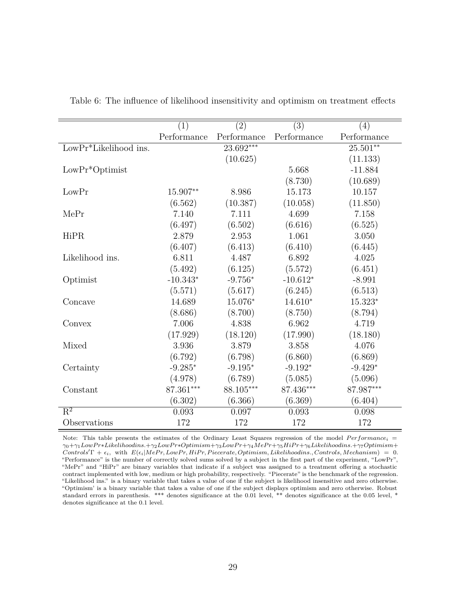|                          | (1)         | (2)         | (3)         | (4)         |
|--------------------------|-------------|-------------|-------------|-------------|
|                          | Performance | Performance | Performance | Performance |
| $LowPr^*Likelihood$ ins. |             | $23.692***$ |             | $25.501**$  |
|                          |             | (10.625)    |             | (11.133)    |
| $LowPr^*Optimist$        |             |             | 5.668       | $-11.884$   |
|                          |             |             | (8.730)     | (10.689)    |
| LowPr                    | 15.907**    | 8.986       | 15.173      | 10.157      |
|                          | (6.562)     | (10.387)    | (10.058)    | (11.850)    |
| MePr                     | 7.140       | 7.111       | 4.699       | 7.158       |
|                          | (6.497)     | (6.502)     | (6.616)     | (6.525)     |
| HiPR                     | 2.879       | 2.953       | 1.061       | 3.050       |
|                          | (6.407)     | (6.413)     | (6.410)     | (6.445)     |
| Likelihood ins.          | 6.811       | 4.487       | 6.892       | 4.025       |
|                          | (5.492)     | (6.125)     | (5.572)     | (6.451)     |
| Optimist                 | $-10.343*$  | $-9.756*$   | $-10.612*$  | $-8.991$    |
|                          | (5.571)     | (5.617)     | (6.245)     | (6.513)     |
| Concave                  | 14.689      | 15.076*     | $14.610*$   | $15.323*$   |
|                          | (8.686)     | (8.700)     | (8.750)     | (8.794)     |
| Convex                   | 7.006       | 4.838       | 6.962       | 4.719       |
|                          | (17.929)    | (18.120)    | (17.990)    | (18.180)    |
| Mixed                    | 3.936       | 3.879       | 3.858       | 4.076       |
|                          | (6.792)     | (6.798)     | (6.860)     | (6.869)     |
| Certainty                | $-9.285*$   | $-9.195*$   | $-9.192*$   | $-9.429*$   |
|                          | (4.978)     | (6.789)     | (5.085)     | (5.096)     |
| Constant                 | $87.361***$ | $88.105***$ | $87.436***$ | 87.987***   |
|                          | (6.302)     | (6.366)     | (6.369)     | (6.404)     |
| $R^2$                    | 0.093       | 0.097       | 0.093       | 0.098       |
| Observations             | 172         | 172         | 172         | 172         |

<span id="page-29-0"></span>Table 6: The influence of likelihood insensitivity and optimism on treatment effects

Note: This table presents the estimates of the Ordinary Least Squares regression of the model  $Performance_i =$ *γ*0+*γ*1*LowP r*∗*Likelihoodins.*+*γ*2*LowP r*∗*Optimism*+*γ*3*LowP r*+*γ*4*MeP r*+*γ*5*HiP r*+*γ*6*Likelihoodins.*+*γ*7*Optimism*+  $Controls^{\prime}\Gamma + \epsilon_i$ , with  $E(\epsilon_i|MePr, LowPr, HiPr, Piccerate, Optimism, Likelihoodins., Controls, Mechanism) = 0.$ "Performance" is the number of correctly solved sums solved by a subject in the first part of the experiment, "LowPr", "MePr" and "HiPr" are binary variables that indicate if a subject was assigned to a treatment offering a stochastic contract implemented with low, medium or high probability, respectively. "Piecerate" is the benchmark of the regression. "Likelihood ins." is a binary variable that takes a value of one if the subject is likelihood insensitive and zero otherwise. "Optimism' is a binary variable that takes a value of one if the subject displays optimism and zero otherwise. Robust standard errors in parenthesis. \*\*\* denotes significance at the 0.01 level, \*\* denotes significance at the 0.05 level, \* denotes significance at the 0.1 level.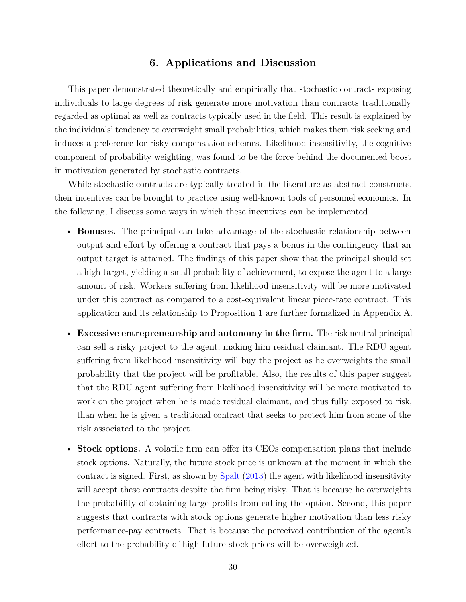## **6. Applications and Discussion**

This paper demonstrated theoretically and empirically that stochastic contracts exposing individuals to large degrees of risk generate more motivation than contracts traditionally regarded as optimal as well as contracts typically used in the field. This result is explained by the individuals' tendency to overweight small probabilities, which makes them risk seeking and induces a preference for risky compensation schemes. Likelihood insensitivity, the cognitive component of probability weighting, was found to be the force behind the documented boost in motivation generated by stochastic contracts.

While stochastic contracts are typically treated in the literature as abstract constructs, their incentives can be brought to practice using well-known tools of personnel economics. In the following, I discuss some ways in which these incentives can be implemented.

- **Bonuses.** The principal can take advantage of the stochastic relationship between output and effort by offering a contract that pays a bonus in the contingency that an output target is attained. The findings of this paper show that the principal should set a high target, yielding a small probability of achievement, to expose the agent to a large amount of risk. Workers suffering from likelihood insensitivity will be more motivated under this contract as compared to a cost-equivalent linear piece-rate contract. This application and its relationship to Proposition 1 are further formalized in Appendix A.
- **Excessive entrepreneurship and autonomy in the firm.** The risk neutral principal can sell a risky project to the agent, making him residual claimant. The RDU agent suffering from likelihood insensitivity will buy the project as he overweights the small probability that the project will be profitable. Also, the results of this paper suggest that the RDU agent suffering from likelihood insensitivity will be more motivated to work on the project when he is made residual claimant, and thus fully exposed to risk, than when he is given a traditional contract that seeks to protect him from some of the risk associated to the project.
- **Stock options.** A volatile firm can offer its CEOs compensation plans that include stock options. Naturally, the future stock price is unknown at the moment in which the contract is signed. First, as shown by [Spalt](#page-33-6) [\(2013\)](#page-33-6) the agent with likelihood insensitivity will accept these contracts despite the firm being risky. That is because he overweights the probability of obtaining large profits from calling the option. Second, this paper suggests that contracts with stock options generate higher motivation than less risky performance-pay contracts. That is because the perceived contribution of the agent's effort to the probability of high future stock prices will be overweighted.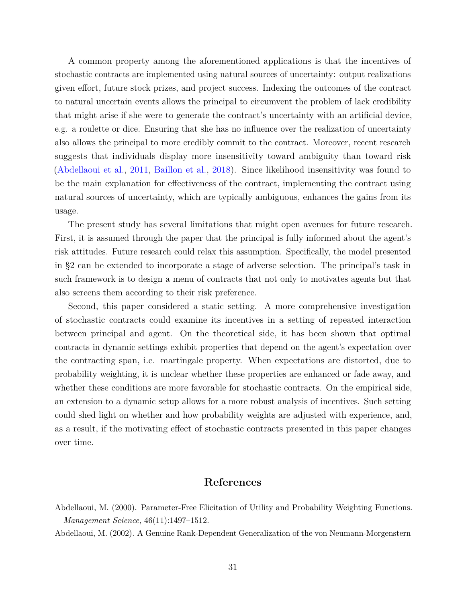A common property among the aforementioned applications is that the incentives of stochastic contracts are implemented using natural sources of uncertainty: output realizations given effort, future stock prizes, and project success. Indexing the outcomes of the contract to natural uncertain events allows the principal to circumvent the problem of lack credibility that might arise if she were to generate the contract's uncertainty with an artificial device, e.g. a roulette or dice. Ensuring that she has no influence over the realization of uncertainty also allows the principal to more credibly commit to the contract. Moreover, recent research suggests that individuals display more insensitivity toward ambiguity than toward risk [\(Abdellaoui et al.,](#page-32-1) [2011,](#page-32-1) [Baillon et al.,](#page-32-17) [2018\)](#page-32-17). Since likelihood insensitivity was found to be the main explanation for effectiveness of the contract, implementing the contract using natural sources of uncertainty, which are typically ambiguous, enhances the gains from its usage.

The present study has several limitations that might open avenues for future research. First, it is assumed through the paper that the principal is fully informed about the agent's risk attitudes. Future research could relax this assumption. Specifically, the model presented in §2 can be extended to incorporate a stage of adverse selection. The principal's task in such framework is to design a menu of contracts that not only to motivates agents but that also screens them according to their risk preference.

Second, this paper considered a static setting. A more comprehensive investigation of stochastic contracts could examine its incentives in a setting of repeated interaction between principal and agent. On the theoretical side, it has been shown that optimal contracts in dynamic settings exhibit properties that depend on the agent's expectation over the contracting span, i.e. martingale property. When expectations are distorted, due to probability weighting, it is unclear whether these properties are enhanced or fade away, and whether these conditions are more favorable for stochastic contracts. On the empirical side, an extension to a dynamic setup allows for a more robust analysis of incentives. Such setting could shed light on whether and how probability weights are adjusted with experience, and, as a result, if the motivating effect of stochastic contracts presented in this paper changes over time.

## **References**

<span id="page-31-0"></span>Abdellaoui, M. (2000). Parameter-Free Elicitation of Utility and Probability Weighting Functions. *Management Science*, 46(11):1497–1512.

<span id="page-31-1"></span>Abdellaoui, M. (2002). A Genuine Rank-Dependent Generalization of the von Neumann-Morgenstern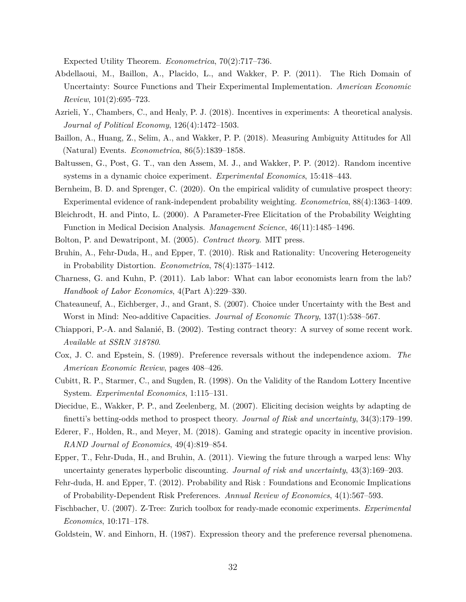Expected Utility Theorem. *Econometrica*, 70(2):717–736.

- <span id="page-32-1"></span>Abdellaoui, M., Baillon, A., Placido, L., and Wakker, P. P. (2011). The Rich Domain of Uncertainty: Source Functions and Their Experimental Implementation. *American Economic Review*, 101(2):695–723.
- <span id="page-32-14"></span>Azrieli, Y., Chambers, C., and Healy, P. J. (2018). Incentives in experiments: A theoretical analysis. *Journal of Political Economy*, 126(4):1472–1503.
- <span id="page-32-17"></span>Baillon, A., Huang, Z., Selim, A., and Wakker, P. P. (2018). Measuring Ambiguity Attitudes for All (Natural) Events. *Econometrica*, 86(5):1839–1858.
- <span id="page-32-9"></span>Baltussen, G., Post, G. T., van den Assem, M. J., and Wakker, P. P. (2012). Random incentive systems in a dynamic choice experiment. *Experimental Economics*, 15:418–443.
- <span id="page-32-10"></span>Bernheim, B. D. and Sprenger, C. (2020). On the empirical validity of cumulative prospect theory: Experimental evidence of rank-independent probability weighting. *Econometrica*, 88(4):1363–1409.
- <span id="page-32-18"></span>Bleichrodt, H. and Pinto, L. (2000). A Parameter-Free Elicitation of the Probability Weighting Function in Medical Decision Analysis. *Management Science*, 46(11):1485–1496.
- <span id="page-32-7"></span><span id="page-32-0"></span>Bolton, P. and Dewatripont, M. (2005). *Contract theory*. MIT press.
- Bruhin, A., Fehr-Duda, H., and Epper, T. (2010). Risk and Rationality: Uncovering Heterogeneity in Probability Distortion. *Econometrica*, 78(4):1375–1412.
- <span id="page-32-3"></span>Charness, G. and Kuhn, P. (2011). Lab labor: What can labor economists learn from the lab? *Handbook of Labor Economics*, 4(Part A):229–330.
- <span id="page-32-15"></span>Chateauneuf, A., Eichberger, J., and Grant, S. (2007). Choice under Uncertainty with the Best and Worst in Mind: Neo-additive Capacities. *Journal of Economic Theory*, 137(1):538–567.
- <span id="page-32-6"></span>Chiappori, P.-A. and Salanié, B. (2002). Testing contract theory: A survey of some recent work. *Available at SSRN 318780*.
- <span id="page-32-5"></span>Cox, J. C. and Epstein, S. (1989). Preference reversals without the independence axiom. *The American Economic Review*, pages 408–426.
- <span id="page-32-8"></span>Cubitt, R. P., Starmer, C., and Sugden, R. (1998). On the Validity of the Random Lottery Incentive System. *Experimental Economics*, 1:115–131.
- <span id="page-32-13"></span>Diecidue, E., Wakker, P. P., and Zeelenberg, M. (2007). Eliciting decision weights by adapting de finetti's betting-odds method to prospect theory. *Journal of Risk and uncertainty*, 34(3):179–199.
- <span id="page-32-2"></span>Ederer, F., Holden, R., and Meyer, M. (2018). Gaming and strategic opacity in incentive provision. *RAND Journal of Economics*, 49(4):819–854.
- <span id="page-32-12"></span>Epper, T., Fehr-Duda, H., and Bruhin, A. (2011). Viewing the future through a warped lens: Why uncertainty generates hyperbolic discounting. *Journal of risk and uncertainty*, 43(3):169–203.
- <span id="page-32-11"></span>Fehr-duda, H. and Epper, T. (2012). Probability and Risk : Foundations and Economic Implications of Probability-Dependent Risk Preferences. *Annual Review of Economics*, 4(1):567–593.
- <span id="page-32-4"></span>Fischbacher, U. (2007). Z-Tree: Zurich toolbox for ready-made economic experiments. *Experimental Economics*, 10:171–178.
- <span id="page-32-16"></span>Goldstein, W. and Einhorn, H. (1987). Expression theory and the preference reversal phenomena.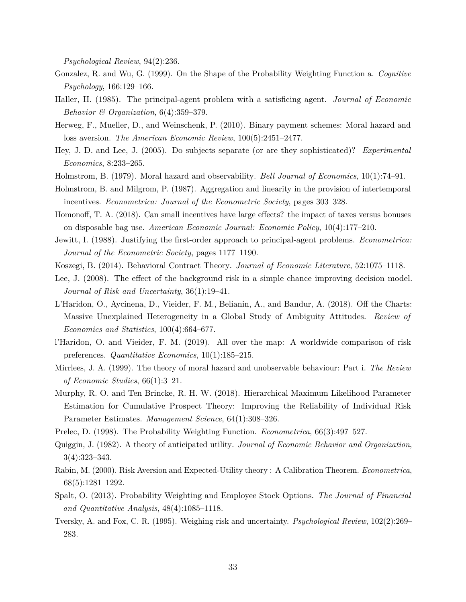*Psychological Review*, 94(2):236.

- <span id="page-33-2"></span>Gonzalez, R. and Wu, G. (1999). On the Shape of the Probability Weighting Function a. *Cognitive Psychology*, 166:129–166.
- <span id="page-33-4"></span>Haller, H. (1985). The principal-agent problem with a satisficing agent. *Journal of Economic Behavior & Organization*, 6(4):359–379.
- <span id="page-33-5"></span>Herweg, F., Mueller, D., and Weinschenk, P. (2010). Binary payment schemes: Moral hazard and loss aversion. *The American Economic Review*, 100(5):2451–2477.
- <span id="page-33-12"></span>Hey, J. D. and Lee, J. (2005). Do subjects separate (or are they sophisticated)? *Experimental Economics*, 8:233–265.
- <span id="page-33-11"></span><span id="page-33-0"></span>Holmstrom, B. (1979). Moral hazard and observability. *Bell Journal of Economics*, 10(1):74–91.
- Holmstrom, B. and Milgrom, P. (1987). Aggregation and linearity in the provision of intertemporal incentives. *Econometrica: Journal of the Econometric Society*, pages 303–328.
- <span id="page-33-15"></span>Homonoff, T. A. (2018). Can small incentives have large effects? the impact of taxes versus bonuses on disposable bag use. *American Economic Journal: Economic Policy*, 10(4):177–210.
- <span id="page-33-8"></span>Jewitt, I. (1988). Justifying the first-order approach to principal-agent problems. *Econometrica: Journal of the Econometric Society*, pages 1177–1190.
- <span id="page-33-13"></span><span id="page-33-3"></span>Koszegi, B. (2014). Behavioral Contract Theory. *Journal of Economic Literature*, 52:1075–1118.
- Lee, J. (2008). The effect of the background risk in a simple chance improving decision model. *Journal of Risk and Uncertainty*, 36(1):19–41.
- <span id="page-33-18"></span>L'Haridon, O., Aycinena, D., Vieider, F. M., Belianin, A., and Bandur, A. (2018). Off the Charts: Massive Unexplained Heterogeneity in a Global Study of Ambiguity Attitudes. *Review of Economics and Statistics*, 100(4):664–677.
- <span id="page-33-14"></span>l'Haridon, O. and Vieider, F. M. (2019). All over the map: A worldwide comparison of risk preferences. *Quantitative Economics*, 10(1):185–215.
- <span id="page-33-7"></span>Mirrlees, J. A. (1999). The theory of moral hazard and unobservable behaviour: Part i. *The Review of Economic Studies*, 66(1):3–21.
- <span id="page-33-17"></span>Murphy, R. O. and Ten Brincke, R. H. W. (2018). Hierarchical Maximum Likelihood Parameter Estimation for Cumulative Prospect Theory: Improving the Reliability of Individual Risk Parameter Estimates. *Management Science*, 64(1):308–326.
- <span id="page-33-10"></span><span id="page-33-9"></span>Prelec, D. (1998). The Probability Weighting Function. *Econometrica*, 66(3):497–527.
- Quiggin, J. (1982). A theory of anticipated utility. *Journal of Economic Behavior and Organization*, 3(4):323–343.
- <span id="page-33-16"></span>Rabin, M. (2000). Risk Aversion and Expected-Utility theory : A Calibration Theorem. *Econometrica*, 68(5):1281–1292.
- <span id="page-33-6"></span>Spalt, O. (2013). Probability Weighting and Employee Stock Options. *The Journal of Financial and Quantitative Analysis*, 48(4):1085–1118.
- <span id="page-33-1"></span>Tversky, A. and Fox, C. R. (1995). Weighing risk and uncertainty. *Psychological Review*, 102(2):269– 283.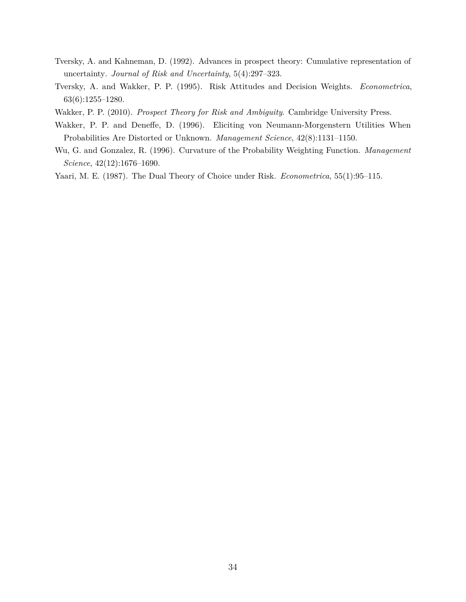- <span id="page-34-0"></span>Tversky, A. and Kahneman, D. (1992). Advances in prospect theory: Cumulative representation of uncertainty. *Journal of Risk and Uncertainty*, 5(4):297–323.
- <span id="page-34-2"></span>Tversky, A. and Wakker, P. P. (1995). Risk Attitudes and Decision Weights. *Econometrica*, 63(6):1255–1280.
- <span id="page-34-5"></span><span id="page-34-3"></span>Wakker, P. P. (2010). *Prospect Theory for Risk and Ambiguity*. Cambridge University Press.
- Wakker, P. P. and Deneffe, D. (1996). Eliciting von Neumann-Morgenstern Utilities When Probabilities Are Distorted or Unknown. *Management Science*, 42(8):1131–1150.
- <span id="page-34-1"></span>Wu, G. and Gonzalez, R. (1996). Curvature of the Probability Weighting Function. *Management Science*, 42(12):1676–1690.
- <span id="page-34-4"></span>Yaari, M. E. (1987). The Dual Theory of Choice under Risk. *Econometrica*, 55(1):95–115.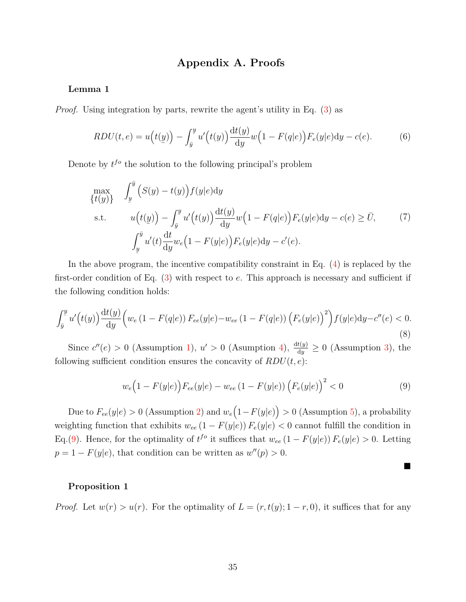## **Appendix A. Proofs**

### **Lemma 1**

*Proof.* Using integration by parts, rewrite the agent's utility in Eq. [\(3\)](#page-6-1) as

$$
RDU(t, e) = u\left(t(\underline{y})\right) - \int_{\overline{y}}^{\underline{y}} u'\left(t(y)\right) \frac{\mathrm{d}t(y)}{\mathrm{d}y} w\left(1 - F(q|e)\right) F_e(y|e) \mathrm{d}y - c(e). \tag{6}
$$

Denote by  $t^{fo}$  the solution to the following principal's problem

$$
\max_{\{t(y)\}} \int_{\underline{y}}^{\overline{y}} \left( S(y) - t(y) \right) f(y|e) dy
$$
  
s.t. 
$$
u(t(\underline{y})) - \int_{\overline{y}}^{\underline{y}} u'(t(y)) \frac{dt(y)}{dy} w\left(1 - F(q|e)\right) F_e(y|e) dy - c(e) \ge \overline{U}, \qquad (7)
$$

$$
\int_{\underline{y}}^{\overline{y}} u'(t) \frac{dt}{dy} w_e\left(1 - F(y|e)\right) F_e(y|e) dy - c'(e).
$$

In the above program, the incentive compatibility constraint in Eq. [\(4\)](#page-8-2) is replaced by the first-order condition of Eq. [\(3\)](#page-6-1) with respect to *e*. This approach is necessary and sufficient if the following condition holds:

<span id="page-35-1"></span>
$$
\int_{\bar{y}}^{\bar{y}} u'\Big(t(y)\Big) \frac{\mathrm{d}t(y)}{\mathrm{d}y} \Big(w_e \left(1 - F(q|e)\right) F_{ee}(y|e) - w_{ee} \left(1 - F(q|e)\right) \left(F_e(y|e)\right)^2\Big) f(y|e) \mathrm{d}y - c''(e) < 0. \tag{8}
$$

Since  $c''(e) > 0$  (Assumption [1\)](#page-4-1),  $u' > 0$  (Assumption [4\)](#page-5-3),  $\frac{d^2(y)}{dy} \ge 0$  (Assumption [3\)](#page-4-0), the following sufficient condition ensures the concavity of  $RDU(t, e)$ :

<span id="page-35-0"></span>
$$
w_e(1 - F(y|e))F_{ee}(y|e) - w_{ee}(1 - F(y|e))\left(F_e(y|e)\right)^2 < 0\tag{9}
$$

■

Due to  $F_{ee}(y|e) > 0$  (Assumption [2\)](#page-4-2) and  $w_e(1 - F(y|e)) > 0$  (Assumption [5\)](#page-5-1), a probability weighting function that exhibits  $w_{ee} (1 - F(y|e)) F_e(y|e) < 0$  cannot fulfill the condition in Eq.[\(9\)](#page-35-0). Hence, for the optimality of  $t^{fo}$  it suffices that  $w_{ee}(1 - F(y|e)) F_e(y|e) > 0$ . Letting  $p = 1 - F(y|e)$ , that condition can be written as  $w''(p) > 0$ .

### **Proposition 1**

*Proof.* Let  $w(r) > u(r)$ . For the optimality of  $L = (r, t(y); 1-r, 0)$ , it suffices that for any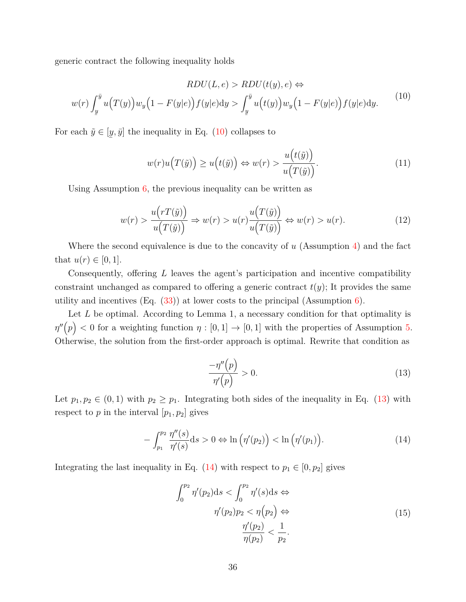generic contract the following inequality holds

<span id="page-36-0"></span>
$$
RDU(L, e) > RDU(t(y), e) \Leftrightarrow
$$
  

$$
w(r) \int_{\underline{y}}^{\overline{y}} u(T(y)) w_y \left(1 - F(y|e)\right) f(y|e) dy > \int_{\underline{y}}^{\overline{y}} u\left(t(y)\right) w_y \left(1 - F(y|e)\right) f(y|e) dy.
$$
 (10)

For each  $\tilde{y} \in [$ ¯  $y, \bar{y}$  the inequality in Eq. [\(10\)](#page-36-0) collapses to

$$
w(r)u\big(T(\tilde{y})\big) \ge u\big(t(\tilde{y})\big) \Leftrightarrow w(r) > \frac{u\big(t(\tilde{y})\big)}{u\big(T(\tilde{y})\big)}.\tag{11}
$$

Using Assumption [6,](#page-9-0) the previous inequality can be written as

$$
w(r) > \frac{u(rT(\tilde{y}))}{u(T(\tilde{y}))} \Rightarrow w(r) > u(r) \frac{u(T(\tilde{y}))}{u(T(\tilde{y}))} \Leftrightarrow w(r) > u(r). \tag{12}
$$

Where the second equivalence is due to the concavity of *u* (Assumption [4\)](#page-5-3) and the fact that  $u(r) \in [0, 1]$ .

Consequently, offering *L* leaves the agent's participation and incentive compatibility constraint unchanged as compared to offering a generic contract  $t(y)$ ; It provides the same utility and incentives  $(Eq. (33))$  $(Eq. (33))$  $(Eq. (33))$  at lower costs to the principal (Assumption [6\)](#page-9-0).

Let *L* be optimal. According to Lemma 1, a necessary condition for that optimality is  $\eta''(p) < 0$  for a weighting function  $\eta : [0,1] \to [0,1]$  with the properties of Assumption [5.](#page-5-1) Otherwise, the solution from the first-order approach is optimal. Rewrite that condition as

<span id="page-36-1"></span>
$$
\frac{-\eta''(p)}{\eta'(p)} > 0. \tag{13}
$$

Let  $p_1, p_2 \in (0, 1)$  with  $p_2 \geq p_1$ . Integrating both sides of the inequality in Eq. [\(13\)](#page-36-1) with respect to  $p$  in the interval  $[p_1, p_2]$  gives

<span id="page-36-2"></span>
$$
-\int_{p_1}^{p_2} \frac{\eta''(s)}{\eta'(s)} ds > 0 \Leftrightarrow \ln\left(\eta'(p_2)\right) < \ln\left(\eta'(p_1)\right). \tag{14}
$$

<span id="page-36-3"></span>Integrating the last inequality in Eq.  $(14)$  with respect to  $p_1 \in [0, p_2]$  gives

$$
\int_0^{p_2} \eta'(p_2)ds < \int_0^{p_2} \eta'(s)ds \Leftrightarrow
$$
\n
$$
\eta'(p_2)p_2 < \eta(p_2) \Leftrightarrow
$$
\n
$$
\frac{\eta'(p_2)}{\eta(p_2)} < \frac{1}{p_2}.\tag{15}
$$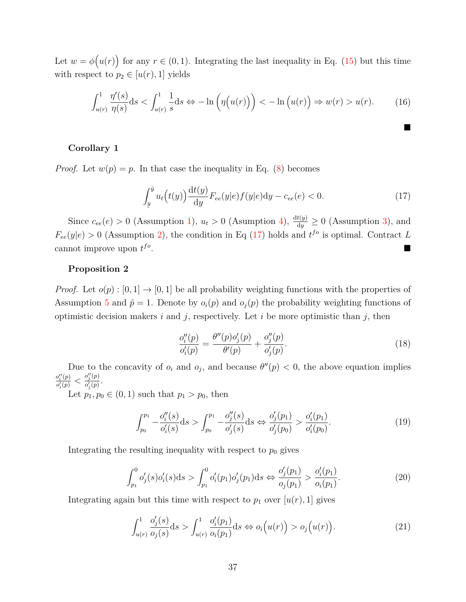Let  $w = \phi(u(r))$  for any  $r \in (0, 1)$ . Integrating the last inequality in Eq. [\(15\)](#page-36-3) but this time with respect to  $p_2 \in [u(r), 1]$  yields

$$
\int_{u(r)}^{1} \frac{\eta'(s)}{\eta(s)} ds < \int_{u(r)}^{1} \frac{1}{s} ds \Leftrightarrow -\ln\left(\eta\big(u(r)\big)\right) < -\ln\big(u(r)\big) \Rightarrow w(r) > u(r). \tag{16}
$$

### **Corollary 1**

*Proof.* Let  $w(p) = p$ . In that case the inequality in Eq. [\(8\)](#page-35-1) becomes

<span id="page-37-0"></span>
$$
\int_{y}^{\bar{y}} u_t(t(y)) \frac{\mathrm{d}t(y)}{\mathrm{d}y} F_{ee}(y|e) f(y|e) \mathrm{d}y - c_{ee}(e) < 0. \tag{17}
$$

 $\blacksquare$ 

Since  $c_{ee}(e) > 0$  (Assumption [1\)](#page-4-1),  $u_t > 0$  (Assumption [4\)](#page-5-3),  $\frac{d^2(y)}{dy} \ge 0$  (Assumption [3\)](#page-4-0), and  $F_{ee}(y|e) > 0$  (Assumption [2\)](#page-4-2), the condition in Eq [\(17\)](#page-37-0) holds and  $t^{fo}$  is optimal. Contract *L* cannot improve upon  $t^{fo}$ .

### **Proposition 2**

*Proof.* Let  $o(p): [0,1] \to [0,1]$  be all probability weighting functions with the properties of Assumption [5](#page-5-1) and  $\tilde{p} = 1$ . Denote by  $o_i(p)$  and  $o_j(p)$  the probability weighting functions of optimistic decision makers *i* and *j*, respectively. Let *i* be more optimistic than *j*, then

$$
\frac{o_i''(p)}{o_i'(p)} = \frac{\theta''(p)o_j'(p)}{\theta'(p)} + \frac{o_j''(p)}{o_j'(p)}.
$$
\n(18)

Due to the concavity of  $o_i$  and  $o_j$ , and because  $\theta''(p) < 0$ , the above equation implies  $o_i''(p)$  $\frac{o^{\prime\prime}_i(p)}{o^\prime_i(p)} < \frac{o^{\prime\prime}_j(p)}{o^\prime_j(p)}$  $\frac{\sigma_j(p)}{\sigma'_j(p)}$ .

Let  $p_1, p_0 \in (0, 1)$  such that  $p_1 > p_0$ , then

$$
\int_{p_0}^{p_1} -\frac{o_i''(s)}{o_i'(s)} ds > \int_{p_0}^{p_1} -\frac{o_j''(s)}{o_j'(s)} ds \Leftrightarrow \frac{o_j'(p_1)}{o_j'(p_0)} > \frac{o_i'(p_1)}{o_i'(p_0)}.
$$
\n(19)

Integrating the resulting inequality with respect to  $p_0$  gives

$$
\int_{p_1}^0 o'_j(s) o'_i(s) ds > \int_{p_1}^0 o'_i(p_1) o'_j(p_1) ds \Leftrightarrow \frac{o'_j(p_1)}{o_j(p_1)} > \frac{o'_i(p_1)}{o_i(p_1)}.
$$
\n(20)

Integrating again but this time with respect to  $p_1$  over  $[u(r), 1]$  gives

$$
\int_{u(r)}^{1} \frac{o_j'(s)}{o_j(s)} ds > \int_{u(r)}^{1} \frac{o_i'(p_1)}{o_i(p_1)} ds \Leftrightarrow o_i\Big(u(r)\Big) > o_j\Big(u(r)\Big). \tag{21}
$$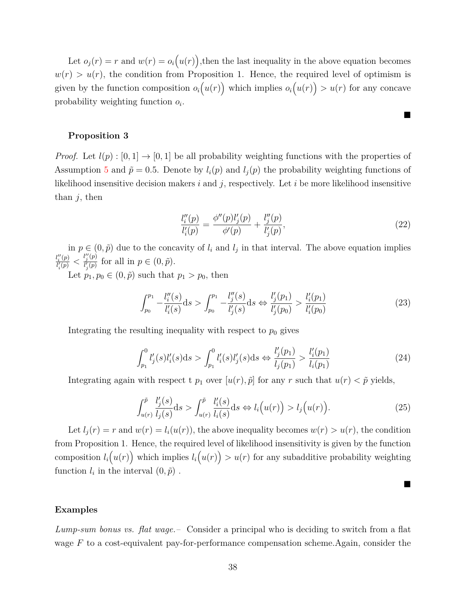Let  $o_j(r) = r$  and  $w(r) = o_i(u(r))$ , then the last inequality in the above equation becomes  $w(r) > u(r)$ , the condition from Proposition 1. Hence, the required level of optimism is given by the function composition  $o_i(u(r))$  which implies  $o_i(u(r)) > u(r)$  for any concave probability weighting function *o<sup>i</sup>* .

#### **Proposition 3**

*Proof.* Let  $l(p): [0, 1] \rightarrow [0, 1]$  be all probability weighting functions with the properties of Assumption [5](#page-5-1) and  $\tilde{p} = 0.5$ . Denote by  $l_i(p)$  and  $l_j(p)$  the probability weighting functions of likelihood insensitive decision makers *i* and *j*, respectively. Let *i* be more likelihood insensitive than *j*, then

$$
\frac{l_i''(p)}{l_i'(p)} = \frac{\phi''(p)l_j'(p)}{\phi'(p)} + \frac{l_j''(p)}{l_j'(p)},
$$
\n(22)

■

 $\blacksquare$ 

in  $p \in (0, \tilde{p})$  due to the concavity of  $l_i$  and  $l_j$  in that interval. The above equation implies  $l_i''(p)$  $\frac{l_i''(p)}{l_i'(p)} < \frac{l_j''(p)}{l_j'(p)}$  $\frac{l_j(\mathbf{p})}{l_j'(\mathbf{p})}$  for all in  $p \in (0, \tilde{p})$ .

Let  $p_1, p_0 \in (0, \tilde{p})$  such that  $p_1 > p_0$ , then

$$
\int_{p_0}^{p_1} -\frac{l_i''(s)}{l_i'(s)}ds > \int_{p_0}^{p_1} -\frac{l_j''(s)}{l_j'(s)}ds \Leftrightarrow \frac{l_j'(p_1)}{l_j'(p_0)} > \frac{l_i'(p_1)}{l_i'(p_0)}\tag{23}
$$

Integrating the resulting inequality with respect to  $p_0$  gives

$$
\int_{p_1}^0 l'_j(s)l'_i(s)ds > \int_{p_1}^0 l'_i(s)l'_j(s)ds \Leftrightarrow \frac{l'_j(p_1)}{l_j(p_1)} > \frac{l'_i(p_1)}{l_i(p_1)}
$$
(24)

Integrating again with respect t  $p_1$  over  $[u(r), \tilde{p}]$  for any *r* such that  $u(r) < \tilde{p}$  yields,

$$
\int_{u(r)}^{\tilde{p}} \frac{l'_j(s)}{l_j(s)} ds > \int_{u(r)}^{\tilde{p}} \frac{l'_i(s)}{l_i(s)} ds \Leftrightarrow l_i\Big(u(r)\Big) > l_j\Big(u(r)\Big). \tag{25}
$$

Let  $l_i(r) = r$  and  $w(r) = l_i(u(r))$ , the above inequality becomes  $w(r) > u(r)$ , the condition from Proposition 1. Hence, the required level of likelihood insensitivity is given by the function composition  $l_i(u(r))$  which implies  $l_i(u(r)) > u(r)$  for any subadditive probability weighting function  $l_i$  in the interval  $(0, \tilde{p})$ .

### **Examples**

*Lump-sum bonus vs. flat wage.–* Consider a principal who is deciding to switch from a flat wage *F* to a cost-equivalent pay-for-performance compensation scheme.Again, consider the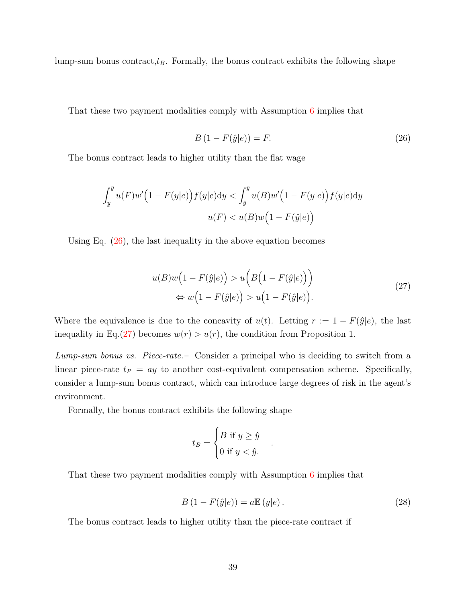lump-sum bonus contract,*tB*. Formally, the bonus contract exhibits the following shape

That these two payment modalities comply with Assumption [6](#page-9-0) implies that

<span id="page-39-0"></span>
$$
B\left(1 - F(\hat{y}|e)\right) = F.\tag{26}
$$

The bonus contract leads to higher utility than the flat wage

$$
\int_{\underline{y}}^{\overline{y}} u(F)w'\Big(1 - F(y|e)\Big)f(y|e)\mathrm{d}y < \int_{\hat{y}}^{\overline{y}} u(B)w'\Big(1 - F(y|e)\Big)f(y|e)\mathrm{d}y
$$

$$
u(F) < u(B)w\Big(1 - F(\hat{y}|e)\Big)
$$

Using Eq. [\(26\)](#page-39-0), the last inequality in the above equation becomes

$$
u(B)w(1 - F(\hat{y}|e)) > u\left(B(1 - F(\hat{y}|e))\right)
$$
  
\n
$$
\Leftrightarrow w\left(1 - F(\hat{y}|e)\right) > u\left(1 - F(\hat{y}|e)\right).
$$
\n(27)

<span id="page-39-1"></span>Where the equivalence is due to the concavity of  $u(t)$ . Letting  $r := 1 - F(\hat{y}|e)$ , the last inequality in Eq.[\(27\)](#page-39-1) becomes  $w(r) > u(r)$ , the condition from Proposition 1.

*Lump-sum bonus vs. Piece-rate.–* Consider a principal who is deciding to switch from a linear piece-rate  $t_P = ay$  to another cost-equivalent compensation scheme. Specifically, consider a lump-sum bonus contract, which can introduce large degrees of risk in the agent's environment.

Formally, the bonus contract exhibits the following shape

$$
t_B = \begin{cases} B \text{ if } y \ge \hat{y} \\ 0 \text{ if } y < \hat{y} \end{cases}
$$

That these two payment modalities comply with Assumption [6](#page-9-0) implies that

<span id="page-39-2"></span>
$$
B\left(1 - F(\hat{y}|e)\right) = a\mathbb{E}\left(y|e\right). \tag{28}
$$

*.*

The bonus contract leads to higher utility than the piece-rate contract if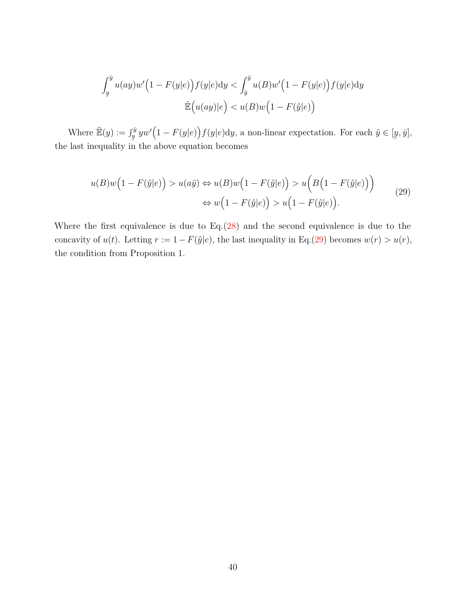$$
\int_{\underline{y}}^{\overline{y}} u(ay)w'\Big(1 - F(y|e)\Big)f(y|e)dy < \int_{\hat{y}}^{\overline{y}} u(B)w'\Big(1 - F(y|e)\Big)f(y|e)dy
$$

$$
\tilde{\mathbb{E}}\Big(u(ay)|e\Big) < u(B)w\Big(1 - F(\hat{y}|e)\Big)
$$

Where  $\mathbb{E}(y) := \int_y^{\bar{y}} yw'\big(1 - F(y|e)\big) f(y|e) dy$ , a non-linear expectation. For each  $\tilde{y} \in [0, \infty)$ the last inequality in the above equation becomes ¯  $y,\bar{y}$ ],

<span id="page-40-0"></span>
$$
u(B)w(1 - F(\hat{y}|e)) > u(a\tilde{y}) \Leftrightarrow u(B)w(1 - F(\hat{y}|e)) > u\Big(B(1 - F(\hat{y}|e)\Big))
$$
  

$$
\Leftrightarrow w(1 - F(\hat{y}|e)) > u\Big(1 - F(\hat{y}|e)\Big).
$$
 (29)

Where the first equivalence is due to  $Eq.(28)$  $Eq.(28)$  and the second equivalence is due to the concavity of  $u(t)$ . Letting  $r := 1 - F(\hat{y}|e)$ , the last inequality in Eq.[\(29\)](#page-40-0) becomes  $w(r) > u(r)$ , the condition from Proposition 1.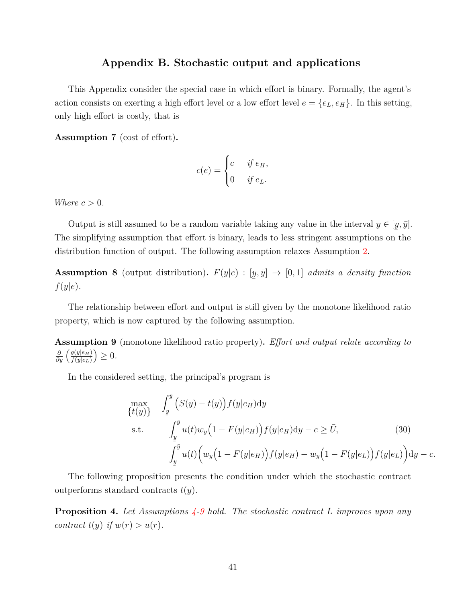### **Appendix B. Stochastic output and applications**

This Appendix consider the special case in which effort is binary. Formally, the agent's action consists on exerting a high effort level or a low effort level  $e = \{e_L, e_H\}$ . In this setting, only high effort is costly, that is

**Assumption 7** (cost of effort)**.**

$$
c(e) = \begin{cases} c & \text{if } e_H, \\ 0 & \text{if } e_L. \end{cases}
$$

*Where*  $c > 0$ *.* 

Output is still assumed to be a random variable taking any value in the interval  $y \in [y, \bar{y}]$ . The simplifying assumption that effort is binary, leads to less stringent assumptions on the distribution function of output. The following assumption relaxes Assumption [2.](#page-4-2)

**Assumption 8** (output distribution)**.** *F*(*y*|*e*) : [ ¯  $(y, \bar{y}] \rightarrow [0, 1]$  *admits a density function f*(*y*|*e*)*.*

The relationship between effort and output is still given by the monotone likelihood ratio property, which is now captured by the following assumption.

<span id="page-41-0"></span>**Assumption 9** (monotone likelihood ratio property)**.** *Effort and output relate according to ∂*<sub>*g*</sub>  $\left(\frac{g(y|e_H)}{f(y|e_L)}\right)$  $f(y|e_L)$  $\big)\geq 0.$ 

In the considered setting, the principal's program is

<span id="page-41-1"></span>
$$
\max_{\{t(y)\}} \int_{\underline{y}}^{\overline{y}} \left( S(y) - t(y) \right) f(y|e_H) dy
$$
\ns.t. 
$$
\int_{\underline{y}}^{\overline{y}} u(t) w_y \left( 1 - F(y|e_H) \right) f(y|e_H) dy - c \ge \overline{U},
$$
\n
$$
\int_{\underline{y}}^{\overline{y}} u(t) \left( w_y \left( 1 - F(y|e_H) \right) f(y|e_H) - w_y \left( 1 - F(y|e_L) \right) f(y|e_L) \right) dy - c.
$$
\n(30)

The following proposition presents the condition under which the stochastic contract outperforms standard contracts *t*(*y*).

<span id="page-41-2"></span>**Proposition 4.** *Let Assumptions [4-](#page-5-3)[9](#page-41-0) hold. The stochastic contract L improves upon any contract*  $t(y)$  *if*  $w(r) > u(r)$ *.*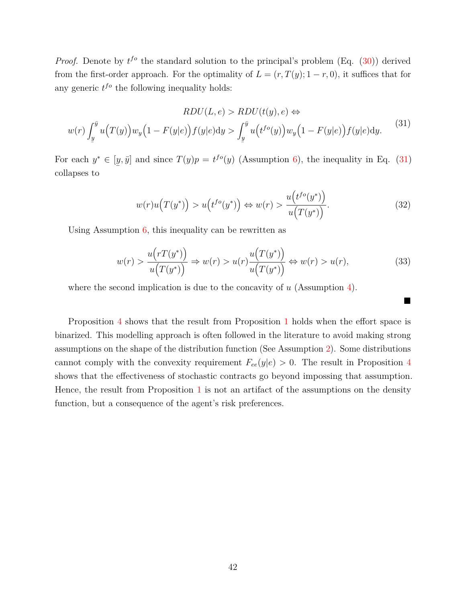*Proof.* Denote by  $t^{fo}$  the standard solution to the principal's problem (Eq. [\(30\)](#page-41-1)) derived from the first-order approach. For the optimality of  $L = (r, T(y); 1 - r, 0)$ , it suffices that for any generic  $t^{fo}$  the following inequality holds:

<span id="page-42-1"></span>
$$
RDU(L, e) > RDU(t(y), e) \Leftrightarrow
$$
  

$$
w(r) \int_{\underline{y}}^{\overline{y}} u(T(y)) w_y \left(1 - F(y|e)\right) f(y|e) dy > \int_{\underline{y}}^{\overline{y}} u\left(t^{fo}(y)\right) w_y \left(1 - F(y|e)\right) f(y|e) dy.
$$
 (31)

For each  $y^* \in [y, \bar{y}]$  and since  $T(y)p = t^{f \circ}(y)$  (Assumption [6\)](#page-9-0), the inequality in Eq. [\(31\)](#page-42-1) ¯ collapses to

$$
w(r)u\left(T(y^*)\right) > u\left(t^{fo}(y^*)\right) \Leftrightarrow w(r) > \frac{u\left(t^{fo}(y^*)\right)}{u\left(T(y^*)\right)}.\tag{32}
$$

Using Assumption  $6$ , this inequality can be rewritten as

<span id="page-42-0"></span>
$$
w(r) > \frac{u(rT(y^*))}{u(T(y^*))} \Rightarrow w(r) > u(r)\frac{u(T(y^*))}{u(T(y^*))} \Leftrightarrow w(r) > u(r),\tag{33}
$$

 $\blacksquare$ 

where the second implication is due to the concavity of *u* (Assumption [4\)](#page-5-3).

Proposition [4](#page-41-2) shows that the result from Proposition [1](#page-9-1) holds when the effort space is binarized. This modelling approach is often followed in the literature to avoid making strong assumptions on the shape of the distribution function (See Assumption [2\)](#page-4-2). Some distributions cannot comply with the convexity requirement  $F_{ee}(y|e) > 0$ . The result in Proposition [4](#page-41-2) shows that the effectiveness of stochastic contracts go beyond impossing that assumption. Hence, the result from Proposition  $1$  is not an artifact of the assumptions on the density function, but a consequence of the agent's risk preferences.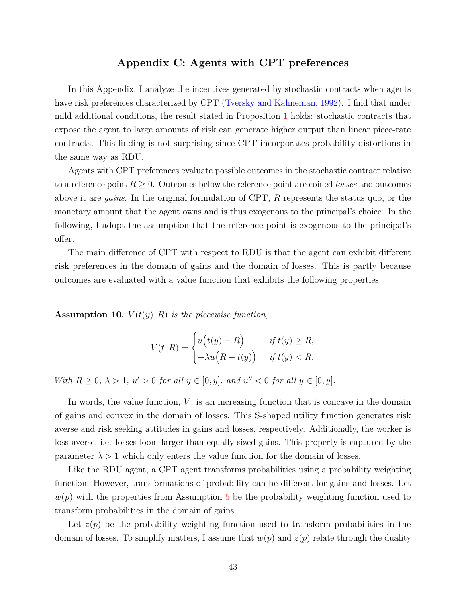## **Appendix C: Agents with CPT preferences**

In this Appendix, I analyze the incentives generated by stochastic contracts when agents have risk preferences characterized by CPT [\(Tversky and Kahneman,](#page-34-0) [1992\)](#page-34-0). I find that under mild additional conditions, the result stated in Proposition [1](#page-9-1) holds: stochastic contracts that expose the agent to large amounts of risk can generate higher output than linear piece-rate contracts. This finding is not surprising since CPT incorporates probability distortions in the same way as RDU.

Agents with CPT preferences evaluate possible outcomes in the stochastic contract relative to a reference point  $R \geq 0$ . Outcomes below the reference point are coined *losses* and outcomes above it are *gains*. In the original formulation of CPT, *R* represents the status quo, or the monetary amount that the agent owns and is thus exogenous to the principal's choice. In the following, I adopt the assumption that the reference point is exogenous to the principal's offer.

The main difference of CPT with respect to RDU is that the agent can exhibit different risk preferences in the domain of gains and the domain of losses. This is partly because outcomes are evaluated with a value function that exhibits the following properties:

<span id="page-43-0"></span>**Assumption 10.**  $V(t(y), R)$  *is the piecewise function,* 

$$
V(t,R) = \begin{cases} u(t(y) - R) & \text{if } t(y) \ge R, \\ -\lambda u(R - t(y)) & \text{if } t(y) < R. \end{cases}
$$

*With*  $R \geq 0$ ,  $\lambda > 1$ ,  $u' > 0$  *for all*  $y \in [0, \bar{y}]$ , and  $u'' < 0$  *for all*  $y \in [0, \bar{y}]$ .

In words, the value function, *V* , is an increasing function that is concave in the domain of gains and convex in the domain of losses. This S-shaped utility function generates risk averse and risk seeking attitudes in gains and losses, respectively. Additionally, the worker is loss averse, i.e. losses loom larger than equally-sized gains. This property is captured by the parameter  $\lambda > 1$  which only enters the value function for the domain of losses.

Like the RDU agent, a CPT agent transforms probabilities using a probability weighting function. However, transformations of probability can be different for gains and losses. Let  $w(p)$  with the properties from Assumption [5](#page-5-1) be the probability weighting function used to transform probabilities in the domain of gains.

Let  $z(p)$  be the probability weighting function used to transform probabilities in the domain of losses. To simplify matters, I assume that  $w(p)$  and  $z(p)$  relate through the duality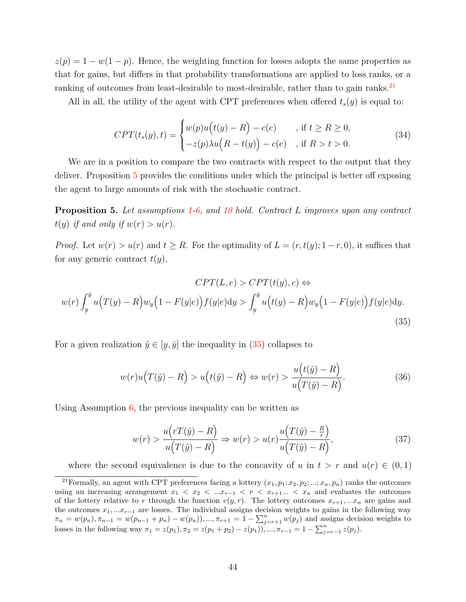$z(p) = 1 - w(1 - p)$ . Hence, the weighting function for losses adopts the same properties as that for gains, but differs in that probability transformations are applied to loss ranks, or a ranking of outcomes from least-desirable to most-desirable, rather than to gain ranks.<sup>[21](#page-44-0)</sup>

All in all, the utility of the agent with CPT preferences when offered *ts*(*y*) is equal to:

$$
CPT(t_s(y), t) = \begin{cases} w(p)u(t(y) - R) - c(e) & , \text{if } t \ge R \ge 0, \\ -z(p)\lambda u(R - t(y)) - c(e) & , \text{if } R > t > 0. \end{cases}
$$
(34)

We are in a position to compare the two contracts with respect to the output that they deliver. Proposition [5](#page-44-1) provides the conditions under which the principal is better off exposing the agent to large amounts of risk with the stochastic contract.

<span id="page-44-1"></span>**Proposition 5.** *Let assumptions [1](#page-4-1)[-6,](#page-9-0) and [10](#page-43-0) hold. Contract L improves upon any contract*  $t(y)$  *if and only if*  $w(r) > u(r)$ *.* 

*Proof.* Let  $w(r) > u(r)$  and  $t \geq R$ . For the optimality of  $L = (r, t(y); 1-r, 0)$ , it suffices that for any generic contract  $t(y)$ ,

<span id="page-44-2"></span>
$$
CPT(L, e) > CPT(t(y), e) \Leftrightarrow
$$
  

$$
w(r) \int_{\underline{y}}^{\overline{y}} u(T(y) - R) w_y \left(1 - F(y|e)\right) f(y|e) dy > \int_{\underline{y}}^{\overline{y}} u\left(t(y) - R\right) w_y \left(1 - F(y|e)\right) f(y|e) dy.
$$
  
(35)

For a given realization  $\tilde{y} \in [y, \bar{y}]$  the inequality in [\(35\)](#page-44-2) collapses to ¯

$$
w(r)u(T(\tilde{y}) - R) > u(t(\tilde{y}) - R) \Leftrightarrow w(r) > \frac{u(t(\tilde{y}) - R)}{u(T(\tilde{y}) - R)}.
$$
\n(36)

Using Assumption [6,](#page-9-0) the previous inequality can be written as

<span id="page-44-3"></span>
$$
w(r) > \frac{u(rT(\tilde{y}) - R)}{u(T(\tilde{y}) - R)} \Rightarrow w(r) > u(r)\frac{u(T(\tilde{y}) - \frac{R}{r})}{u(T(\tilde{y}) - R)},
$$
\n(37)

<span id="page-44-0"></span>where the second equivalence is due to the concavity of *u* in  $t > r$  and  $u(r) \in (0,1)$ 

<sup>&</sup>lt;sup>21</sup>Formally, an agent with CPT preferences facing a lottery  $(x_1, p_1; x_2, p_2; ...; x_n, p_n)$  ranks the outcomes using an increasing arrangement  $x_1 < x_2 < ...x_{r-1} < r < x_{r+1}... < x_n$  and evaluates the outcomes of the lottery relative to *r* through the function  $v(y, r)$ . The lottery outcomes  $x_{r+1}, \ldots, x_n$  are gains and the outcomes *x*1*, ...xr*−<sup>1</sup> are losses. The individual assigns decision weights to gains in the following way  $\pi_n = w(p_n), \pi_{n-1} = w(p_{n-1} + p_n) - w(p_n), ..., \pi_{r+1} = 1 - \sum_{j=r+1}^n w(p_j)$  and assigns decision weights to losses in the following way  $\pi_1 = z(p_1), \pi_2 = z(p_1 + p_2) - z(p_1)$ , ...,  $\pi_{r-1} = 1 - \sum_{j=r-1}^{n} z(p_j)$ .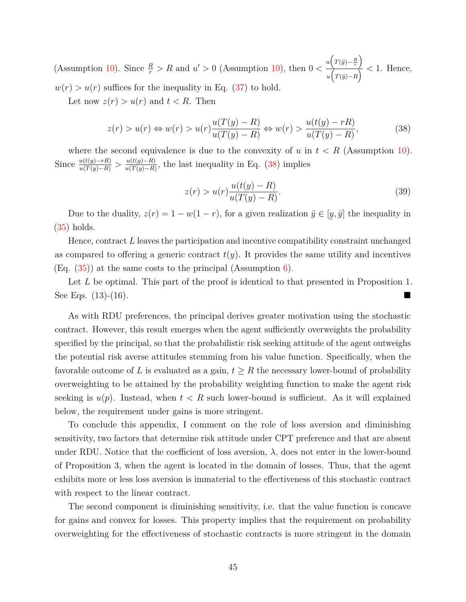(Assumption [10\)](#page-43-0). Since  $\frac{R}{r} > R$  and  $u' > 0$  (Assumption 10), then  $0 < \frac{u(T(\tilde{y}) - \frac{R}{r})}{T(T(\tilde{y}) - R)}$  $\frac{f'(s)-r}{f(x)} < 1$ . Hence,  $w(r) > u(r)$  suffices for the inequality in Eq. [\(37\)](#page-44-3) to hold.

Let now  $z(r) > u(r)$  and  $t < R$ . Then

<span id="page-45-0"></span>
$$
z(r) > u(r) \Leftrightarrow w(r) > u(r) \frac{u(T(y) - R)}{u(T(y) - R)} \Leftrightarrow w(r) > \frac{u(t(y) - rR)}{u(T(y) - R)},
$$
\n(38)

where the second equivalence is due to the convexity of *u* in  $t < R$  (Assumption [10\)](#page-43-0). Since  $\frac{u(t(y)-rR)}{u(T(y)-R)} > \frac{u(t(y)-R)}{u(T(y)-R)}$  $\frac{u(t(y)-R)}{u(T(y)-R)}$ , the last inequality in Eq. [\(38\)](#page-45-0) implies

$$
z(r) > u(r)\frac{u(t(y) - R)}{u(T(y) - R)}.
$$
\n(39)

Due to the duality,  $z(r) = 1 - w(1 - r)$ , for a given realization  $\tilde{y} \in [$ ¯  $y, \bar{y}$  the inequality in [\(35\)](#page-44-2) holds.

Hence, contract *L* leaves the participation and incentive compatibility constraint unchanged as compared to offering a generic contract  $t(y)$ . It provides the same utility and incentives  $(Eq. (35))$  $(Eq. (35))$  $(Eq. (35))$  at the same costs to the principal (Assumption [6\)](#page-9-0).

Let L be optimal. This part of the proof is identical to that presented in Proposition 1. See Eqs. (13)-(16).

As with RDU preferences, the principal derives greater motivation using the stochastic contract. However, this result emerges when the agent sufficiently overweights the probability specified by the principal, so that the probabilistic risk seeking attitude of the agent outweighs the potential risk averse attitudes stemming from his value function. Specifically, when the favorable outcome of L is evaluated as a gain,  $t \geq R$  the necessary lower-bound of probability overweighting to be attained by the probability weighting function to make the agent risk seeking is  $u(p)$ . Instead, when  $t < R$  such lower-bound is sufficient. As it will explained below, the requirement under gains is more stringent.

To conclude this appendix, I comment on the role of loss aversion and diminishing sensitivity, two factors that determine risk attitude under CPT preference and that are absent under RDU. Notice that the coefficient of loss aversion,  $\lambda$ , does not enter in the lower-bound of Proposition 3, when the agent is located in the domain of losses. Thus, that the agent exhibits more or less loss aversion is immaterial to the effectiveness of this stochastic contract with respect to the linear contract.

The second component is diminishing sensitivity, i.e. that the value function is concave for gains and convex for losses. This property implies that the requirement on probability overweighting for the effectiveness of stochastic contracts is more stringent in the domain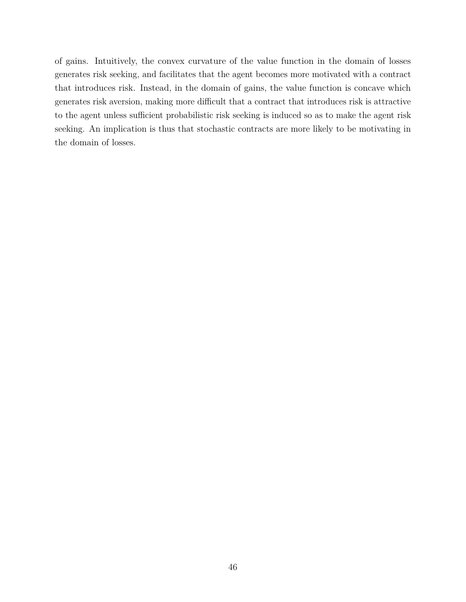of gains. Intuitively, the convex curvature of the value function in the domain of losses generates risk seeking, and facilitates that the agent becomes more motivated with a contract that introduces risk. Instead, in the domain of gains, the value function is concave which generates risk aversion, making more difficult that a contract that introduces risk is attractive to the agent unless sufficient probabilistic risk seeking is induced so as to make the agent risk seeking. An implication is thus that stochastic contracts are more likely to be motivating in the domain of losses.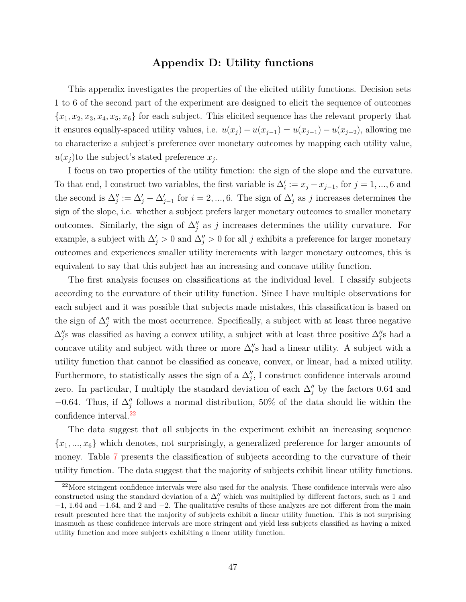## **Appendix D: Utility functions**

This appendix investigates the properties of the elicited utility functions. Decision sets 1 to 6 of the second part of the experiment are designed to elicit the sequence of outcomes  ${x_1, x_2, x_3, x_4, x_5, x_6}$  for each subject. This elicited sequence has the relevant property that it ensures equally-spaced utility values, i.e.  $u(x_j) - u(x_{j-1}) = u(x_{j-1}) - u(x_{j-2})$ , allowing me to characterize a subject's preference over monetary outcomes by mapping each utility value,  $u(x_j)$  to the subject's stated preference  $x_j$ .

I focus on two properties of the utility function: the sign of the slope and the curvature. To that end, I construct two variables, the first variable is  $\Delta_i' := x_j - x_{j-1}$ , for  $j = 1, ..., 6$  and the second is  $\Delta_j' := \Delta_j' - \Delta_{j-1}'$  for  $i = 2, ..., 6$ . The sign of  $\Delta_j'$  as *j* increases determines the sign of the slope, i.e. whether a subject prefers larger monetary outcomes to smaller monetary outcomes. Similarly, the sign of  $\Delta_j''$  as *j* increases determines the utility curvature. For example, a subject with  $\Delta'_{j} > 0$  and  $\Delta''_{j} > 0$  for all *j* exhibits a preference for larger monetary outcomes and experiences smaller utility increments with larger monetary outcomes, this is equivalent to say that this subject has an increasing and concave utility function.

The first analysis focuses on classifications at the individual level. I classify subjects according to the curvature of their utility function. Since I have multiple observations for each subject and it was possible that subjects made mistakes, this classification is based on the sign of  $\Delta_j^{\prime\prime}$  with the most occurrence. Specifically, a subject with at least three negative  $\Delta''_j$ s was classified as having a convex utility, a subject with at least three positive  $\Delta''_j$ s had a concave utility and subject with three or more  $\Delta_i$ 's had a linear utility. A subject with a utility function that cannot be classified as concave, convex, or linear, had a mixed utility. Furthermore, to statistically asses the sign of a  $\Delta_{j}^{\prime\prime}$ , I construct confidence intervals around zero. In particular, I multiply the standard deviation of each  $\Delta_{j}^{\prime\prime}$  by the factors 0.64 and  $-0.64$ . Thus, if  $\Delta''_j$  follows a normal distribution, 50% of the data should lie within the confidence interval.<sup>[22](#page-47-0)</sup>

The data suggest that all subjects in the experiment exhibit an increasing sequence {*x*1*, ..., x*6} which denotes, not surprisingly, a generalized preference for larger amounts of money. Table [7](#page-49-0) presents the classification of subjects according to the curvature of their utility function. The data suggest that the majority of subjects exhibit linear utility functions.

<span id="page-47-0"></span><sup>22</sup>More stringent confidence intervals were also used for the analysis. These confidence intervals were also constructed using the standard deviation of a  $\Delta_{j}^{\prime\prime}$  which was multiplied by different factors, such as 1 and −1, 1*.*64 and −1*.*64, and 2 and −2. The qualitative results of these analyzes are not different from the main result presented here that the majority of subjects exhibit a linear utility function. This is not surprising inasmuch as these confidence intervals are more stringent and yield less subjects classified as having a mixed utility function and more subjects exhibiting a linear utility function.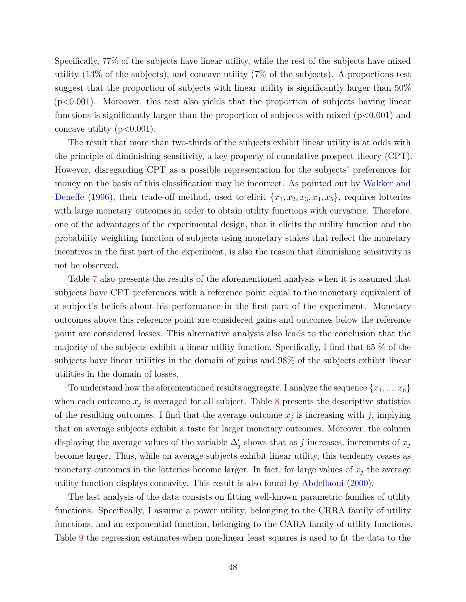Specifically, 77% of the subjects have linear utility, while the rest of the subjects have mixed utility (13% of the subjects), and concave utility (7% of the subjects). A proportions test suggest that the proportion of subjects with linear utility is significantly larger than 50% (p<0.001). Moreover, this test also yields that the proportion of subjects having linear functions is significantly larger than the proportion of subjects with mixed  $(p<0.001)$  and concave utility  $(p<0.001)$ .

The result that more than two-thirds of the subjects exhibit linear utility is at odds with the principle of diminishing sensitivity, a key property of cumulative prospect theory (CPT). However, disregarding CPT as a possible representation for the subjects' preferences for money on the basis of this classification may be incorrect. As pointed out by [Wakker and](#page-34-5) [Deneffe](#page-34-5) [\(1996\)](#page-34-5), their trade-off method, used to elicit  $\{x_1, x_2, x_3, x_4, x_5\}$ , requires lotteries with large monetary outcomes in order to obtain utility functions with curvature. Therefore, one of the advantages of the experimental design, that it elicits the utility function and the probability weighting function of subjects using monetary stakes that reflect the monetary incentives in the first part of the experiment, is also the reason that diminishing sensitivity is not be observed.

Table [7](#page-49-0) also presents the results of the aforementioned analysis when it is assumed that subjects have CPT preferences with a reference point equal to the monetary equivalent of a subject's beliefs about his performance in the first part of the experiment. Monetary outcomes above this reference point are considered gains and outcomes below the reference point are considered losses. This alternative analysis also leads to the conclusion that the majority of the subjects exhibit a linear utility function. Specifically, I find that 65 % of the subjects have linear utilities in the domain of gains and 98% of the subjects exhibit linear utilities in the domain of losses.

To understand how the aforementioned results aggregate, I analyze the sequence {*x*1*, ..., x*6} when each outcome  $x_j$  is averaged for all subject. Table  $8$  presents the descriptive statistics of the resulting outcomes. I find that the average outcome  $x_j$  is increasing with  $j$ , implying that on average subjects exhibit a taste for larger monetary outcomes. Moreover, the column displaying the average values of the variable  $\Delta'_{j}$  shows that as *j* increases, increments of  $x_j$ become larger. Thus, while on average subjects exhibit linear utility, this tendency ceases as monetary outcomes in the lotteries become larger. In fact, for large values of  $x_j$  the average utility function displays concavity. This result is also found by [Abdellaoui](#page-31-0) [\(2000\)](#page-31-0).

The last analysis of the data consists on fitting well-known parametric families of utility functions. Specifically, I assume a power utility, belonging to the CRRA family of utility functions, and an exponential function, belonging to the CARA family of utility functions. Table [9](#page-51-0) the regression estimates when non-linear least squares is used to fit the data to the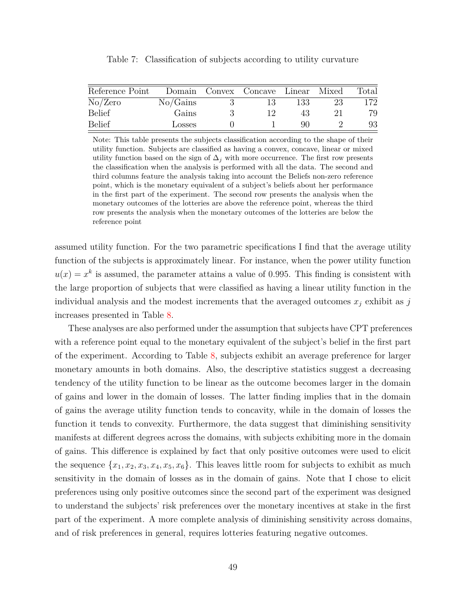<span id="page-49-0"></span>

| Reference Point |          | Domain Convex Concave Linear Mixed |     |    | Total |
|-----------------|----------|------------------------------------|-----|----|-------|
| No/Zero         | No/Gains | 13                                 | 133 | 23 | 172   |
| Belief          | Gains    |                                    | 43  |    | 79    |
| Belief          | Losses   |                                    | 90  |    | 93    |

Table 7: Classification of subjects according to utility curvature

Note: This table presents the subjects classification according to the shape of their utility function. Subjects are classified as having a convex, concave, linear or mixed utility function based on the sign of  $\Delta_j$  with more occurrence. The first row presents the classification when the analysis is performed with all the data. The second and third columns feature the analysis taking into account the Beliefs non-zero reference point, which is the monetary equivalent of a subject's beliefs about her performance in the first part of the experiment. The second row presents the analysis when the monetary outcomes of the lotteries are above the reference point, whereas the third row presents the analysis when the monetary outcomes of the lotteries are below the reference point

assumed utility function. For the two parametric specifications I find that the average utility function of the subjects is approximately linear. For instance, when the power utility function  $u(x) = x^k$  is assumed, the parameter attains a value of 0.995. This finding is consistent with the large proportion of subjects that were classified as having a linear utility function in the individual analysis and the modest increments that the averaged outcomes  $x_j$  exhibit as  $j$ increases presented in Table [8.](#page-50-0)

These analyses are also performed under the assumption that subjects have CPT preferences with a reference point equal to the monetary equivalent of the subject's belief in the first part of the experiment. According to Table [8,](#page-50-0) subjects exhibit an average preference for larger monetary amounts in both domains. Also, the descriptive statistics suggest a decreasing tendency of the utility function to be linear as the outcome becomes larger in the domain of gains and lower in the domain of losses. The latter finding implies that in the domain of gains the average utility function tends to concavity, while in the domain of losses the function it tends to convexity. Furthermore, the data suggest that diminishing sensitivity manifests at different degrees across the domains, with subjects exhibiting more in the domain of gains. This difference is explained by fact that only positive outcomes were used to elicit the sequence  $\{x_1, x_2, x_3, x_4, x_5, x_6\}$ . This leaves little room for subjects to exhibit as much sensitivity in the domain of losses as in the domain of gains. Note that I chose to elicit preferences using only positive outcomes since the second part of the experiment was designed to understand the subjects' risk preferences over the monetary incentives at stake in the first part of the experiment. A more complete analysis of diminishing sensitivity across domains, and of risk preferences in general, requires lotteries featuring negative outcomes.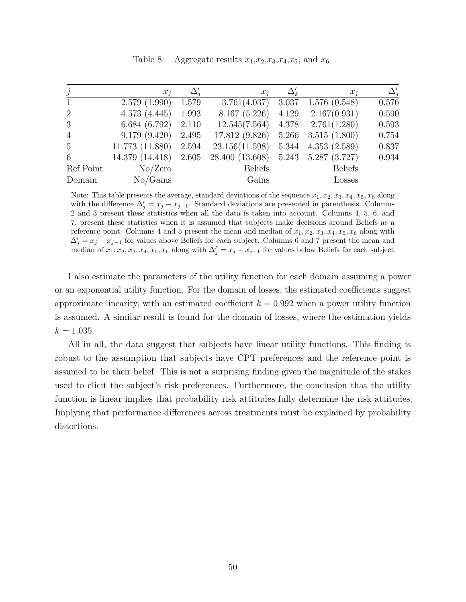<span id="page-50-0"></span>

| $\jmath$        | $x_i$           |       | $x_i$           |       | $x_i$                  | $\Delta_i'$ |
|-----------------|-----------------|-------|-----------------|-------|------------------------|-------------|
| 1               | 2.579(1.990)    | 1.579 | 3.761(4.037)    | 3.037 | 1.576(0.548)           | 0.576       |
| 2               | 4.573(4.445)    | 1.993 | 8.167(5.226)    | 4.129 | 2.167(0.931)           | 0.590       |
| 3               | 6.684(6.792)    | 2.110 | 12.545(7.564)   |       | $4.378$ $2.761(1.280)$ | 0.593       |
| $\overline{4}$  | 9.179(9.420)    | 2.495 | 17.812 (9.826)  | 5.266 | 3.515(1.800)           | 0.754       |
| $5\overline{)}$ | 11.773 (11.880) | 2.594 | 23.156(11.598)  | 5.344 | 4.353(2.589)           | 0.837       |
| 6               | 14.379 (14.418) | 2.605 | 28.400 (13.608) | 5.243 | 5.287(3.727)           | 0.934       |
| Ref.Point       | No/Zero         |       | <b>Beliefs</b>  |       | <b>Beliefs</b>         |             |
| Domain          | No/Gains        |       | Gains           |       | Losses                 |             |

Table 8: Aggregate results  $x_1, x_2, x_3, x_4, x_5$ , and  $x_6$ 

Note: This table presents the average, standard deviations of the sequence  $x_1, x_2, x_3, x_4, x_5, x_6$  along with the difference  $\Delta'_{j} = x_{j} - x_{j-1}$ . Standard deviations are presented in parenthesis. Columns 2 and 3 present these statistics when all the data is taken into account. Columns 4, 5, 6, and 7, present these statistics when it is assumed that subjects make decisions around Beliefs as a reference point. Columns 4 and 5 present the mean and median of  $x_1, x_2, x_3, x_4, x_5, x_6$  along with  $\Delta'_{j} = x_{j} - x_{j-1}$  for values above Beliefs for each subject. Columns 6 and 7 present the mean and median of  $x_1, x_2, x_3, x_4, x_5, x_6$  along with  $\Delta'_j = x_j - x_{j-1}$  for values below Beliefs for each subject.

I also estimate the parameters of the utility function for each domain assuming a power or an exponential utility function. For the domain of losses, the estimated coefficients suggest approximate linearity, with an estimated coefficient  $k = 0.992$  when a power utility function is assumed. A similar result is found for the domain of losses, where the estimation yields  $k = 1.035$ .

All in all, the data suggest that subjects have linear utility functions. This finding is robust to the assumption that subjects have CPT preferences and the reference point is assumed to be their belief. This is not a surprising finding given the magnitude of the stakes used to elicit the subject's risk preferences. Furthermore, the conclusion that the utility function is linear implies that probability risk attitudes fully determine the risk attitudes. Implying that performance differences across treatments must be explained by probability distortions.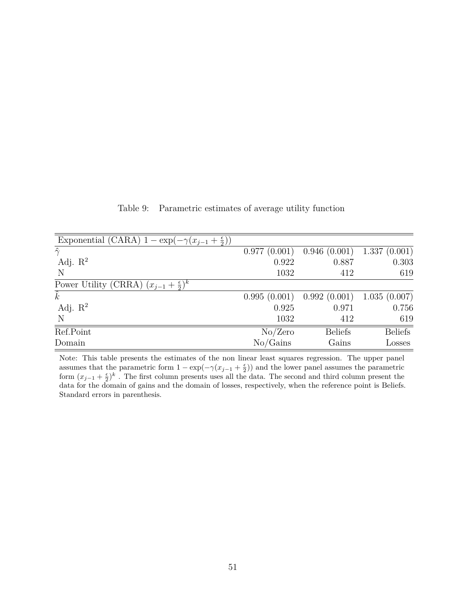<span id="page-51-0"></span>

| Exponential (CARA) $1 - \exp(-\gamma(x_{i-1} + \frac{\epsilon}{2}))$ |              |                |                |
|----------------------------------------------------------------------|--------------|----------------|----------------|
| $\hat{\gamma}$                                                       | 0.977(0.001) | 0.946(0.001)   | 1.337(0.001)   |
| Adj. $\mathbb{R}^2$                                                  | 0.922        | 0.887          | 0.303          |
| N                                                                    | 1032         | 412            | 619            |
| Power Utility (CRRA) $(x_{j-1} + \frac{\epsilon}{2})^k$              |              |                |                |
| $\hat{k}$                                                            | 0.995(0.001) | 0.992(0.001)   | 1.035(0.007)   |
| Adj. $\mathbb{R}^2$                                                  | 0.925        | 0.971          | 0.756          |
| N                                                                    | 1032         | 412            | 619            |
| $\overline{\text{Ref.Point}}$                                        | No/Zero      | <b>Beliefs</b> | <b>Beliefs</b> |
| Domain                                                               | No/Gains     | Gains          | Losses         |

Table 9: Parametric estimates of average utility function

Note: This table presents the estimates of the non linear least squares regression. The upper panel assumes that the parametric form  $1 - \exp(-\gamma(x_{j-1} + \frac{\epsilon}{2}))$  and the lower panel assumes the parametric form  $(x_{j-1} + \frac{\epsilon}{2})^k$ . The first column presents uses all the data. The second and third column present the data for the domain of gains and the domain of losses, respectively, when the reference point is Beliefs. Standard errors in parenthesis.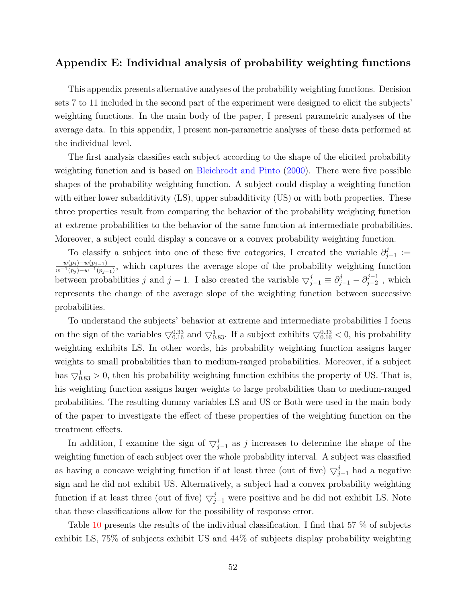## **Appendix E: Individual analysis of probability weighting functions**

This appendix presents alternative analyses of the probability weighting functions. Decision sets 7 to 11 included in the second part of the experiment were designed to elicit the subjects' weighting functions. In the main body of the paper, I present parametric analyses of the average data. In this appendix, I present non-parametric analyses of these data performed at the individual level.

The first analysis classifies each subject according to the shape of the elicited probability weighting function and is based on [Bleichrodt and Pinto](#page-32-18) [\(2000\)](#page-32-18). There were five possible shapes of the probability weighting function. A subject could display a weighting function with either lower subadditivity (LS), upper subadditivity (US) or with both properties. These three properties result from comparing the behavior of the probability weighting function at extreme probabilities to the behavior of the same function at intermediate probabilities. Moreover, a subject could display a concave or a convex probability weighting function.

To classify a subject into one of these five categories, I created the variable  $\partial_i^j$ *j*−1 :=  $w(p_j) − w(p_{j-1})$  $\frac{w(p_j)-w(p_{j-1})}{w^{-1}(p_j)-w^{-1}(p_{j-1})}$ , which captures the average slope of the probability weighting function between probabilities *j* and *j* − 1. I also created the variable  $\bigtriangledown_{j-1}^{j} \equiv \partial_{j-1}^{j} - \partial_{j-2}^{j-1}$  $j_{-2}^{j-1}$ , which represents the change of the average slope of the weighting function between successive probabilities.

To understand the subjects' behavior at extreme and intermediate probabilities I focus on the sign of the variables  $\bigtriangledown_{0.16}^{0.33}$  and  $\bigtriangledown_{0.83}^{1}$ . If a subject exhibits  $\bigtriangledown_{0.16}^{0.33}$  < 0, his probability weighting exhibits LS. In other words, his probability weighting function assigns larger weights to small probabilities than to medium-ranged probabilities. Moreover, if a subject has  $\bigtriangledown_{0.83}^{1} > 0$ , then his probability weighting function exhibits the property of US. That is, his weighting function assigns larger weights to large probabilities than to medium-ranged probabilities. The resulting dummy variables LS and US or Both were used in the main body of the paper to investigate the effect of these properties of the weighting function on the treatment effects.

In addition, I examine the sign of  $\bigtriangledown_{j-1}^{j}$  as *j* increases to determine the shape of the weighting function of each subject over the whole probability interval. A subject was classified as having a concave weighting function if at least three (out of five)  $\bigtriangledown_{j=1}^{j}$  had a negative sign and he did not exhibit US. Alternatively, a subject had a convex probability weighting function if at least three (out of five)  $\bigtriangledown_{j-1}^j$  were positive and he did not exhibit LS. Note that these classifications allow for the possibility of response error.

Table [10](#page-53-0) presents the results of the individual classification. I find that 57 % of subjects exhibit LS, 75% of subjects exhibit US and 44% of subjects display probability weighting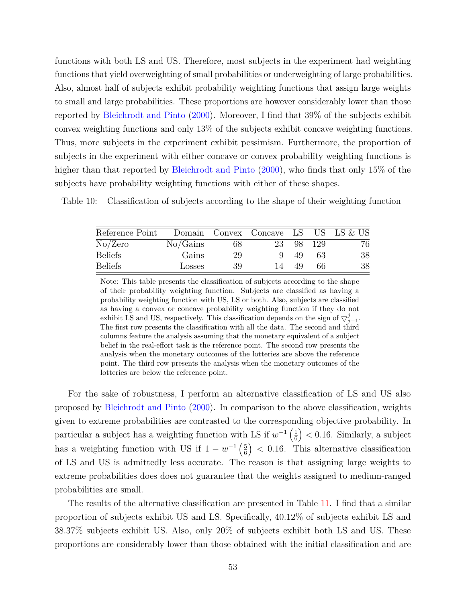functions with both LS and US. Therefore, most subjects in the experiment had weighting functions that yield overweighting of small probabilities or underweighting of large probabilities. Also, almost half of subjects exhibit probability weighting functions that assign large weights to small and large probabilities. These proportions are however considerably lower than those reported by [Bleichrodt and Pinto](#page-32-18) [\(2000\)](#page-32-18). Moreover, I find that 39% of the subjects exhibit convex weighting functions and only 13% of the subjects exhibit concave weighting functions. Thus, more subjects in the experiment exhibit pessimism. Furthermore, the proportion of subjects in the experiment with either concave or convex probability weighting functions is higher than that reported by [Bleichrodt and Pinto](#page-32-18) [\(2000\)](#page-32-18), who finds that only 15% of the subjects have probability weighting functions with either of these shapes.

<span id="page-53-0"></span>Table 10: Classification of subjects according to the shape of their weighting function

| Reference Point |          |    | Domain Convex Concave LS US LS & US |    |       |    |
|-----------------|----------|----|-------------------------------------|----|-------|----|
| No/Zero         | No/Gains | 68 | 23                                  | 98 | - 129 | 76 |
| <b>Beliefs</b>  | Gains    | 29 |                                     | 49 | 63    | 38 |
| <b>Beliefs</b>  | Losses   | 39 | $\overline{14}$                     | 49 | 66    | 38 |

Note: This table presents the classification of subjects according to the shape of their probability weighting function. Subjects are classified as having a probability weighting function with US, LS or both. Also, subjects are classified as having a convex or concave probability weighting function if they do not exhibit LS and US, respectively. This classification depends on the sign of  $\bigtriangledown_{j=1}^{j}$ . The first row presents the classification with all the data. The second and third columns feature the analysis assuming that the monetary equivalent of a subject belief in the real-effort task is the reference point. The second row presents the analysis when the monetary outcomes of the lotteries are above the reference point. The third row presents the analysis when the monetary outcomes of the lotteries are below the reference point.

For the sake of robustness, I perform an alternative classification of LS and US also proposed by [Bleichrodt and Pinto](#page-32-18) [\(2000\)](#page-32-18). In comparison to the above classification, weights given to extreme probabilities are contrasted to the corresponding objective probability. In particular a subject has a weighting function with LS if  $w^{-1}\left(\frac{1}{6}\right)$ 6  $($   $)$  < 0.16. Similarly, a subject has a weighting function with US if  $1 - w^{-1} \left(\frac{5}{6}\right)$ 6 *<* 0*.*16. This alternative classification of LS and US is admittedly less accurate. The reason is that assigning large weights to extreme probabilities does does not guarantee that the weights assigned to medium-ranged probabilities are small.

The results of the alternative classification are presented in Table [11.](#page-54-0) I find that a similar proportion of subjects exhibit US and LS. Specifically, 40.12% of subjects exhibit LS and 38.37% subjects exhibit US. Also, only 20% of subjects exhibit both LS and US. These proportions are considerably lower than those obtained with the initial classification and are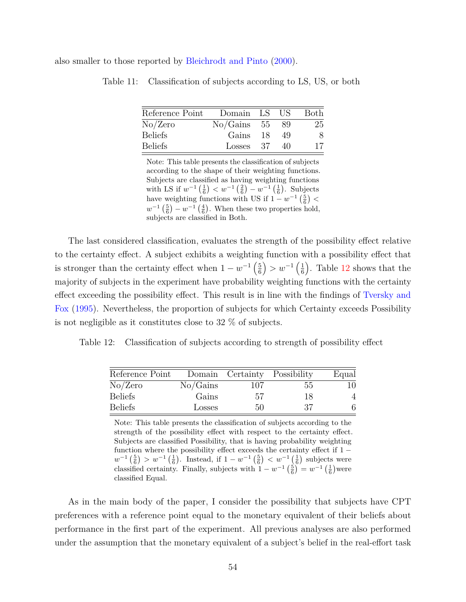<span id="page-54-0"></span>also smaller to those reported by [Bleichrodt and Pinto](#page-32-18) [\(2000\)](#page-32-18).

| Reference Point | Domain LS US |     | <b>Both</b> |
|-----------------|--------------|-----|-------------|
| No/Zero         | No/Gains 55  | -89 | 25          |
| <b>Beliefs</b>  | Gains 18     | -49 | 8           |
| <b>Beliefs</b>  | Losses 37    | 40  | 17          |
|                 |              |     |             |

Table 11: Classification of subjects according to LS, US, or both

Note: This table presents the classification of subjects according to the shape of their weighting functions. Subjects are classified as having weighting functions with LS if  $w^{-1}(\frac{1}{6}) < w^{-1}(\frac{2}{6}) - w^{-1}(\frac{1}{6})$ . Subjects have weighting functions with US if  $1 - w^{-1} \left(\frac{5}{6}\right)$  <  $w^{-1}\left(\frac{5}{6}\right) - w^{-1}\left(\frac{4}{6}\right)$ . When these two properties hold, subjects are classified in Both.

The last considered classification, evaluates the strength of the possibility effect relative to the certainty effect. A subject exhibits a weighting function with a possibility effect that is stronger than the certainty effect when  $1 - w^{-1} \left(\frac{5}{6}\right)$ 6 ) >  $w^{-1}$  ( $\frac{1}{6}$ 6 . Table [12](#page-54-1) shows that the majority of subjects in the experiment have probability weighting functions with the certainty effect exceeding the possibility effect. This result is in line with the findings of [Tversky and](#page-33-1) [Fox](#page-33-1) [\(1995\)](#page-33-1). Nevertheless, the proportion of subjects for which Certainty exceeds Possibility is not negligible as it constitutes close to 32 % of subjects.

<span id="page-54-1"></span>Table 12: Classification of subjects according to strength of possibility effect

| Reference Point |          | Domain Certainty Possibility |    | Equal |
|-----------------|----------|------------------------------|----|-------|
| No/Zero         | No/Gains | 107                          | 55 | 10    |
| <b>Beliefs</b>  | Gains    | 57                           | 18 | Δ     |
| Beliefs         | Losses   | 50                           | 37 |       |

Note: This table presents the classification of subjects according to the strength of the possibility effect with respect to the certainty effect. Subjects are classified Possibility, that is having probability weighting function where the possibility effect exceeds the certainty effect if  $1$  $w^{-1}(\frac{5}{6}) > w^{-1}(\frac{1}{6})$ . Instead, if  $1 - w^{-1}(\frac{5}{6}) < w^{-1}(\frac{1}{6})$  subjects were classified certainty. Finally, subjects with  $1 - w^{-1} \left(\frac{5}{6}\right) = w^{-1} \left(\frac{1}{6}\right)$  were classified Equal.

As in the main body of the paper, I consider the possibility that subjects have CPT preferences with a reference point equal to the monetary equivalent of their beliefs about performance in the first part of the experiment. All previous analyses are also performed under the assumption that the monetary equivalent of a subject's belief in the real-effort task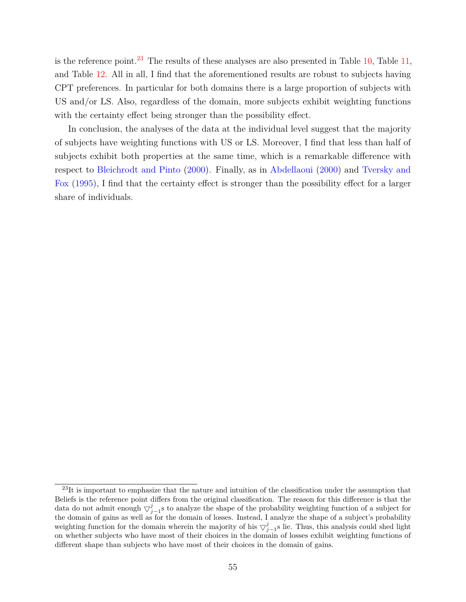is the reference point.<sup>[23](#page-55-0)</sup> The results of these analyses are also presented in Table [10,](#page-53-0) Table [11,](#page-54-0) and Table [12.](#page-54-1) All in all, I find that the aforementioned results are robust to subjects having CPT preferences. In particular for both domains there is a large proportion of subjects with US and/or LS. Also, regardless of the domain, more subjects exhibit weighting functions with the certainty effect being stronger than the possibility effect.

In conclusion, the analyses of the data at the individual level suggest that the majority of subjects have weighting functions with US or LS. Moreover, I find that less than half of subjects exhibit both properties at the same time, which is a remarkable difference with respect to [Bleichrodt and Pinto](#page-32-18) [\(2000\)](#page-32-18). Finally, as in [Abdellaoui](#page-31-0) [\(2000\)](#page-31-0) and [Tversky and](#page-33-1) [Fox](#page-33-1) [\(1995\)](#page-33-1), I find that the certainty effect is stronger than the possibility effect for a larger share of individuals.

<span id="page-55-0"></span> $^{23}$ It is important to emphasize that the nature and intuition of the classification under the assumption that Beliefs is the reference point differs from the original classification. The reason for this difference is that the data do not admit enough  $\bigtriangledown_{j=1}^{j}$ s to analyze the shape of the probability weighting function of a subject for the domain of gains as well as for the domain of losses. Instead, I analyze the shape of a subject's probability weighting function for the domain wherein the majority of his  $\bigtriangledown_{j-1}^j$ s lie. Thus, this analysis could shed light on whether subjects who have most of their choices in the domain of losses exhibit weighting functions of different shape than subjects who have most of their choices in the domain of gains.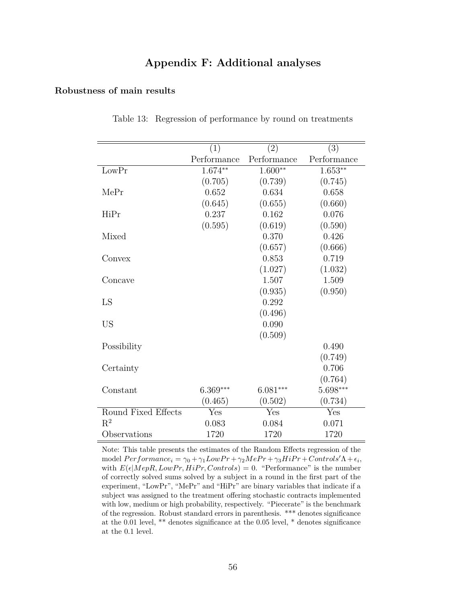## **Appendix F: Additional analyses**

### <span id="page-56-0"></span>**Robustness of main results**

|                     | (1)         | (2)         | (3)                  |
|---------------------|-------------|-------------|----------------------|
|                     | Performance | Performance | Performance          |
| LowPr               | $1.674***$  | $1.600**$   | $1.653**$            |
|                     | (0.705)     | (0.739)     | (0.745)              |
| MePr                | 0.652       | 0.634       | 0.658                |
|                     | (0.645)     | (0.655)     | (0.660)              |
| HiPr                | 0.237       | 0.162       | 0.076                |
|                     | (0.595)     | (0.619)     | (0.590)              |
| Mixed               |             | 0.370       | 0.426                |
|                     |             | (0.657)     | (0.666)              |
| Convex              |             | 0.853       | 0.719                |
|                     |             | (1.027)     | (1.032)              |
| Concave             |             | 1.507       | 1.509                |
|                     |             | (0.935)     | (0.950)              |
| LS                  |             | 0.292       |                      |
|                     |             | (0.496)     |                      |
| <b>US</b>           |             | 0.090       |                      |
|                     |             | (0.509)     |                      |
| Possibility         |             |             | 0.490                |
|                     |             |             | (0.749)              |
| Certainty           |             |             | 0.706                |
|                     |             |             | (0.764)              |
| Constant            | $6.369***$  | $6.081***$  | $5.698***$           |
|                     | (0.465)     | (0.502)     | (0.734)              |
| Round Fixed Effects | Yes         | Yes         | $\operatorname{Yes}$ |
| $\mathrm{R}^2$      | 0.083       | 0.084       | 0.071                |
| Observations        | 1720        | 1720        | 1720                 |

Table 13: Regression of performance by round on treatments

Note: This table presents the estimates of the Random Effects regression of the model  $Performance_i = \gamma_0 + \gamma_1 Low Pr + \gamma_2 Me Pr + \gamma_3 High Pr + Control's' \Lambda + \epsilon_i$ with  $E(\epsilon | MepR, LowPr, HiPr, Controls) = 0$ . "Performance" is the number of correctly solved sums solved by a subject in a round in the first part of the experiment, "LowPr", "MePr" and "HiPr" are binary variables that indicate if a subject was assigned to the treatment offering stochastic contracts implemented with low, medium or high probability, respectively. "Piecerate" is the benchmark of the regression. Robust standard errors in parenthesis. \*\*\* denotes significance at the 0.01 level, \*\* denotes significance at the 0.05 level, \* denotes significance at the 0.1 level.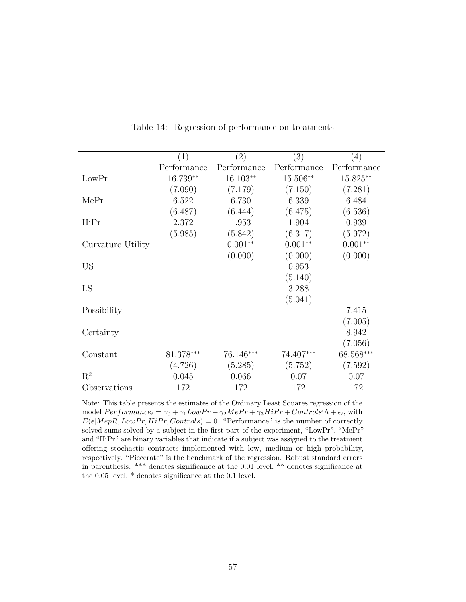<span id="page-57-0"></span>

|                           | (1)         | (2)         | (3)         | (4)         |
|---------------------------|-------------|-------------|-------------|-------------|
|                           | Performance | Performance | Performance | Performance |
| LowPr                     | 16.739**    | 16.103**    | 15.506**    | 15.825**    |
|                           | (7.090)     | (7.179)     | (7.150)     | (7.281)     |
| MePr                      | 6.522       | 6.730       | 6.339       | 6.484       |
|                           | (6.487)     | (6.444)     | (6.475)     | (6.536)     |
| HiPr                      | 2.372       | 1.953       | 1.904       | 0.939       |
|                           | (5.985)     | (5.842)     | (6.317)     | (5.972)     |
| Curvature Utility         |             | $0.001**$   | $0.001**$   | $0.001**$   |
|                           |             | (0.000)     | (0.000)     | (0.000)     |
| <b>US</b>                 |             |             | 0.953       |             |
|                           |             |             | (5.140)     |             |
| LS                        |             |             | 3.288       |             |
|                           |             |             | (5.041)     |             |
| Possibility               |             |             |             | 7.415       |
|                           |             |             |             | (7.005)     |
| Certainty                 |             |             |             | 8.942       |
|                           |             |             |             | (7.056)     |
| Constant                  | $81.378***$ | 76.146***   | 74.407***   | 68.568***   |
|                           | (4.726)     | (5.285)     | (5.752)     | (7.592)     |
| $\overline{\mathrm{R}^2}$ | 0.045       | 0.066       | 0.07        | 0.07        |
| Observations              | 172         | 172         | 172         | 172         |

Table 14: Regression of performance on treatments

Note: This table presents the estimates of the Ordinary Least Squares regression of the model  $Performance_i = \gamma_0 + \gamma_1 Low Pr + \gamma_2 MePr + \gamma_3 High Pr + Controls'\Lambda + \epsilon_i$ , with  $E(\epsilon | MepR, LowPr, HiPr, Controls) = 0$ . "Performance" is the number of correctly solved sums solved by a subject in the first part of the experiment, "LowPr", "MePr" and "HiPr" are binary variables that indicate if a subject was assigned to the treatment offering stochastic contracts implemented with low, medium or high probability, respectively. "Piecerate" is the benchmark of the regression. Robust standard errors in parenthesis. \*\*\* denotes significance at the 0.01 level, \*\* denotes significance at the 0.05 level, \* denotes significance at the 0.1 level.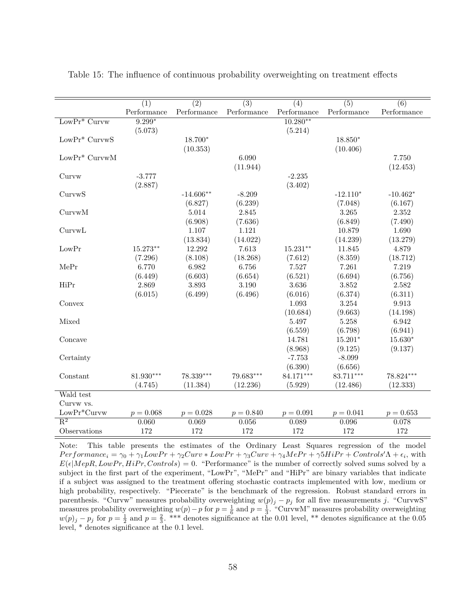|                  | $\overline{(1)}$<br>Performance | $\overline{(2)}$<br>Performance | $\overline{(3)}$<br>Performance | $\overline{(4)}$<br>Performance | $\overline{(5)}$<br>Performance | $\overline{(6)}$<br>Performance |
|------------------|---------------------------------|---------------------------------|---------------------------------|---------------------------------|---------------------------------|---------------------------------|
| $LowPr^*$ Curvw  | $9.299*$                        |                                 |                                 | $10.280**$                      |                                 |                                 |
|                  | (5.073)                         |                                 |                                 | (5.214)                         |                                 |                                 |
| $LowPr^*$ CurvwS |                                 | 18.700*                         |                                 |                                 | $18.850*$                       |                                 |
|                  |                                 |                                 |                                 |                                 |                                 |                                 |
|                  |                                 | (10.353)                        |                                 |                                 | (10.406)                        |                                 |
| $LowPr^*$ CurvwM |                                 |                                 | 6.090                           |                                 |                                 | 7.750                           |
|                  |                                 |                                 | (11.944)                        |                                 |                                 | (12.453)                        |
| Curvw            | $-3.777$                        |                                 |                                 | $-2.235$                        |                                 |                                 |
|                  | (2.887)                         |                                 |                                 | (3.402)                         |                                 |                                 |
| CurvwS           |                                 | $-14.606**$                     | $-8.209$                        |                                 | $-12.110*$                      | $-10.462*$                      |
|                  |                                 | (6.827)                         | (6.239)                         |                                 | (7.048)                         | (6.167)                         |
| CurvwM           |                                 | 5.014                           | 2.845                           |                                 | 3.265                           | 2.352                           |
|                  |                                 | (6.908)                         | (7.636)                         |                                 | (6.849)                         | (7.490)                         |
| CurvwL           |                                 | 1.107                           | 1.121                           |                                 | 10.879                          | 1.690                           |
|                  |                                 | (13.834)                        | (14.022)                        |                                 | (14.239)                        | (13.279)                        |
| LowPr            | $15.273**$                      | 12.292                          | 7.613                           | $15.231**$                      | 11.845                          | 4.879                           |
|                  | (7.296)                         | (8.108)                         | (18.268)                        | (7.612)                         | (8.359)                         | (18.712)                        |
| MePr             | 6.770                           | 6.982                           | 6.756                           | 7.527                           | 7.261                           | 7.219                           |
|                  | (6.449)                         | (6.603)                         | (6.654)                         | (6.521)                         | (6.694)                         | (6.756)                         |
| HiPr             | 2.869                           | 3.893                           | 3.190                           | 3.636                           | 3.852                           | 2.582                           |
|                  | (6.015)                         | (6.499)                         | (6.496)                         | (6.016)                         | (6.374)                         | (6.311)                         |
| Convex           |                                 |                                 |                                 | 1.093                           | 3.254                           | 9.913                           |
|                  |                                 |                                 |                                 | (10.684)                        | (9.663)                         | (14.198)                        |
| Mixed            |                                 |                                 |                                 | 5.497                           | 5.258                           | 6.942                           |
|                  |                                 |                                 |                                 | (6.559)                         | (6.798)                         | (6.941)                         |
| Concave          |                                 |                                 |                                 | 14.781                          | $15.201*$                       | $15.630*$                       |
|                  |                                 |                                 |                                 | (8.968)                         | (9.125)                         | (9.137)                         |
| Certainty        |                                 |                                 |                                 | $-7.753$                        | $-8.099$                        |                                 |
|                  |                                 |                                 |                                 | (6.390)                         | (6.656)                         |                                 |
| Constant         | $81.930***$                     | 78.339***                       | 79.683***                       | 84.171***                       | $83.711***$                     | 78.824***                       |
|                  | (4.745)                         | (11.384)                        | (12.236)                        | (5.929)                         | (12.486)                        | (12.333)                        |
| Wald test        |                                 |                                 |                                 |                                 |                                 |                                 |
| Curvw vs.        |                                 |                                 |                                 |                                 |                                 |                                 |
| $LowPr^*Curvw$   | $p = 0.068$                     | $p = 0.028$                     | $p = 0.840$                     | $p = 0.091$                     | $p = 0.041$                     | $p = 0.653$                     |
| $\mathbf{R}^2$   | 0.060                           | 0.069                           | 0.056                           | 0.089                           | 0.096                           | 0.078                           |
| Observations     | 172                             | 172                             | 172                             | 172                             | 172                             | 172                             |

<span id="page-58-0"></span>Table 15: The influence of continuous probability overweighting on treatment effects

Note: This table presents the estimates of the Ordinary Least Squares regression of the model  $Performance_i = \gamma_0 + \gamma_1 Low Pr + \gamma_2 Curv * Low Pr + \gamma_3 Curv + \gamma_4 MePr + \gamma_5 H i Pr + Controls' \Lambda + \epsilon_i$ , with  $E(\epsilon | MepR, LowPr, HiPr, Controls) = 0.$  "Performance" is the number of correctly solved sums solved by a subject in the first part of the experiment, "LowPr", "MePr" and "HiPr" are binary variables that indicate if a subject was assigned to the treatment offering stochastic contracts implemented with low, medium or high probability, respectively. "Piecerate" is the benchmark of the regression. Robust standard errors in parenthesis. "Curvw" measures probability overweighting  $w(p)_j - p_j$  for all five measurements *j*. "CurvwS" measures probability overweighting  $w(p) - p$  for  $p = \frac{1}{6}$  and  $p = \frac{1}{3}$ . "CurvwM" measures probability overweighting  $w(p)_j - p_j$  for  $p = \frac{1}{2}$  and  $p = \frac{2}{3}$ . \*\*\* denotes significance at the 0.01 level, \*\* denotes significance at the 0.05 level, \* denotes significance at the 0.1 level.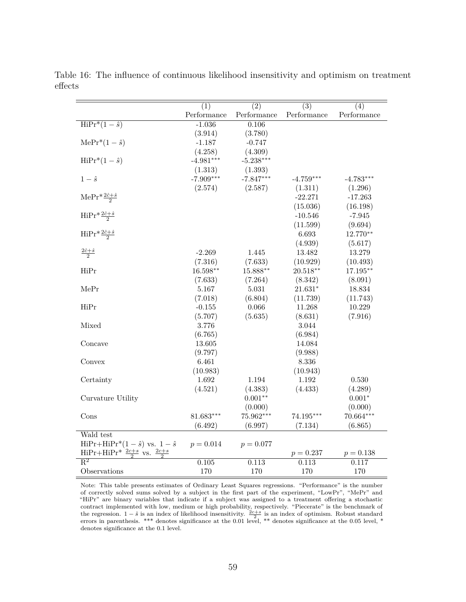|                                                   | (1)         | (2)         | $\overline{(3)}$ | (4)         |
|---------------------------------------------------|-------------|-------------|------------------|-------------|
|                                                   | Performance | Performance | Performance      | Performance |
| $\overline{\text{HiPr}^*(1-\hat{s})}$             | $-1.036$    | 0.106       |                  |             |
|                                                   | (3.914)     | (3.780)     |                  |             |
| $\text{MePr}^*(1-\hat{s})$                        | $-1.187$    | $-0.747$    |                  |             |
|                                                   | (4.258)     | (4.309)     |                  |             |
| $HiPr^*(1 - \hat{s})$                             | $-4.981***$ | $-5.238***$ |                  |             |
|                                                   | (1.313)     | (1.393)     |                  |             |
| $1-\hat{s}$                                       | $-7.909***$ | $-7.847***$ | $-4.759***$      | $-4.783***$ |
|                                                   | (2.574)     | (2.587)     | (1.311)          | (1.296)     |
| $\text{MePr}*\frac{2\hat{c}+\hat{s}}{2}$          |             |             | $-22.271$        | $-17.263$   |
|                                                   |             |             | (15.036)         | (16.198)    |
| $\text{HiPr} \frac{2\hat{c} + \hat{s}}{2}$        |             |             | $-10.546$        | $-7.945$    |
|                                                   |             |             | (11.599)         | (9.694)     |
| $\text{HiPr} \frac{2\hat{c} + \hat{s}}{2}$        |             |             | 6.693            | 12.770**    |
|                                                   |             |             | (4.939)          | (5.617)     |
| $\frac{2\hat{c}+\hat{s}}{2}$                      | $-2.269$    | 1.445       | 13.482           | 13.279      |
|                                                   | (7.316)     | (7.633)     | (10.929)         | (10.493)    |
| HiPr                                              | $16.598**$  | $15.888**$  | $20.518**$       | $17.195***$ |
|                                                   | (7.633)     | (7.264)     | (8.342)          | (8.091)     |
| MePr                                              | 5.167       | 5.031       | $21.631*$        | 18.834      |
|                                                   | (7.018)     | (6.804)     | (11.739)         | (11.743)    |
| HiPr                                              | $-0.155$    | 0.066       | 11.268           | 10.229      |
|                                                   | (5.707)     | (5.635)     | (8.631)          | (7.916)     |
| Mixed                                             | 3.776       |             | 3.044            |             |
|                                                   | (6.765)     |             | (6.984)          |             |
| Concave                                           | 13.605      |             | 14.084           |             |
|                                                   | (9.797)     |             | (9.988)          |             |
| Convex                                            | 6.461       |             | 8.336            |             |
|                                                   | (10.983)    |             | (10.943)         |             |
| Certainty                                         | 1.692       | 1.194       | 1.192            | 0.530       |
|                                                   | (4.521)     | (4.383)     | (4.433)          | (4.289)     |
| Curvature Utility                                 |             | $0.001**$   |                  | $0.001*$    |
|                                                   |             | (0.000)     |                  | (0.000)     |
| Cons                                              | 81.683***   | 75.962***   | $74.195***$      | 70.664***   |
|                                                   | (6.492)     | (6.997)     | (7.134)          | (6.865)     |
| Wald test                                         |             |             |                  |             |
| $HiPr+HiPr*(1-\hat{s})$ vs. $1-\hat{s}$           | $p = 0.014$ | $p = 0.077$ |                  |             |
| $HiPr+HiPr^* \frac{2c+s}{2}$ vs. $\frac{2c+s}{2}$ |             |             | $p = 0.237$      | $p = 0.138$ |
| $\overline{\mathrm{R}^2}$                         | 0.105       | 0.113       | 0.113            | 0.117       |
| Observations                                      | 170         | 170         | 170              | 170         |

<span id="page-59-0"></span>Table 16: The influence of continuous likelihood insensitivity and optimism on treatment effects

Note: This table presents estimates of Ordinary Least Squares regressions. "Performance" is the number of correctly solved sums solved by a subject in the first part of the experiment, "LowPr", "MePr" and "HiPr" are binary variables that indicate if a subject was assigned to a treatment offering a stochastic contract implemented with low, medium or high probability, respectively. "Piecerate" is the benchmark of the regression.  $1 - \hat{s}$  is an index of likelihood insensitivity.  $\frac{2c + s}{2}$  is an index of optimism. Robust stand errors in parenthesis. \*\*\* denotes significance at the 0.01 level, \*\* denotes significance at the 0.05 level, \* denotes significance at the 0.1 level.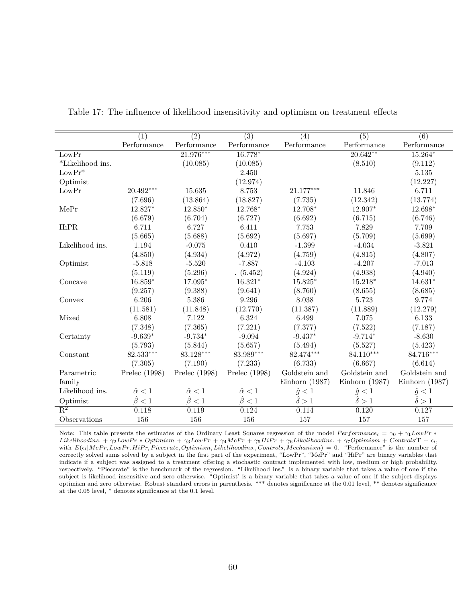|                  | (1)                                           | $\overline{(2)}$   | $\overline{(3)}$   | (4)                                                                         | $\overline{(5)}$   | $\overline{(6)}$                              |
|------------------|-----------------------------------------------|--------------------|--------------------|-----------------------------------------------------------------------------|--------------------|-----------------------------------------------|
|                  | $\label{eq:Performance} \textbf{Performance}$ | Performance        | Performance        | $\begin{minipage}{.4\linewidth} Performance \end{minipage} \vspace{-0.5em}$ | Performance        | $\label{eq:Performance} \textbf{Performance}$ |
| LowPr            |                                               | $21.976***$        | 16.778*            |                                                                             | $20.642**$         | $15.264*$                                     |
| *Likelihood ins. |                                               | (10.085)           | (10.085)           |                                                                             | (8.510)            | (9.112)                                       |
| $LowPr*$         |                                               |                    | 2.450              |                                                                             |                    | 5.135                                         |
| Optimist         |                                               |                    | (12.974)           |                                                                             |                    | (12.227)                                      |
| LowPr            | 20.492***                                     | 15.635             | 8.753              | 21.177***                                                                   | 11.846             | 6.711                                         |
|                  | (7.696)                                       | (13.864)           | (18.827)           | (7.735)                                                                     | (12.342)           | (13.774)                                      |
| MePr             | 12.827*                                       | 12.850*            | 12.768*            | 12.708*                                                                     | 12.907*            | 12.698*                                       |
|                  | (6.679)                                       | (6.704)            | (6.727)            | (6.692)                                                                     | (6.715)            | (6.746)                                       |
| HiPR             | 6.711                                         | 6.727              | 6.411              | 7.753                                                                       | 7.829              | 7.709                                         |
|                  | (5.665)                                       | (5.688)            | (5.692)            | (5.697)                                                                     | (5.709)            | (5.699)                                       |
| Likelihood ins.  | 1.194                                         | $-0.075$           | 0.410              | $-1.399$                                                                    | $-4.034$           | $-3.821$                                      |
|                  | (4.850)                                       | (4.934)            | (4.972)            | (4.759)                                                                     | (4.815)            | (4.807)                                       |
| Optimist         | $-5.818$                                      | $-5.520$           | $-7.887$           | $-4.103$                                                                    | $-4.207$           | $-7.013$                                      |
|                  | (5.119)                                       | (5.296)            | (5.452)            | (4.924)                                                                     | (4.938)            | (4.940)                                       |
| Concave          | $16.859*$                                     | 17.095*            | $16.321*$          | $15.825*$                                                                   | $15.218*$          | $14.631*$                                     |
|                  | (9.257)                                       | (9.388)            | (9.641)            | (8.760)                                                                     | (8.655)            | (8.685)                                       |
| Convex           | 6.206                                         | 5.386              | 9.296              | 8.038                                                                       | 5.723              | 9.774                                         |
|                  | (11.581)                                      | (11.848)           | (12.770)           | (11.387)                                                                    | (11.889)           | (12.279)                                      |
| Mixed            | 6.808                                         | 7.122              | 6.324              | 6.499                                                                       | 7.075              | 6.133                                         |
|                  | (7.348)                                       | (7.365)            | (7.221)            | (7.377)                                                                     | (7.522)            | (7.187)                                       |
| Certainty        | $-9.639*$                                     | $-9.734*$          | $-9.094$           | $-9.437*$                                                                   | $-9.714*$          | $-8.630$                                      |
|                  | (5.793)                                       | (5.844)            | (5.657)            | (5.494)                                                                     | (5.527)            | (5.423)                                       |
| Constant         | 82.533***                                     | 83.128***          | 83.989***          | 82.474***                                                                   | 84.110***          | 84.716***                                     |
|                  | (7.305)                                       | (7.190)            | (7.233)            | (6.733)                                                                     | (6.667)            | (6.614)                                       |
| Parametric       | Prelec $(1998)$                               | Prelec $(1998)$    | Prelec $(1998)$    | Goldstein and                                                               | Goldstein and      | Goldstein and                                 |
| family           |                                               |                    |                    | Einhorn $(1987)$                                                            | Einhorn $(1987)$   | Einhorn $(1987)$                              |
| Likelihood ins.  | $\hat{\alpha} < 1$                            | $\hat{\alpha} < 1$ | $\hat{\alpha} < 1$ | $\hat{g} < 1$                                                               | $\hat{g} < 1$      | $\hat{g} < 1$                                 |
| Optimist         | $\hat{\beta} < 1$                             | $\hat{\beta} < 1$  | $\hat{\beta} < 1$  | $\hat{\delta} > 1$                                                          | $\hat{\delta} > 1$ | $\hat{\delta} > 1$                            |
| $R^2$            | 0.118                                         | 0.119              | 0.124              | 0.114                                                                       | 0.120              | 0.127                                         |
| Observations     | 156                                           | 156                | 156                | 157                                                                         | 157                | 157                                           |

<span id="page-60-0"></span>Table 17: The influence of likelihood insensitivity and optimism on treatment effects

Note: This table presents the estimates of the Ordinary Least Squares regression of the model  $Performance_i = \gamma_0 + \gamma_1 Low Pr *$ Likelihoodins. +  $\gamma_2 Low Pr$  \* Optimism +  $\gamma_3 Low Pr$  +  $\gamma_4 MePr$  +  $\gamma_5 HiPr$  +  $\gamma_6 Likelihoodins$ . +  $\gamma_7 Optimism$  + Controls' $\Gamma$  +  $\epsilon_i$ , with  $E(\epsilon_i|MePr, LowPr, HiPr, Piccerate, Optimism, Likelihoodins., Controls, Mechanism) = 0.$  "Performance" is the number of correctly solved sums solved by a subject in the first part of the experiment, "LowPr", "MePr" and "HiPr" are binary variables that indicate if a subject was assigned to a treatment offering a stochastic contract implemented with low, medium or high probability, respectively. "Piecerate" is the benchmark of the regression. "Likelihood ins." is a binary variable that takes a value of one if the subject is likelihood insensitive and zero otherwise. "Optimist' is a binary variable that takes a value of one if the subject displays optimism and zero otherwise. Robust standard errors in parenthesis. \*\*\* denotes significance at the 0.01 level, \*\* denotes significance at the 0.05 level, \* denotes significance at the 0.1 level.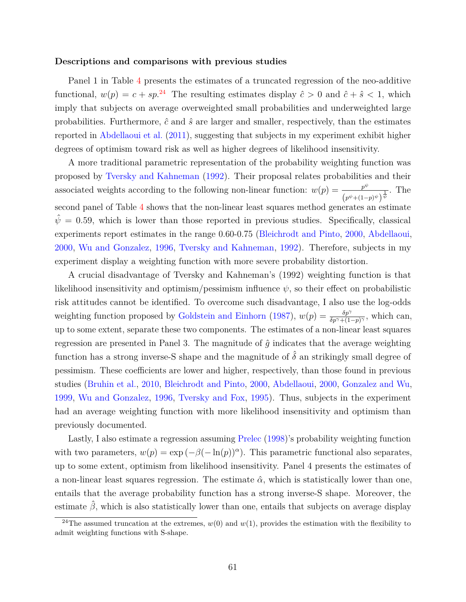#### **Descriptions and comparisons with previous studies**

Panel 1 in Table [4](#page-24-0) presents the estimates of a truncated regression of the neo-additive functional,  $w(p) = c + sp^{24}$  $w(p) = c + sp^{24}$  $w(p) = c + sp^{24}$  The resulting estimates display  $\hat{c} > 0$  and  $\hat{c} + \hat{s} < 1$ , which imply that subjects on average overweighted small probabilities and underweighted large probabilities. Furthermore,  $\hat{c}$  and  $\hat{s}$  are larger and smaller, respectively, than the estimates reported in [Abdellaoui et al.](#page-32-1) [\(2011\)](#page-32-1), suggesting that subjects in my experiment exhibit higher degrees of optimism toward risk as well as higher degrees of likelihood insensitivity.

A more traditional parametric representation of the probability weighting function was proposed by [Tversky and Kahneman](#page-34-0) [\(1992\)](#page-34-0). Their proposal relates probabilities and their associated weights according to the following non-linear function:  $w(p) = \frac{p^{\psi}}{p^{\psi}}$  $\frac{p^{\psi}}{\left(p^{\psi}+(1-p)^{\psi}\right)^{\frac{1}{\psi}}}$ . The second panel of Table [4](#page-24-0) shows that the non-linear least squares method generates an estimate  $\hat{\psi} = 0.59$ , which is lower than those reported in previous studies. Specifically, classical experiments report estimates in the range 0.60-0.75 [\(Bleichrodt and Pinto,](#page-32-18) [2000,](#page-32-18) [Abdellaoui,](#page-31-0) [2000,](#page-31-0) [Wu and Gonzalez,](#page-34-1) [1996,](#page-34-1) [Tversky and Kahneman,](#page-34-0) [1992\)](#page-34-0). Therefore, subjects in my experiment display a weighting function with more severe probability distortion.

A crucial disadvantage of Tversky and Kahneman's (1992) weighting function is that likelihood insensitivity and optimism/pessimism influence  $\psi$ , so their effect on probabilistic risk attitudes cannot be identified. To overcome such disadvantage, I also use the log-odds weighting function proposed by [Goldstein and Einhorn](#page-32-16) [\(1987\)](#page-32-16),  $w(p) = \frac{\delta p^{\gamma}}{\delta p^{\gamma} + (1-p)^{\gamma}}$ , which can, up to some extent, separate these two components. The estimates of a non-linear least squares regression are presented in Panel 3. The magnitude of  $\hat{g}$  indicates that the average weighting function has a strong inverse-S shape and the magnitude of  $\hat{\delta}$  an strikingly small degree of pessimism. These coefficients are lower and higher, respectively, than those found in previous studies [\(Bruhin et al.,](#page-32-0) [2010,](#page-32-0) [Bleichrodt and Pinto,](#page-32-18) [2000,](#page-32-18) [Abdellaoui,](#page-31-0) [2000,](#page-31-0) [Gonzalez and Wu,](#page-33-2) [1999,](#page-33-2) [Wu and Gonzalez,](#page-34-1) [1996,](#page-34-1) [Tversky and Fox,](#page-33-1) [1995\)](#page-33-1). Thus, subjects in the experiment had an average weighting function with more likelihood insensitivity and optimism than previously documented.

Lastly, I also estimate a regression assuming [Prelec](#page-33-10) [\(1998\)](#page-33-10)'s probability weighting function with two parameters,  $w(p) = \exp(-\beta(-\ln(p))^{\alpha})$ . This parametric functional also separates, up to some extent, optimism from likelihood insensitivity. Panel 4 presents the estimates of a non-linear least squares regression. The estimate  $\hat{\alpha}$ , which is statistically lower than one, entails that the average probability function has a strong inverse-S shape. Moreover, the estimate  $\hat{\beta}$ , which is also statistically lower than one, entails that subjects on average display

<span id="page-61-0"></span><sup>&</sup>lt;sup>24</sup>The assumed truncation at the extremes,  $w(0)$  and  $w(1)$ , provides the estimation with the flexibility to admit weighting functions with S-shape.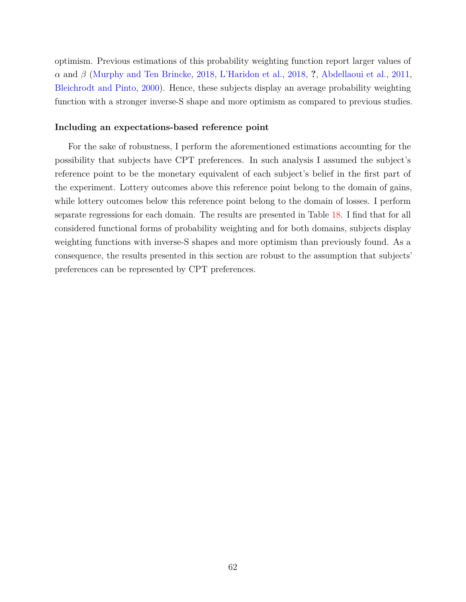optimism. Previous estimations of this probability weighting function report larger values of *α* and *β* [\(Murphy and Ten Brincke,](#page-33-17) [2018,](#page-33-17) [L'Haridon et al.,](#page-33-18) [2018,](#page-33-18) **?**, [Abdellaoui et al.,](#page-32-1) [2011,](#page-32-1) [Bleichrodt and Pinto,](#page-32-18) [2000\)](#page-32-18). Hence, these subjects display an average probability weighting function with a stronger inverse-S shape and more optimism as compared to previous studies.

### **Including an expectations-based reference point**

For the sake of robustness, I perform the aforementioned estimations accounting for the possibility that subjects have CPT preferences. In such analysis I assumed the subject's reference point to be the monetary equivalent of each subject's belief in the first part of the experiment. Lottery outcomes above this reference point belong to the domain of gains, while lottery outcomes below this reference point belong to the domain of losses. I perform separate regressions for each domain. The results are presented in Table [18.](#page-63-0) I find that for all considered functional forms of probability weighting and for both domains, subjects display weighting functions with inverse-S shapes and more optimism than previously found. As a consequence, the results presented in this section are robust to the assumption that subjects' preferences can be represented by CPT preferences.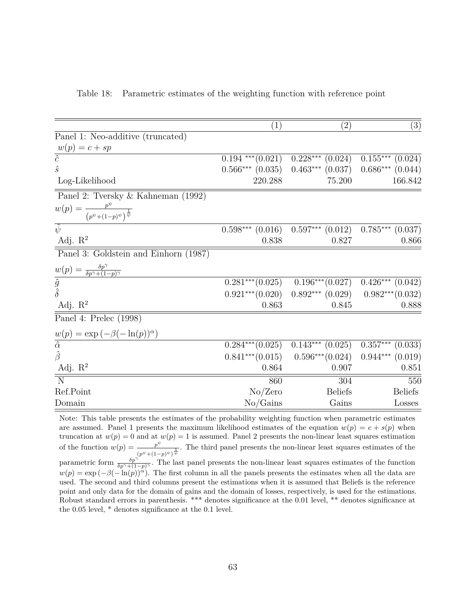<span id="page-63-0"></span>

|  |  | Table 18: Parametric estimates of the weighting function with reference point |  |  |
|--|--|-------------------------------------------------------------------------------|--|--|
|  |  |                                                                               |  |  |

|                                                                       | $\left( 1\right)$     | $\left( 2\right)$                                              | (3)                  |
|-----------------------------------------------------------------------|-----------------------|----------------------------------------------------------------|----------------------|
| Panel 1: Neo-additive (truncated)                                     |                       |                                                                |                      |
|                                                                       |                       |                                                                |                      |
| $w(p) = c + sp$<br>$\overline{\hat{c}}$                               |                       |                                                                |                      |
|                                                                       | $0.194$ *** $(0.021)$ | $\overline{0.228***}$ (0.024)                                  | $0.155***$ $(0.024)$ |
| $\hat{s}$                                                             | $0.566***$ $(0.035)$  | $0.463***$ $(0.037)$                                           | $0.686***$ $(0.044)$ |
| Log-Likelihood                                                        | 220.288               | 75.200                                                         | 166.842              |
| Panel 2: Tversky & Kahneman (1992)                                    |                       |                                                                |                      |
| $w(p) = \frac{p^{\psi}}{(p^{\psi} + (1-p)^{\psi})^{\frac{1}{\psi}}}$  |                       |                                                                |                      |
| $\overline{\hat{\psi}}$                                               | $0.598***$ $(0.016)$  | $0.597***$ $(0.012)$                                           | $0.785***$ $(0.037)$ |
| Adj. $R^2$                                                            | 0.838                 | 0.827                                                          | 0.866                |
| Panel 3: Goldstein and Einhorn (1987)                                 |                       |                                                                |                      |
| $w(p) = \frac{\delta p^{\gamma}}{\delta p^{\gamma} + (1-p)^{\gamma}}$ |                       |                                                                |                      |
| $\frac{\hat{g}}{\hat{\delta}}$                                        | $0.281***(0.025)$     | $0.196***(0.027)$                                              | $0.426***$ $(0.042)$ |
|                                                                       |                       | $0.921***$ $(0.020)$ $0.892***$ $(0.029)$ $0.982***$ $(0.032)$ |                      |
| Adj. $R^2$                                                            | 0.863                 | 0.845                                                          | 0.888                |
| Panel 4: Prelec (1998)                                                |                       |                                                                |                      |
| $w(p) = \exp(-\beta(-\ln(p))^{\alpha})$                               |                       |                                                                |                      |
| $\overline{\hat{\alpha}}$                                             | $0.284***(0.025)$     | $0.143***$ $(0.025)$                                           | $0.357***$ $(0.033)$ |
| $\hat{\beta}$                                                         | $0.841***(0.015)$     | $0.596***(0.024)$                                              | $0.944***$ $(0.019)$ |
| Adj. $R^2$                                                            | 0.864                 | 0.907                                                          | 0.851                |
| $\overline{\overline{\mathrm{N}}}$                                    | 860                   | 304                                                            | 550                  |
| Ref.Point                                                             | No/Zero               | <b>Beliefs</b>                                                 | <b>Beliefs</b>       |
| Domain                                                                | No/Gains              | Gains                                                          | Losses               |
|                                                                       |                       |                                                                |                      |

Note: This table presents the estimates of the probability weighting function when parametric estimates are assumed. Panel 1 presents the maximum likelihood estimates of the equation  $w(p) = c + s(p)$  when truncation at  $w(p) = 0$  and at  $w(p) = 1$  is assumed. Panel 2 presents the non-linear least squares estimation of the function  $w(p) = \frac{p^{\psi}}{p^{\psi}}$  $\frac{p^{\tau}}{(p^{\psi}+(1-p)^{\psi})^{\frac{1}{\psi}}}$ . The third panel presents the non-linear least squares estimates of the parametric form  $\frac{\delta p^{\gamma^*}}{\delta p^{\gamma+1-p}}$ . The last panel presents the non-linear least squares estimates of the function  $w(p) = \exp(-\beta(-\ln(p))^{\alpha})$ . The first column in all the panels presents the estimates when all the data are used. The second and third columns present the estimations when it is assumed that Beliefs is the reference point and only data for the domain of gains and the domain of losses, respectively, is used for the estimations. Robust standard errors in parenthesis. \*\*\* denotes significance at the 0.01 level, \*\* denotes significance at the 0.05 level, \* denotes significance at the 0.1 level.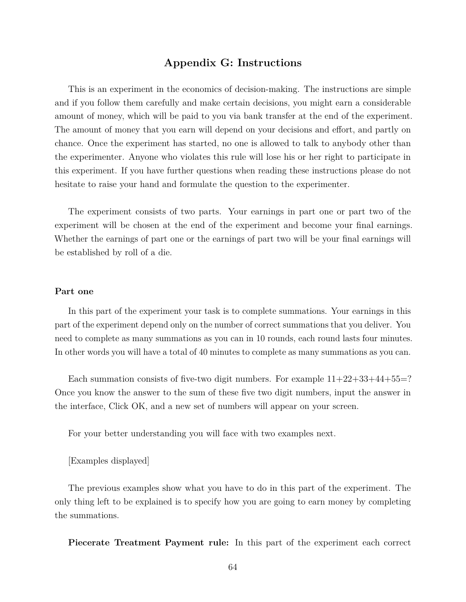## **Appendix G: Instructions**

This is an experiment in the economics of decision-making. The instructions are simple and if you follow them carefully and make certain decisions, you might earn a considerable amount of money, which will be paid to you via bank transfer at the end of the experiment. The amount of money that you earn will depend on your decisions and effort, and partly on chance. Once the experiment has started, no one is allowed to talk to anybody other than the experimenter. Anyone who violates this rule will lose his or her right to participate in this experiment. If you have further questions when reading these instructions please do not hesitate to raise your hand and formulate the question to the experimenter.

The experiment consists of two parts. Your earnings in part one or part two of the experiment will be chosen at the end of the experiment and become your final earnings. Whether the earnings of part one or the earnings of part two will be your final earnings will be established by roll of a die.

### **Part one**

In this part of the experiment your task is to complete summations. Your earnings in this part of the experiment depend only on the number of correct summations that you deliver. You need to complete as many summations as you can in 10 rounds, each round lasts four minutes. In other words you will have a total of 40 minutes to complete as many summations as you can.

Each summation consists of five-two digit numbers. For example  $11+22+33+44+55=?$ Once you know the answer to the sum of these five two digit numbers, input the answer in the interface, Click OK, and a new set of numbers will appear on your screen.

For your better understanding you will face with two examples next.

#### [Examples displayed]

The previous examples show what you have to do in this part of the experiment. The only thing left to be explained is to specify how you are going to earn money by completing the summations.

**Piecerate Treatment Payment rule:** In this part of the experiment each correct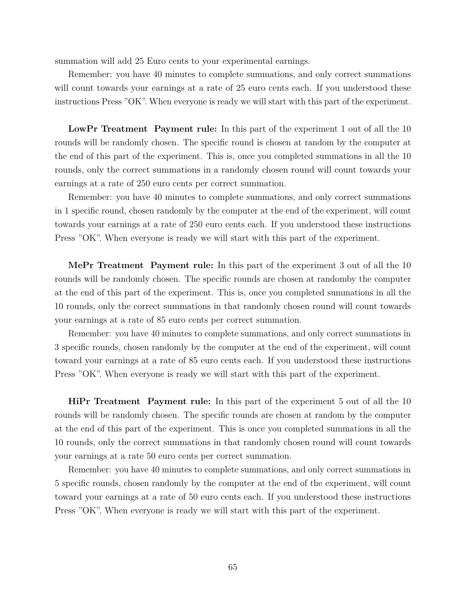summation will add 25 Euro cents to your experimental earnings.

Remember: you have 40 minutes to complete summations, and only correct summations will count towards your earnings at a rate of 25 euro cents each. If you understood these instructions Press "OK". When everyone is ready we will start with this part of the experiment.

**LowPr Treatment Payment rule:** In this part of the experiment 1 out of all the 10 rounds will be randomly chosen. The specific round is chosen at random by the computer at the end of this part of the experiment. This is, once you completed summations in all the 10 rounds, only the correct summations in a randomly chosen round will count towards your earnings at a rate of 250 euro cents per correct summation.

Remember: you have 40 minutes to complete summations, and only correct summations in 1 specific round, chosen randomly by the computer at the end of the experiment, will count towards your earnings at a rate of 250 euro cents each. If you understood these instructions Press "OK". When everyone is ready we will start with this part of the experiment.

**MePr Treatment Payment rule:** In this part of the experiment 3 out of all the 10 rounds will be randomly chosen. The specific rounds are chosen at randomby the computer at the end of this part of the experiment. This is, once you completed summations in all the 10 rounds, only the correct summations in that randomly chosen round will count towards your earnings at a rate of 85 euro cents per correct summation.

Remember: you have 40 minutes to complete summations, and only correct summations in 3 specific rounds, chosen randomly by the computer at the end of the experiment, will count toward your earnings at a rate of 85 euro cents each. If you understood these instructions Press "OK". When everyone is ready we will start with this part of the experiment.

**HiPr Treatment Payment rule:** In this part of the experiment 5 out of all the 10 rounds will be randomly chosen. The specific rounds are chosen at random by the computer at the end of this part of the experiment. This is once you completed summations in all the 10 rounds, only the correct summations in that randomly chosen round will count towards your earnings at a rate 50 euro cents per correct summation.

Remember: you have 40 minutes to complete summations, and only correct summations in 5 specific rounds, chosen randomly by the computer at the end of the experiment, will count toward your earnings at a rate of 50 euro cents each. If you understood these instructions Press "OK". When everyone is ready we will start with this part of the experiment.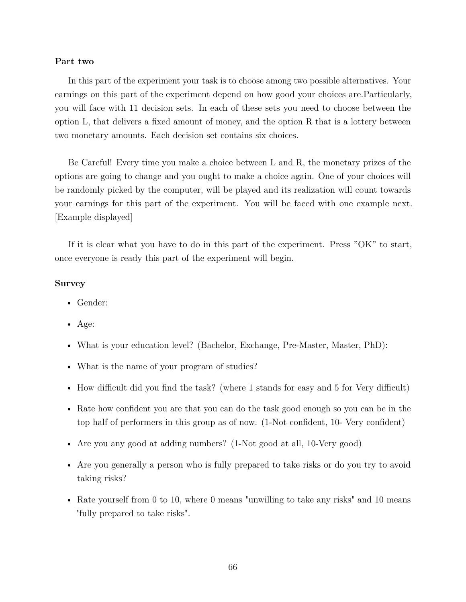### **Part two**

In this part of the experiment your task is to choose among two possible alternatives. Your earnings on this part of the experiment depend on how good your choices are.Particularly, you will face with 11 decision sets. In each of these sets you need to choose between the option L, that delivers a fixed amount of money, and the option R that is a lottery between two monetary amounts. Each decision set contains six choices.

Be Careful! Every time you make a choice between L and R, the monetary prizes of the options are going to change and you ought to make a choice again. One of your choices will be randomly picked by the computer, will be played and its realization will count towards your earnings for this part of the experiment. You will be faced with one example next. [Example displayed]

If it is clear what you have to do in this part of the experiment. Press "OK" to start, once everyone is ready this part of the experiment will begin.

### **Survey**

- Gender:
- Age:
- What is your education level? (Bachelor, Exchange, Pre-Master, Master, PhD):
- What is the name of your program of studies?
- How difficult did you find the task? (where 1 stands for easy and 5 for Very difficult)
- Rate how confident you are that you can do the task good enough so you can be in the top half of performers in this group as of now. (1-Not confident, 10- Very confident)
- Are you any good at adding numbers? (1-Not good at all, 10-Very good)
- Are you generally a person who is fully prepared to take risks or do you try to avoid taking risks?
- Rate yourself from 0 to 10, where 0 means "unwilling to take any risks" and 10 means "fully prepared to take risks".